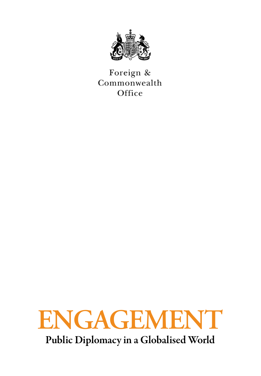

Foreign & Commonwealth Office



Public Diplomacy in a Globalised World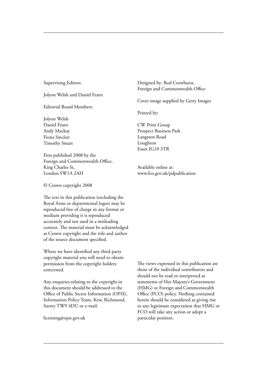#### Supervising Editors:

Jolyon Welsh and Daniel Fearn

Editorial Board Members:

Jolyon Welsh Daniel Fearn Andy Mackay Fiona Sinclair Timothy Smart

First published 2008 by the Foreign and Commonwealth Office, King Charles St, London SW1A 2AH

© Crown copyright 2008

The text in this publication (excluding the Royal Arms or departmental logos) may be reproduced free of charge in any format or medium providing it is reproduced accurately and not used in a misleading context. The material must be acknowledged as Crown copyright and the title and author of the source document specified.

Where we have identified any third party copyright material you will need to obtain permission from the copyright holders concerned.

Any enquiries relating to the copyright in this document should be addressed to the Office of Public Sector Information (OPSI), Information Policy Team, Kew, Richmond, Surrey TW9 4DU or e-mail:

licensing@opsi.gov.uk

Designed by: Rod Crowhurst, Foreign and Commonwealth Office

Cover image supplied by Getty Images

Printed by:

CW Print Group Prospect Business Park Langston Road Loughton Essex IG10 3TR

Available online at: www.fco.gov.uk/pdpublication

The views expressed in this publication are those of the individual contributors and should not be read or interpreted as statements of Her Majesty's Government (HMG) or Foreign and Commonwealth Office (FCO) policy. Nothing contained herein should be considered as giving rise to any legitimate expectation that HMG or FCO will take any action or adopt a particular position.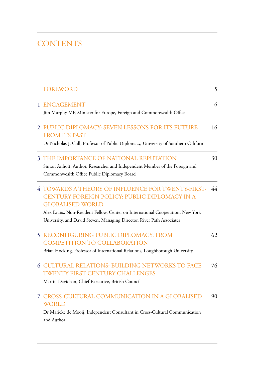# **CONTENTS**

| <b>FOREWORD</b>                                                                                                                                                                                                                                                                           | 5  |
|-------------------------------------------------------------------------------------------------------------------------------------------------------------------------------------------------------------------------------------------------------------------------------------------|----|
| 1 ENGAGEMENT<br>Jim Murphy MP, Minister for Europe, Foreign and Commonwealth Office                                                                                                                                                                                                       | 6  |
| 2 PUBLIC DIPLOMACY: SEVEN LESSONS FOR ITS FUTURE<br><b>FROM ITS PAST</b><br>Dr Nicholas J. Cull, Professor of Public Diplomacy, University of Southern California                                                                                                                         | 16 |
| <b>3 THE IMPORTANCE OF NATIONAL REPUTATION</b><br>Simon Anholt, Author, Researcher and Independent Member of the Foreign and<br>Commonwealth Office Public Diplomacy Board                                                                                                                | 30 |
| 4 TOWARDS A THEORY OF INFLUENCE FOR TWENTY-FIRST-<br>CENTURY FOREIGN POLICY: PUBLIC DIPLOMACY IN A<br><b>GLOBALISED WORLD</b><br>Alex Evans, Non-Resident Fellow, Center on International Cooperation, New York<br>University, and David Steven, Managing Director, River Path Associates | 44 |
| <b>5 RECONFIGURING PUBLIC DIPLOMACY: FROM</b><br><b>COMPETITION TO COLLABORATION</b><br>Brian Hocking, Professor of International Relations, Loughborough University                                                                                                                      | 62 |
| <b>6 CULTURAL RELATIONS: BUILDING NETWORKS TO FACE</b><br>TWENTY-FIRST-CENTURY CHALLENGES<br>Martin Davidson, Chief Executive, British Council                                                                                                                                            | 76 |
| 7 CROSS-CULTURAL COMMUNICATION IN A GLOBALISED<br><b>WORLD</b><br>Dr Marieke de Mooij, Independent Consultant in Cross-Cultural Communication<br>and Author                                                                                                                               | 90 |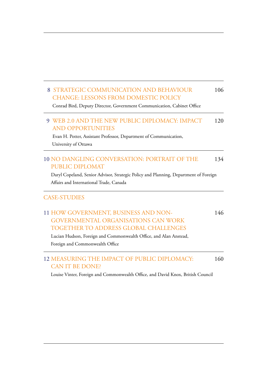#### 8 STRATEGIC COMMUNICATION AND BEHAVIOUR CHANGE: LESSONS FROM DOMESTIC POLICY 106

Conrad Bird, Deputy Director, Government Communication, Cabinet Office

#### 9 WEB 2.0 AND THE NEW PUBLIC DIPLOMACY: IMPACT AND OPPORTUNITIES 120

 Evan H. Potter, Assistant Professor, Department of Communication, University of Ottawa

#### 10 NO DANGLING CONVERSATION: PORTRAIT OF THE PUBLIC DIPLOMAT 134

 Daryl Copeland, Senior Advisor, Strategic Policy and Planning, Department of Foreign Affairs and International Trade, Canada

### CASE-STUDIES

#### 11 HOW GOVERNMENT, BUSINESS AND NON- GOVERNMENTAL ORGANISATIONS CAN WORK TOGETHER TO ADDRESS GLOBAL CHALLENGES 146

 Lucian Hudson, Foreign and Commonwealth Office, and Alan Anstead, Foreign and Commonwealth Office

### 12 MEASURING THE IMPACT OF PUBLIC DIPLOMACY: CAN IT BE DONE?

160

Louise Vinter, Foreign and Commonwealth Office, and David Knox, British Council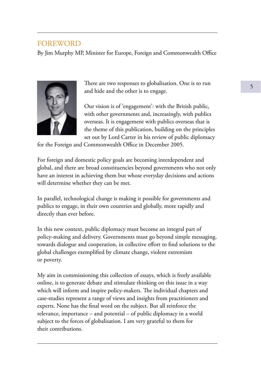# FOREWORD

By Jim Murphy MP, Minister for Europe, Foreign and Commonwealth Office



There are two responses to globalisation. One is to run and hide and the other is to engage.

Our vision is of 'engagement': with the British public, with other governments and, increasingly, with publics overseas. It is engagement with publics overseas that is the theme of this publication, building on the principles set out by Lord Carter in his review of public diplomacy

for the Foreign and Commonwealth Office in December 2005.

For foreign and domestic policy goals are becoming interdependent and global, and there are broad constituencies beyond governments who not only have an interest in achieving them but whose everyday decisions and actions will determine whether they can be met.

In parallel, technological change is making it possible for governments and publics to engage, in their own countries and globally, more rapidly and directly than ever before.

In this new context, public diplomacy must become an integral part of policy-making and delivery. Governments must go beyond simple messaging, towards dialogue and cooperation, in collective effort to find solutions to the global challenges exemplified by climate change, violent extremism or poverty.

My aim in commissioning this collection of essays, which is freely available online, is to generate debate and stimulate thinking on this issue in a way which will inform and inspire policy-makers. The individual chapters and case-studies represent a range of views and insights from practitioners and experts. None has the final word on the subject. But all reinforce the relevance, importance – and potential – of public diplomacy in a world subject to the forces of globalisation. I am very grateful to them for their contributions.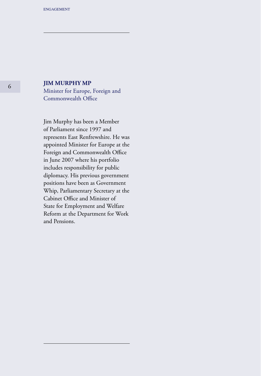### **JIM MURPHY MP**

Minister for Europe, Foreign and Commonwealth Office

Jim Murphy has been a Member of Parliament since 1997 and represents East Renfrewshire. He was appointed Minister for Europe at the Foreign and Commonwealth Office in June 2007 where his portfolio includes responsibility for public diplomacy. His previous government positions have been as Government Whip, Parliamentary Secretary at the Cabinet Office and Minister of State for Employment and Welfare Reform at the Department for Work and Pensions.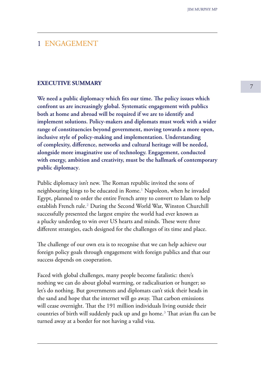## 1 ENGAGEMENT

### **EXECUTIVE SUMMARY**

**We need a public diplomacy which fits our time. The policy issues which confront us are increasingly global. Systematic engagement with publics both at home and abroad will be required if we are to identify and implement solutions. Policy-makers and diplomats must work with a wider range of constituencies beyond government, moving towards a more open, inclusive style of policy-making and implementation. Understanding of complexity, difference, networks and cultural heritage will be needed, alongside more imaginative use of technology. Engagement, conducted with energy, ambition and creativity, must be the hallmark of contemporary public diplomacy**.

Public diplomacy isn't new. The Roman republic invited the sons of neighbouring kings to be educated in Rome. $<sup>1</sup>$  Napoleon, when he invaded</sup> Egypt, planned to order the entire French army to convert to Islam to help establish French rule.² During the Second World War, Winston Churchill successfully presented the largest empire the world had ever known as a plucky underdog to win over US hearts and minds. These were three different strategies, each designed for the challenges of its time and place.

The challenge of our own era is to recognise that we can help achieve our foreign policy goals through engagement with foreign publics and that our success depends on cooperation.

Faced with global challenges, many people become fatalistic: there's nothing we can do about global warming, or radicalisation or hunger; so let's do nothing. But governments and diplomats can't stick their heads in the sand and hope that the internet will go away. That carbon emissions will cease overnight. That the 191 million individuals living outside their countries of birth will suddenly pack up and go home. $3$  That avian flu can be turned away at a border for not having a valid visa.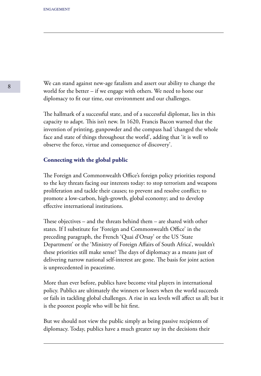We can stand against new-age fatalism and assert our ability to change the world for the better – if we engage with others. We need to hone our diplomacy to fit our time, our environment and our challenges.

The hallmark of a successful state, and of a successful diplomat, lies in this capacity to adapt. This isn't new. In 1620, Francis Bacon warned that the invention of printing, gunpowder and the compass had 'changed the whole face and state of things throughout the world', adding that 'it is well to observe the force, virtue and consequence of discovery'.

### **Connecting with the global public**

The Foreign and Commonwealth Office's foreign policy priorities respond to the key threats facing our interests today: to stop terrorism and weapons proliferation and tackle their causes; to prevent and resolve conflict; to promote a low-carbon, high-growth, global economy; and to develop effective international institutions.

These objectives – and the threats behind them – are shared with other states. If I substitute for 'Foreign and Commonwealth Office' in the preceding paragraph, the French 'Quai d'Orsay' or the US 'State Department' or the 'Ministry of Foreign Affairs of South Africa', wouldn't these priorities still make sense? The days of diplomacy as a means just of delivering narrow national self-interest are gone. The basis for joint action is unprecedented in peacetime.

More than ever before, publics have become vital players in international policy. Publics are ultimately the winners or losers when the world succeeds or fails in tackling global challenges. A rise in sea levels will affect us all; but it is the poorest people who will be hit first.

But we should not view the public simply as being passive recipients of diplomacy. Today, publics have a much greater say in the decisions their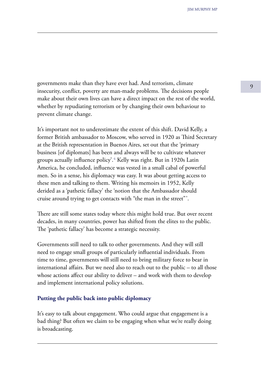<sup>9</sup> governments make than they have ever had. And terrorism, climate insecurity, conflict, poverty are man-made problems. The decisions people make about their own lives can have a direct impact on the rest of the world, whether by repudiating terrorism or by changing their own behaviour to prevent climate change.

It's important not to underestimate the extent of this shift. David Kelly, a former British ambassador to Moscow, who served in 1920 as Third Secretary at the British representation in Buenos Aires, set out that the 'primary business [of diplomats] has been and always will be to cultivate whatever groups actually influence policy'.<sup>4</sup> Kelly was right. But in 1920s Latin America, he concluded, influence was vested in a small cabal of powerful men. So in a sense, his diplomacy was easy. It was about getting access to these men and talking to them. Writing his memoirs in 1952, Kelly derided as a 'pathetic fallacy' the 'notion that the Ambassador should cruise around trying to get contacts with "the man in the street"'.

There are still some states today where this might hold true. But over recent decades, in many countries, power has shifted from the elites to the public. The 'pathetic fallacy' has become a strategic necessity.

Governments still need to talk to other governments. And they will still need to engage small groups of particularly influential individuals. From time to time, governments will still need to bring military force to bear in international affairs. But we need also to reach out to the public – to all those whose actions affect our ability to deliver – and work with them to develop and implement international policy solutions.

### **Putting the public back into public diplomacy**

It's easy to talk about engagement. Who could argue that engagement is a bad thing? But often we claim to be engaging when what we're really doing is broadcasting.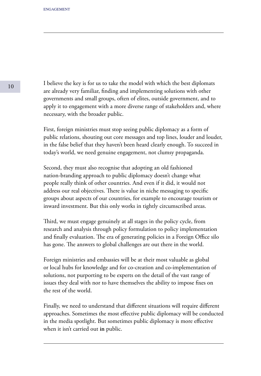I believe the key is for us to take the model with which the best diplomats are already very familiar, finding and implementing solutions with other governments and small groups, often of elites, outside government, and to apply it to engagement with a more diverse range of stakeholders and, where necessary, with the broader public.

First, foreign ministries must stop seeing public diplomacy as a form of public relations, shouting out core messages and top lines, louder and louder, in the false belief that they haven't been heard clearly enough. To succeed in today's world, we need genuine engagement, not clumsy propaganda.

Second, they must also recognise that adopting an old fashioned nation-branding approach to public diplomacy doesn't change what people really think of other countries. And even if it did, it would not address our real objectives. There is value in niche messaging to specific groups about aspects of our countries, for example to encourage tourism or inward investment. But this only works in tightly circumscribed areas.

Third, we must engage genuinely at all stages in the policy cycle, from research and analysis through policy formulation to policy implementation and finally evaluation. The era of generating policies in a Foreign Office silo has gone. The answers to global challenges are out there in the world.

Foreign ministries and embassies will be at their most valuable as global or local hubs for knowledge and for co-creation and co-implementation of solutions, not purporting to be experts on the detail of the vast range of issues they deal with nor to have themselves the ability to impose fixes on the rest of the world.

Finally, we need to understand that different situations will require different approaches. Sometimes the most effective public diplomacy will be conducted in the media spotlight. But sometimes public diplomacy is more effective when it isn't carried out **in** public.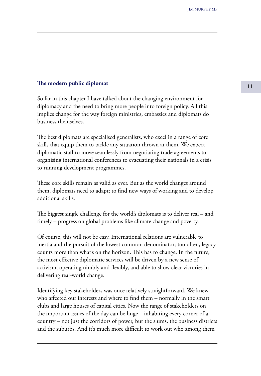# **The modern public diplomat** 11

So far in this chapter I have talked about the changing environment for diplomacy and the need to bring more people into foreign policy. All this implies change for the way foreign ministries, embassies and diplomats do business themselves.

The best diplomats are specialised generalists, who excel in a range of core skills that equip them to tackle any situation thrown at them. We expect diplomatic staff to move seamlessly from negotiating trade agreements to organising international conferences to evacuating their nationals in a crisis to running development programmes.

These core skills remain as valid as ever. But as the world changes around them, diplomats need to adapt; to find new ways of working and to develop additional skills.

The biggest single challenge for the world's diplomats is to deliver real – and timely – progress on global problems like climate change and poverty.

Of course, this will not be easy. International relations are vulnerable to inertia and the pursuit of the lowest common denominator; too often, legacy counts more than what's on the horizon. This has to change. In the future, the most effective diplomatic services will be driven by a new sense of activism, operating nimbly and flexibly, and able to show clear victories in delivering real-world change.

Identifying key stakeholders was once relatively straightforward. We knew who affected our interests and where to find them – normally in the smart clubs and large houses of capital cities. Now the range of stakeholders on the important issues of the day can be huge – inhabiting every corner of a country – not just the corridors of power, but the slums, the business districts and the suburbs. And it's much more difficult to work out who among them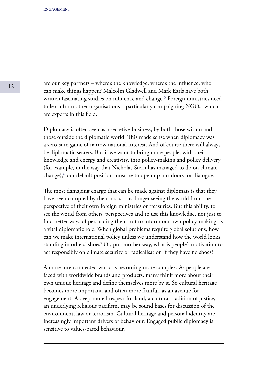are our key partners – where's the knowledge, where's the influence, who can make things happen? Malcolm Gladwell and Mark Earls have both written fascinating studies on influence and change.<sup>5</sup> Foreign ministries need to learn from other organisations – particularly campaigning NGOs, which are experts in this field.

Diplomacy is often seen as a secretive business, by both those within and those outside the diplomatic world. This made sense when diplomacy was a zero-sum game of narrow national interest. And of course there will always be diplomatic secrets. But if we want to bring more people, with their knowledge and energy and creativity, into policy-making and policy delivery (for example, in the way that Nicholas Stern has managed to do on climate change), $\epsilon$  our default position must be to open up our doors for dialogue.

The most damaging charge that can be made against diplomats is that they have been co-opted by their hosts – no longer seeing the world from the perspective of their own foreign ministries or treasuries. But this ability, to see the world from others' perspectives and to use this knowledge, not just to find better ways of persuading them but to inform our own policy-making, is a vital diplomatic role. When global problems require global solutions, how can we make international policy unless we understand how the world looks standing in others' shoes? Or, put another way, what is people's motivation to act responsibly on climate security or radicalisation if they have no shoes?

A more interconnected world is becoming more complex. As people are faced with worldwide brands and products, many think more about their own unique heritage and define themselves more by it. So cultural heritage becomes more important, and often more fruitful, as an avenue for engagement. A deep-rooted respect for land, a cultural tradition of justice, an underlying religious pacifism, may be sound bases for discussion of the environment, law or terrorism. Cultural heritage and personal identity are increasingly important drivers of behaviour. Engaged public diplomacy is sensitive to values-based behaviour.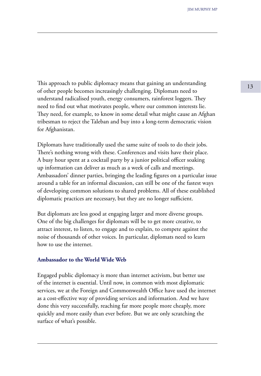This approach to public diplomacy means that gaining an understanding 13 of other people becomes increasingly challenging. Diplomats need to understand radicalised youth, energy consumers, rainforest loggers. They need to find out what motivates people, where our common interests lie. They need, for example, to know in some detail what might cause an Afghan tribesman to reject the Taleban and buy into a long-term democratic vision for Afghanistan.

Diplomats have traditionally used the same suite of tools to do their jobs. There's nothing wrong with these. Conferences and visits have their place. A busy hour spent at a cocktail party by a junior political officer soaking up information can deliver as much as a week of calls and meetings. Ambassadors' dinner parties, bringing the leading figures on a particular issue around a table for an informal discussion, can still be one of the fastest ways of developing common solutions to shared problems. All of these established diplomatic practices are necessary, but they are no longer sufficient.

But diplomats are less good at engaging larger and more diverse groups. One of the big challenges for diplomats will be to get more creative, to attract interest, to listen, to engage and to explain, to compete against the noise of thousands of other voices. In particular, diplomats need to learn how to use the internet.

### **Ambassador to the World Wide Web**

Engaged public diplomacy is more than internet activism, but better use of the internet is essential. Until now, in common with most diplomatic services, we at the Foreign and Commonwealth Office have used the internet as a cost-effective way of providing services and information. And we have done this very successfully, reaching far more people more cheaply, more quickly and more easily than ever before. But we are only scratching the surface of what's possible.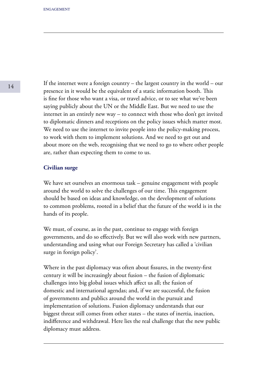If the internet were a foreign country – the largest country in the world – our presence in it would be the equivalent of a static information booth. This is fine for those who want a visa, or travel advice, or to see what we've been saying publicly about the UN or the Middle East. But we need to use the internet in an entirely new way – to connect with those who don't get invited to diplomatic dinners and receptions on the policy issues which matter most. We need to use the internet to invite people into the policy-making process, to work with them to implement solutions. And we need to get out and about more on the web, recognising that we need to go to where other people are, rather than expecting them to come to us.

### **Civilian surge**

We have set ourselves an enormous task – genuine engagement with people around the world to solve the challenges of our time. This engagement should be based on ideas and knowledge, on the development of solutions to common problems, rooted in a belief that the future of the world is in the hands of its people.

We must, of course, as in the past, continue to engage with foreign governments, and do so effectively. But we will also work with new partners, understanding and using what our Foreign Secretary has called a 'civilian surge in foreign policy'.

Where in the past diplomacy was often about fissures, in the twenty-first century it will be increasingly about fusion – the fusion of diplomatic challenges into big global issues which affect us all; the fusion of domestic and international agendas; and, if we are successful, the fusion of governments and publics around the world in the pursuit and implementation of solutions. Fusion diplomacy understands that our biggest threat still comes from other states – the states of inertia, inaction, indifference and withdrawal. Here lies the real challenge that the new public diplomacy must address.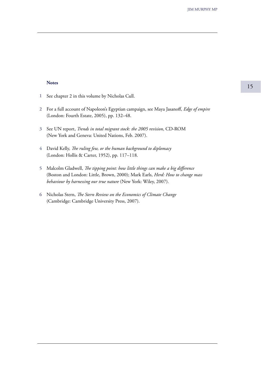#### **Notes**

- See chapter 2 in this volume by Nicholas Cull. **1**
- For a full account of Napoleon's Egyptian campaign, see Maya Jasanoff, *Edge of empire*  **2** (London: Fourth Estate, 2005), pp. 132–48.
- See UN report, *Trends in total migrant stock: the 2005 revision*, CD-ROM **3** (New York and Geneva: United Nations, Feb. 2007).
- David Kelly, *The ruling few, or the human background to diplomacy* **4** (London: Hollis & Carter, 1952), pp. 117–118.
- Malcolm Gladwell, *The tipping point: how little things can make a big difference*  **5** (Boston and London: Little, Brown, 2000); Mark Earls, *Herd: How to change mass behaviour by harnessing our true nature* (New York: Wiley, 2007).
- Nicholas Stern, *The Stern Review on the Economics of Climate Change*  **6** (Cambridge: Cambridge University Press, 2007).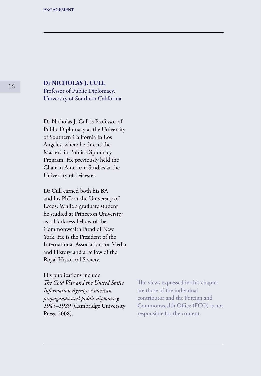### **Dr NICHOLAS J. CULL**

Professor of Public Diplomacy, University of Southern California

Dr Nicholas J. Cull is Professor of Public Diplomacy at the University of Southern California in Los Angeles, where he directs the Master's in Public Diplomacy Program. He previously held the Chair in American Studies at the University of Leicester.

Dr Cull earned both his BA and his PhD at the University of Leeds. While a graduate student he studied at Princeton University as a Harkness Fellow of the Commonwealth Fund of New York. He is the President of the International Association for Media and History and a Fellow of the Royal Historical Society.

His publications include *The Cold War and the United States Information Agency: American propaganda and public diplomacy, 1945–1989* (Cambridge University Press, 2008).

The views expressed in this chapter are those of the individual contributor and the Foreign and Commonwealth Office (FCO) is not responsible for the content.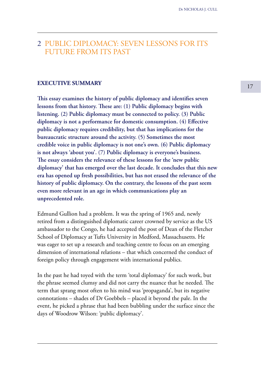## 2 PUBLIC DIPLOMACY: SEVEN LESSONS FOR ITS FUTURE FROM ITS PAST

### **EXECUTIVE SUMMARY**

**This essay examines the history of public diplomacy and identifies seven lessons from that history. These are: (1) Public diplomacy begins with listening. (2) Public diplomacy must be connected to policy. (3) Public diplomacy is not a performance for domestic consumption. (4) Effective public diplomacy requires credibility, but that has implications for the bureaucratic structure around the activity. (5) Sometimes the most credible voice in public diplomacy is not one's own. (6) Public diplomacy is not always 'about you'. (7) Public diplomacy is everyone's business. The essay considers the relevance of these lessons for the 'new public diplomacy' that has emerged over the last decade. It concludes that this new era has opened up fresh possibilities, but has not erased the relevance of the history of public diplomacy. On the contrary, the lessons of the past seem even more relevant in an age in which communications play an unprecedented role.**

Edmund Gullion had a problem. It was the spring of 1965 and, newly retired from a distinguished diplomatic career crowned by service as the US ambassador to the Congo, he had accepted the post of Dean of the Fletcher School of Diplomacy at Tufts University in Medford, Massachusetts. He was eager to set up a research and teaching centre to focus on an emerging dimension of international relations – that which concerned the conduct of foreign policy through engagement with international publics.

In the past he had toyed with the term 'total diplomacy' for such work, but the phrase seemed clumsy and did not carry the nuance that he needed. The term that sprang most often to his mind was 'propaganda', but its negative connotations – shades of Dr Goebbels – placed it beyond the pale. In the event, he picked a phrase that had been bubbling under the surface since the days of Woodrow Wilson: 'public diplomacy'.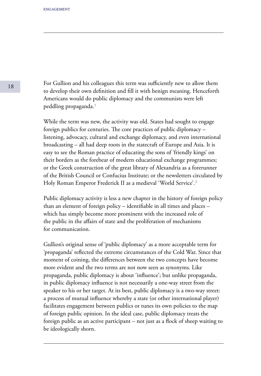For Gullion and his colleagues this term was sufficiently new to allow them to develop their own definition and fill it with benign meaning. Henceforth Americans would do public diplomacy and the communists were left peddling propaganda.<sup>1</sup>

While the term was new, the activity was old. States had sought to engage foreign publics for centuries. The core practices of public diplomacy – listening, advocacy, cultural and exchange diplomacy, and even international broadcasting – all had deep roots in the statecraft of Europe and Asia. It is easy to see the Roman practice of educating the sons of 'friendly kings' on their borders as the forebear of modern educational exchange programmes; or the Greek construction of the great library of Alexandria as a forerunner of the British Council or Confucius Institute; or the newsletters circulated by Holy Roman Emperor Frederick II as a medieval 'World Service'.<sup>2</sup>

Public diplomacy activity is less a new chapter in the history of foreign policy than an element of foreign policy – identifiable in all times and places – which has simply become more prominent with the increased role of the public in the affairs of state and the proliferation of mechanisms for communication.

Gullion's original sense of 'public diplomacy' as a more acceptable term for 'propaganda' reflected the extreme circumstances of the Cold War. Since that moment of coining, the differences between the two concepts have become more evident and the two terms are not now seen as synonyms. Like propaganda, public diplomacy is about 'influence'; but unlike propaganda, in public diplomacy influence is not necessarily a one-way street from the speaker to his or her target. At its best, public diplomacy is a two-way street: a process of mutual influence whereby a state (or other international player) facilitates engagement between publics or tunes its own policies to the map of foreign public opinion. In the ideal case, public diplomacy treats the foreign public as an active participant – not just as a flock of sheep waiting to be ideologically shorn.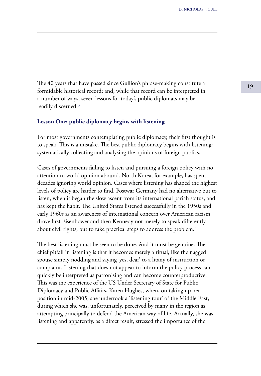<sup>19</sup> The 40 years that have passed since Gullion's phrase-making constitute a formidable historical record; and, while that record can be interpreted in a number of ways, seven lessons for today's public diplomats may be readily discerned.<sup>3</sup>

### **Lesson One: public diplomacy begins with listening**

For most governments contemplating public diplomacy, their first thought is to speak. This is a mistake. The best public diplomacy begins with listening: systematically collecting and analysing the opinions of foreign publics.

Cases of governments failing to listen and pursuing a foreign policy with no attention to world opinion abound. North Korea, for example, has spent decades ignoring world opinion. Cases where listening has shaped the highest levels of policy are harder to find. Postwar Germany had no alternative but to listen, when it began the slow ascent from its international pariah status, and has kept the habit. The United States listened successfully in the 1950s and early 1960s as an awareness of international concern over American racism drove first Eisenhower and then Kennedy not merely to speak differently about civil rights, but to take practical steps to address the problem.<sup>4</sup>

The best listening must be seen to be done. And it must be genuine. The chief pitfall in listening is that it becomes merely a ritual, like the nagged spouse simply nodding and saying 'yes, dear' to a litany of instruction or complaint. Listening that does not appear to inform the policy process can quickly be interpreted as patronising and can become counterproductive. This was the experience of the US Under Secretary of State for Public Diplomacy and Public Affairs, Karen Hughes, when, on taking up her position in mid-2005, she undertook a 'listening tour' of the Middle East, during which she was, unfortunately, perceived by many in the region as attempting principally to defend the American way of life. Actually, she **was**  listening and apparently, as a direct result, stressed the importance of the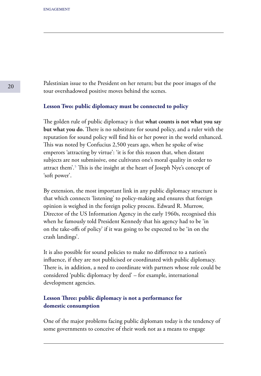Palestinian issue to the President on her return; but the poor images of the tour overshadowed positive moves behind the scenes.

### **Lesson Two: public diplomacy must be connected to policy**

The golden rule of public diplomacy is that **what counts is not what you say but what you do.** There is no substitute for sound policy, and a ruler with the reputation for sound policy will find his or her power in the world enhanced. This was noted by Confucius 2,500 years ago, when he spoke of wise emperors 'attracting by virtue': 'it is for this reason that, when distant subjects are not submissive, one cultivates one's moral quality in order to attract them'.<sup>5</sup> This is the insight at the heart of Joseph Nye's concept of 'soft power'.

By extension, the most important link in any public diplomacy structure is that which connects 'listening' to policy-making and ensures that foreign opinion is weighed in the foreign policy process. Edward R. Murrow, Director of the US Information Agency in the early 1960s, recognised this when he famously told President Kennedy that his agency had to be 'in on the take-offs of policy' if it was going to be expected to be 'in on the crash landings'.

It is also possible for sound policies to make no difference to a nation's influence, if they are not publicised or coordinated with public diplomacy. There is, in addition, a need to coordinate with partners whose role could be considered 'public diplomacy by deed' – for example, international development agencies.

### **Lesson Three: public diplomacy is not a performance for domestic consumption**

One of the major problems facing public diplomats today is the tendency of some governments to conceive of their work not as a means to engage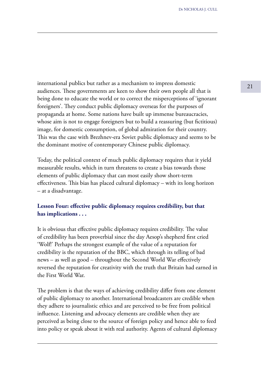<sup>21</sup> international publics but rather as a mechanism to impress domestic audiences. These governments are keen to show their own people all that is being done to educate the world or to correct the misperceptions of 'ignorant foreigners'. They conduct public diplomacy overseas for the purposes of propaganda at home. Some nations have built up immense bureaucracies, whose aim is not to engage foreigners but to build a reassuring (but fictitious) image, for domestic consumption, of global admiration for their country. This was the case with Brezhnev-era Soviet public diplomacy and seems to be the dominant motive of contemporary Chinese public diplomacy.

Today, the political context of much public diplomacy requires that it yield measurable results, which in turn threatens to create a bias towards those elements of public diplomacy that can most easily show short-term effectiveness. This bias has placed cultural diplomacy – with its long horizon – at a disadvantage.

## **Lesson Four: effective public diplomacy requires credibility, but that has implications . . .**

It is obvious that effective public diplomacy requires credibility. The value of credibility has been proverbial since the day Aesop's shepherd first cried 'Wolf!' Perhaps the strongest example of the value of a reputation for credibility is the reputation of the BBC, which through its telling of bad news – as well as good – throughout the Second World War effectively reversed the reputation for creativity with the truth that Britain had earned in the First World War.

The problem is that the ways of achieving credibility differ from one element of public diplomacy to another. International broadcasters are credible when they adhere to journalistic ethics and are perceived to be free from political influence. Listening and advocacy elements are credible when they are perceived as being close to the source of foreign policy and hence able to feed into policy or speak about it with real authority. Agents of cultural diplomacy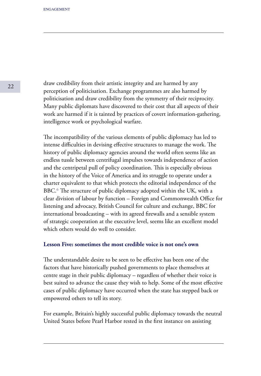draw credibility from their artistic integrity and are harmed by any perception of politicisation. Exchange programmes are also harmed by politicisation and draw credibility from the symmetry of their reciprocity. Many public diplomats have discovered to their cost that all aspects of their work are harmed if it is tainted by practices of covert information-gathering, intelligence work or psychological warfare.

The incompatibility of the various elements of public diplomacy has led to intense difficulties in devising effective structures to manage the work. The history of public diplomacy agencies around the world often seems like an endless tussle between centrifugal impulses towards independence of action and the centripetal pull of policy coordination. This is especially obvious in the history of the Voice of America and its struggle to operate under a charter equivalent to that which protects the editorial independence of the BBC.<sup>6</sup> The structure of public diplomacy adopted within the UK, with a clear division of labour by function – Foreign and Commonwealth Office for listening and advocacy, British Council for culture and exchange, BBC for international broadcasting – with its agreed firewalls and a sensible system of strategic cooperation at the executive level, seems like an excellent model which others would do well to consider.

### **Lesson Five: sometimes the most credible voice is not one's own**

The understandable desire to be seen to be effective has been one of the factors that have historically pushed governments to place themselves at centre stage in their public diplomacy – regardless of whether their voice is best suited to advance the cause they wish to help. Some of the most effective cases of public diplomacy have occurred when the state has stepped back or empowered others to tell its story.

For example, Britain's highly successful public diplomacy towards the neutral United States before Pearl Harbor rested in the first instance on assisting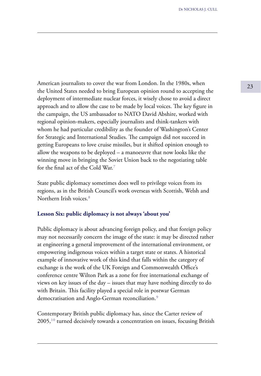American journalists to cover the war from London. In the 1980s, when 23 the United States needed to bring European opinion round to accepting the deployment of intermediate nuclear forces, it wisely chose to avoid a direct approach and to allow the case to be made by local voices. The key figure in the campaign, the US ambassador to NATO David Abshire, worked with regional opinion-makers, especially journalists and think-tankers with whom he had particular credibility as the founder of Washington's Center for Strategic and International Studies. The campaign did not succeed in getting Europeans to love cruise missiles, but it shifted opinion enough to allow the weapons to be deployed – a manoeuvre that now looks like the winning move in bringing the Soviet Union back to the negotiating table for the final act of the Cold War.<sup>7</sup>

State public diplomacy sometimes does well to privilege voices from its regions, as in the British Council's work overseas with Scottish, Welsh and Northern Irish voices<sup>8</sup>

### **Lesson Six: public diplomacy is not always 'about you'**

Public diplomacy is about advancing foreign policy, and that foreign policy may not necessarily concern the image of the state: it may be directed rather at engineering a general improvement of the international environment, or empowering indigenous voices within a target state or states. A historical example of innovative work of this kind that falls within the category of exchange is the work of the UK Foreign and Commonwealth Office's conference centre Wilton Park as a zone for free international exchange of views on key issues of the day – issues that may have nothing directly to do with Britain. This facility played a special role in postwar German democratisation and Anglo-German reconciliation.<sup>9</sup>

Contemporary British public diplomacy has, since the Carter review of  $2005$ ,<sup>10</sup> turned decisively towards a concentration on issues, focusing British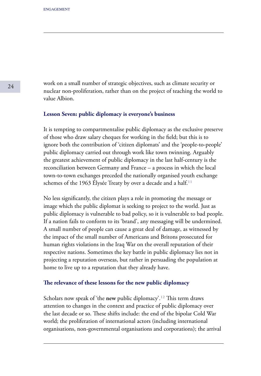work on a small number of strategic objectives, such as climate security or nuclear non-proliferation, rather than on the project of teaching the world to value Albion.

### **Lesson Seven: public diplomacy is everyone's business**

It is tempting to compartmentalise public diplomacy as the exclusive preserve of those who draw salary cheques for working in the field; but this is to ignore both the contribution of 'citizen diplomats' and the 'people-to-people' public diplomacy carried out through work like town twinning. Arguably the greatest achievement of public diplomacy in the last half-century is the reconciliation between Germany and France – a process in which the local town-to-town exchanges preceded the nationally organised youth exchange schemes of the 1963 Elysée Treaty by over a decade and a half.<sup>11</sup>

No less significantly, the citizen plays a role in promoting the message or image which the public diplomat is seeking to project to the world. Just as public diplomacy is vulnerable to bad policy, so it is vulnerable to bad people. If a nation fails to conform to its 'brand', any messaging will be undermined. A small number of people can cause a great deal of damage, as witnessed by the impact of the small number of Americans and Britons prosecuted for human rights violations in the Iraq War on the overall reputation of their respective nations. Sometimes the key battle in public diplomacy lies not in projecting a reputation overseas, but rather in persuading the population at home to live up to a reputation that they already have.

### **The relevance of these lessons for the new public diplomacy**

Scholars now speak of 'the **new** public diplomacy'.<sup>12</sup> This term draws attention to changes in the context and practice of public diplomacy over the last decade or so. These shifts include: the end of the bipolar Cold War world; the proliferation of international actors (including international organisations, non-governmental organisations and corporations); the arrival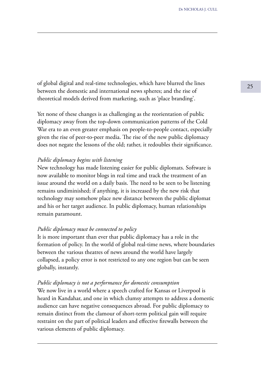<sup>25</sup> of global digital and real-time technologies, which have blurred the lines between the domestic and international news spheres; and the rise of theoretical models derived from marketing, such as 'place branding'.

Yet none of these changes is as challenging as the reorientation of public diplomacy away from the top-down communication patterns of the Cold War era to an even greater emphasis on people-to-people contact, especially given the rise of peer-to-peer media. The rise of the new public diplomacy does not negate the lessons of the old; rather, it redoubles their significance.

### *Public diplomacy begins with listening*

New technology has made listening easier for public diplomats. Software is now available to monitor blogs in real time and track the treatment of an issue around the world on a daily basis. The need to be seen to be listening remains undiminished; if anything, it is increased by the new risk that technology may somehow place new distance between the public diplomat and his or her target audience. In public diplomacy, human relationships remain paramount.

#### *Public diplomacy must be connected to policy*

It is more important than ever that public diplomacy has a role in the formation of policy. In the world of global real-time news, where boundaries between the various theatres of news around the world have largely collapsed, a policy error is not restricted to any one region but can be seen globally, instantly.

#### *Public diplomacy is not a performance for domestic consumption*

We now live in a world where a speech crafted for Kansas or Liverpool is heard in Kandahar, and one in which clumsy attempts to address a domestic audience can have negative consequences abroad. For public diplomacy to remain distinct from the clamour of short-term political gain will require restraint on the part of political leaders and effective firewalls between the various elements of public diplomacy.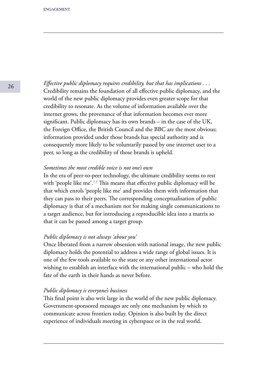*Effective public diplomacy requires credibility, but that has implications . . .* Credibility remains the foundation of all effective public diplomacy, and the world of the new public diplomacy provides even greater scope for that credibility to resonate. As the volume of information available over the internet grows, the provenance of that information becomes ever more significant. Public diplomacy has its own brands – in the case of the UK, the Foreign Office, the British Council and the BBC are the most obvious; information provided under those brands has special authority and is consequently more likely to be voluntarily passed by one internet user to a peer, so long as the credibility of those brands is upheld.

### *Sometimes the most credible voice is not one's own*

In the era of peer-to-peer technology, the ultimate credibility seems to rest with 'people like me'.<sup>13</sup> This means that effective public diplomacy will be that which enrols 'people like me' and provides them with information that they can pass to their peers. The corresponding conceptualisation of public diplomacy is that of a mechanism not for making single communications to a target audience, but for introducing a reproducible idea into a matrix so that it can be passed among a target group.

### *Public diplomacy is not always 'about you'*

Once liberated from a narrow obsession with national image, the new public diplomacy holds the potential to address a wide range of global issues. It is one of the few tools available to the state or any other international actor wishing to establish an interface with the international public – who hold the fate of the earth in their hands as never before.

### *Public diplomacy is everyone's business*

This final point is also writ large in the world of the new public diplomacy. Government-sponsored messages are only one mechanism by which to communicate across frontiers today. Opinion is also built by the direct experience of individuals meeting in cyberspace or in the real world.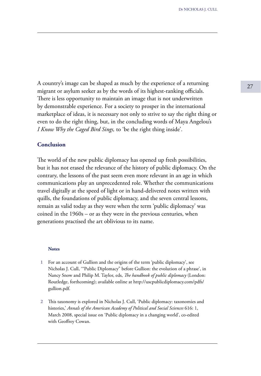<sup>27</sup> A country's image can be shaped as much by the experience of a returning migrant or asylum seeker as by the words of its highest-ranking officials. There is less opportunity to maintain an image that is not underwritten by demonstrable experience. For a society to prosper in the international marketplace of ideas, it is necessary not only to strive to say the right thing or even to do the right thing, but, in the concluding words of Maya Angelou's *I Know Why the Caged Bird Sings,* to 'be the right thing inside'.

### **Conclusion**

The world of the new public diplomacy has opened up fresh possibilities, but it has not erased the relevance of the history of public diplomacy. On the contrary, the lessons of the past seem even more relevant in an age in which communications play an unprecedented role. Whether the communications travel digitally at the speed of light or in hand-delivered notes written with quills, the foundations of public diplomacy, and the seven central lessons, remain as valid today as they were when the term 'public diplomacy' was coined in the 1960s – or as they were in the previous centuries, when generations practised the art oblivious to its name.

#### **Notes**

- For an account of Gullion and the origins of the term 'public diplomacy', see Nicholas J. Cull, '"Public Diplomacy" before Gullion: the evolution of a phrase', in Nancy Snow and Philip M. Taylor, eds, *The handbook of public diplomacy* (London: Routledge, forthcoming); available online at http://uscpublicdiplomacy.com/pdfs/ gullion.pdf. **1**
- This taxonomy is explored in Nicholas J. Cull, 'Public diplomacy: taxonomies and **2**histories,' *Annals of the American Academy of Political and Social Sciences* 616: 1, March 2008, special issue on 'Public diplomacy in a changing world', co-edited with Geoffrey Cowan.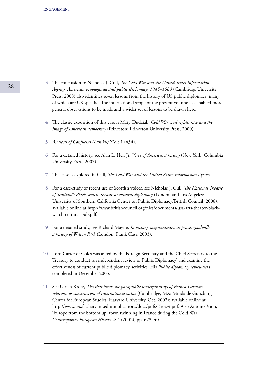- The conclusion to Nicholas J. Cull, *The Cold War and the United States Information*  **3** *Agency: American propaganda and public diplomacy, 1945–1989* (Cambridge University Press, 2008) also identifies seven lessons from the history of US public diplomacy, many of which are US-specific. The international scope of the present volume has enabled more general observations to be made and a wider set of lessons to be drawn here.
- The classic exposition of this case is Mary Dudziak, *Cold War civil rights: race and the* **4** *image of American democracy* (Princeton: Princeton University Press, 2000).
- *Analects of Confucius (Lun Yu)* XVI: 1 (434). **5**
- For a detailed history, see Alan L. Heil Jr, *Voice of America: a history* (New York: Columbia **6** University Press, 2003).
- This case is explored in Cull, *The Cold War and the United States Information Agency.* **7**
- For a case-study of recent use of Scottish voices, see Nicholas J. Cull, *The National Theatre*  **8** *of Scotland's Black Watch: theatre as cultural diplomacy* (London and Los Angeles: University of Southern California Center on Public Diplomacy/British Council, 2008); available online at http://www.britishcouncil.org/files/documents/usa-arts-theater-blackwatch-cultural-pub.pdf.
- For a detailed study, see Richard Mayne, *In victory, magnanimity, in peace, goodwill:*  **9** *a history of Wilton Park* (London: Frank Cass, 2003).
- 10 Lord Carter of Coles was asked by the Foreign Secretary and the Chief Secretary to the Treasury to conduct 'an independent review of Public Diplomacy' and examine the effectiveness of current public diplomacy activities. His *Public diplomacy review* was completed in December 2005.
- See Ulrich Krotz, *Ties that bind: the parapublic underpinnings of Franco-German*  **11***relations as construction of international value* (Cambridge, MA: Minda de Gunzburg Center for European Studies, Harvard University, Oct. 2002); available online at http://www.ces.fas.harvard.edu/publications/docs/pdfs/Krotz4.pdf. Also Antoine Vion, 'Europe from the bottom up: town twinning in France during the Cold War', *Contemporary European History* 2: 4 (2002), pp. 623–40.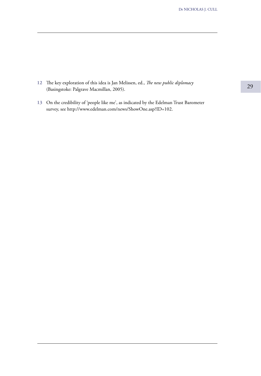- The key exploration of this idea is Jan Melissen, ed., *The new public diplomacy*  **12** (Basingstoke: Palgrave Macmillan, 2005).
- On the credibility of 'people like me', as indicated by the Edelman Trust Barometer **13**survey, see http://www.edelman.com/news/ShowOne.asp?ID=102.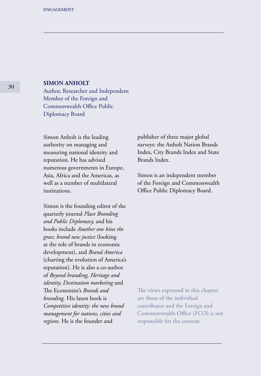### **SIMON ANHOLT**

Author, Researcher and Independent Member of the Foreign and Commonwealth Office Public Diplomacy Board

Simon Anholt is the leading authority on managing and measuring national identity and reputation. He has advised numerous governments in Europe, Asia, Africa and the Americas, as well as a number of multilateral institutions.

Simon is the founding editor of the quarterly journal *Place Branding and Public Diplomacy,* and his books include *Another one bites the grass; brand new justice* (looking at the role of brands in economic development), and *Brand America*  (charting the evolution of America's reputation). He is also a co-author of *Beyond branding, Heritage and identity, Destination marketing* and The Economist's *Brands and branding.* His latest book is *Competitive identity: the new brand management for nations, cities and regions.* He is the founder and

publisher of three major global surveys: the Anholt Nation Brands Index, City Brands Index and State Brands Index.

Simon is an independent member of the Foreign and Commonwealth Office Public Diplomacy Board.

The views expressed in this chapter are those of the individual contributor and the Foreign and Commonwealth Office (FCO) is not responsible for the content.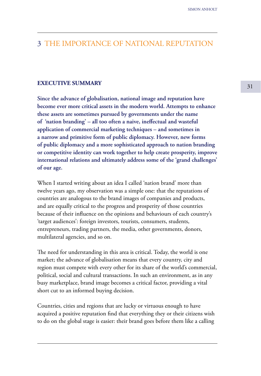## 3 THE IMPORTANCE OF NATIONAL REPUTATION

### **EXECUTIVE SUMMARY**

**Since the advance of globalisation, national image and reputation have become ever more critical assets in the modern world. Attempts to enhance these assets are sometimes pursued by governments under the name of 'nation branding' – all too often a naive, ineffectual and wasteful application of commercial marketing techniques – and sometimes in a narrow and primitive form of public diplomacy. However, new forms of public diplomacy and a more sophisticated approach to nation branding or competitive identity can work together to help create prosperity, improve international relations and ultimately address some of the 'grand challenges' of our age.**

When I started writing about an idea I called 'nation brand' more than twelve years ago, my observation was a simple one: that the reputations of countries are analogous to the brand images of companies and products, and are equally critical to the progress and prosperity of those countries because of their influence on the opinions and behaviours of each country's 'target audiences': foreign investors, tourists, consumers, students, entrepreneurs, trading partners, the media, other governments, donors, multilateral agencies, and so on.

The need for understanding in this area is critical. Today, the world is one market; the advance of globalisation means that every country, city and region must compete with every other for its share of the world's commercial, political, social and cultural transactions. In such an environment, as in any busy marketplace, brand image becomes a critical factor, providing a vital short cut to an informed buying decision.

Countries, cities and regions that are lucky or virtuous enough to have acquired a positive reputation find that everything they or their citizens wish to do on the global stage is easier: their brand goes before them like a calling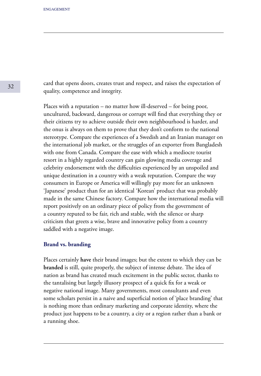card that opens doors, creates trust and respect, and raises the expectation of quality, competence and integrity.

Places with a reputation – no matter how ill-deserved – for being poor, uncultured, backward, dangerous or corrupt will find that everything they or their citizens try to achieve outside their own neighbourhood is harder, and the onus is always on them to prove that they don't conform to the national stereotype. Compare the experiences of a Swedish and an Iranian manager on the international job market, or the struggles of an exporter from Bangladesh with one from Canada. Compare the ease with which a mediocre tourist resort in a highly regarded country can gain glowing media coverage and celebrity endorsement with the difficulties experienced by an unspoiled and unique destination in a country with a weak reputation. Compare the way consumers in Europe or America will willingly pay more for an unknown 'Japanese' product than for an identical 'Korean' product that was probably made in the same Chinese factory. Compare how the international media will report positively on an ordinary piece of policy from the government of a country reputed to be fair, rich and stable, with the silence or sharp criticism that greets a wise, brave and innovative policy from a country saddled with a negative image.

#### **Brand vs. branding**

Places certainly **have** their brand images; but the extent to which they can be **branded** is still, quite properly, the subject of intense debate. The idea of nation as brand has created much excitement in the public sector, thanks to the tantalising but largely illusory prospect of a quick fix for a weak or negative national image. Many governments, most consultants and even some scholars persist in a naive and superficial notion of 'place branding' that is nothing more than ordinary marketing and corporate identity, where the product just happens to be a country, a city or a region rather than a bank or a running shoe.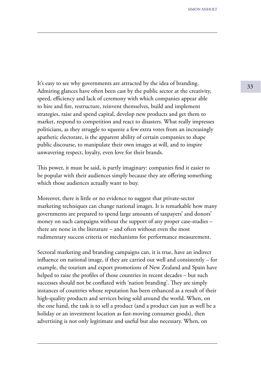It's easy to see why governments are attracted by the idea of branding. Admiring glances have often been cast by the public sector at the creativity, speed, efficiency and lack of ceremony with which companies appear able to hire and fire, restructure, reinvent themselves, build and implement strategies, raise and spend capital, develop new products and get them to market, respond to competition and react to disasters. What really impresses politicians, as they struggle to squeeze a few extra votes from an increasingly apathetic electorate, is the apparent ability of certain companies to shape public discourse, to manipulate their own images at will, and to inspire unwavering respect, loyalty, even love for their brands.

This power, it must be said, is partly imaginary: companies find it easier to be popular with their audiences simply because they are offering something which those audiences actually want to buy.

Moreover, there is little or no evidence to suggest that private-sector marketing techniques can change national images. It is remarkable how many governments are prepared to spend large amounts of taxpayers' and donors' money on such campaigns without the support of any proper case-studies – there are none in the literature – and often without even the most rudimentary success criteria or mechanisms for performance measurement.

Sectoral marketing and branding campaigns can, it is true, have an indirect influence on national image, if they are carried out well and consistently – for example, the tourism and export promotions of New Zealand and Spain have helped to raise the profiles of those countries in recent decades – but such successes should not be conflated with 'nation branding'. They are simply instances of countries whose reputation has been enhanced as a result of their high-quality products and services being sold around the world. When, on the one hand, the task is to sell a product (and a product can just as well be a holiday or an investment location as fast-moving consumer goods), then advertising is not only legitimate and useful but also necessary. When, on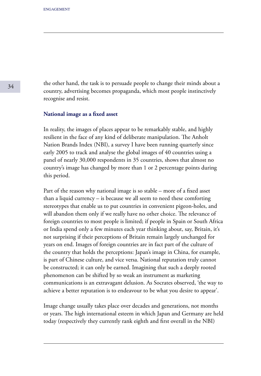the other hand, the task is to persuade people to change their minds about a country, advertising becomes propaganda, which most people instinctively recognise and resist.

### **National image as a fixed asset**

In reality, the images of places appear to be remarkably stable, and highly resilient in the face of any kind of deliberate manipulation. The Anholt Nation Brands Index (NBI), a survey I have been running quarterly since early 2005 to track and analyse the global images of 40 countries using a panel of nearly 30,000 respondents in 35 countries, shows that almost no country's image has changed by more than 1 or 2 percentage points during this period.

Part of the reason why national image is so stable – more of a fixed asset than a liquid currency – is because we all seem to need these comforting stereotypes that enable us to put countries in convenient pigeon-holes, and will abandon them only if we really have no other choice. The relevance of foreign countries to most people is limited; if people in Spain or South Africa or India spend only a few minutes each year thinking about, say, Britain, it's not surprising if their perceptions of Britain remain largely unchanged for years on end. Images of foreign countries are in fact part of the culture of the country that holds the perceptions: Japan's image in China, for example, is part of Chinese culture, and vice versa. National reputation truly cannot be constructed; it can only be earned. Imagining that such a deeply rooted phenomenon can be shifted by so weak an instrument as marketing communications is an extravagant delusion. As Socrates observed, 'the way to achieve a better reputation is to endeavour to be what you desire to appear'.

Image change usually takes place over decades and generations, not months or years. The high international esteem in which Japan and Germany are held today (respectively they currently rank eighth and first overall in the NBI)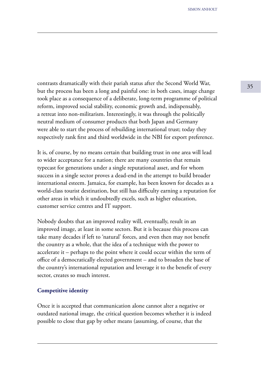<sup>35</sup> contrasts dramatically with their pariah status after the Second World War, but the process has been a long and painful one: in both cases, image change took place as a consequence of a deliberate, long-term programme of political reform, improved social stability, economic growth and, indispensably, a retreat into non-militarism. Interestingly, it was through the politically neutral medium of consumer products that both Japan and Germany were able to start the process of rebuilding international trust; today they respectively rank first and third worldwide in the NBI for export preference.

It is, of course, by no means certain that building trust in one area will lead to wider acceptance for a nation; there are many countries that remain typecast for generations under a single reputational asset, and for whom success in a single sector proves a dead-end in the attempt to build broader international esteem. Jamaica, for example, has been known for decades as a world-class tourist destination, but still has difficulty earning a reputation for other areas in which it undoubtedly excels, such as higher education, customer service centres and IT support.

Nobody doubts that an improved reality will, eventually, result in an improved image, at least in some sectors. But it is because this process can take many decades if left to 'natural' forces, and even then may not benefit the country as a whole, that the idea of a technique with the power to accelerate it – perhaps to the point where it could occur within the term of office of a democratically elected government – and to broaden the base of the country's international reputation and leverage it to the benefit of every sector, creates so much interest.

#### **Competitive identity**

Once it is accepted that communication alone cannot alter a negative or outdated national image, the critical question becomes whether it is indeed possible to close that gap by other means (assuming, of course, that the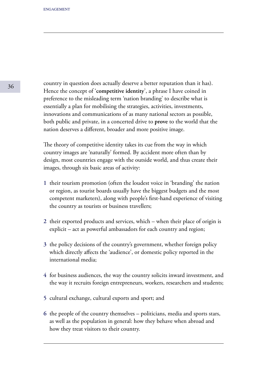country in question does actually deserve a better reputation than it has). Hence the concept of '**competitive identity**', a phrase I have coined in preference to the misleading term 'nation branding' to describe what is essentially a plan for mobilising the strategies, activities, investments, innovations and communications of as many national sectors as possible, both public and private, in a concerted drive to **prove** to the world that the nation deserves a different, broader and more positive image.

The theory of competitive identity takes its cue from the way in which country images are 'naturally' formed. By accident more often than by design, most countries engage with the outside world, and thus create their images, through six basic areas of activity:

- **1** their tourism promotion (often the loudest voice in 'branding' the nation or region, as tourist boards usually have the biggest budgets and the most competent marketers), along with people's first-hand experience of visiting the country as tourists or business travellers;
- **2** their exported products and services, which when their place of origin is explicit – act as powerful ambassadors for each country and region;
- **3** the policy decisions of the country's government, whether foreign policy which directly affects the 'audience', or domestic policy reported in the international media;
- **4** for business audiences, the way the country solicits inward investment, and the way it recruits foreign entrepreneurs, workers, researchers and students;
- **5** cultural exchange, cultural exports and sport; and
- **6** the people of the country themselves politicians, media and sports stars, as well as the population in general: how they behave when abroad and how they treat visitors to their country.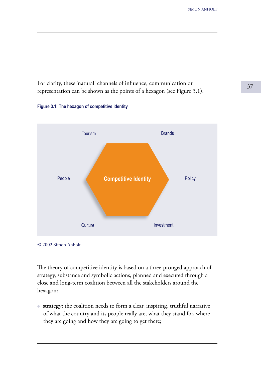<sup>37</sup> For clarity, these 'natural' channels of influence, communication or representation can be shown as the points of a hexagon (see Figure 3.1).

#### **Figure 3.1: The hexagon of competitive identity**



<sup>© 2002</sup> Simon Anholt

The theory of competitive identity is based on a three-pronged approach of strategy, substance and symbolic actions, planned and executed through a close and long-term coalition between all the stakeholders around the hexagon:

● **strategy:** the coalition needs to form a clear, inspiring, truthful narrative of what the country and its people really are, what they stand for, where they are going and how they are going to get there;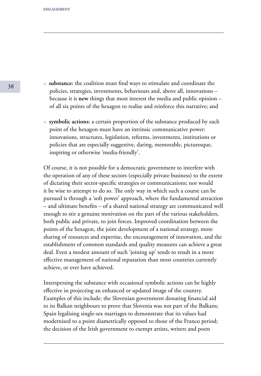- **substance:** the coalition must find ways to stimulate and coordinate the policies, strategies, investments, behaviours and, above all, innovations – because it is **new** things that most interest the media and public opinion – of all six points of the hexagon to realise and reinforce this narrative; and
- **symbolic actions:** a certain proportion of the substance produced by each point of the hexagon must have an intrinsic communicative power: innovations, structures, legislation, reforms, investments, institutions or policies that are especially suggestive, daring, memorable, picturesque, inspiring or otherwise 'media-friendly'.

Of course, it is not possible for a democratic government to interfere with the operation of any of these sectors (especially private business) to the extent of dictating their sector-specific strategies or communications; nor would it be wise to attempt to do so. The only way in which such a course can be pursued is through a 'soft power' approach, where the fundamental attraction – and ultimate benefits – of a shared national strategy are communicated well enough to stir a genuine motivation on the part of the various stakeholders, both public and private, to join forces. Improved coordination between the points of the hexagon, the joint development of a national strategy, more sharing of resources and expertise, the encouragement of innovation, and the establishment of common standards and quality measures can achieve a great deal. Even a modest amount of such 'joining up' tends to result in a more effective management of national reputation than most countries currently achieve, or ever have achieved.

Interspersing the substance with occasional symbolic actions can be highly effective in projecting an enhanced or updated image of the country. Examples of this include: the Slovenian government donating financial aid to its Balkan neighbours to prove that Slovenia was not part of the Balkans; Spain legalising single-sex marriages to demonstrate that its values had modernised to a point diametrically opposed to those of the Franco period; the decision of the Irish government to exempt artists, writers and poets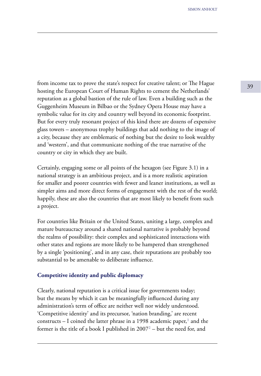from income tax to prove the state's respect for creative talent; or The Hague hosting the European Court of Human Rights to cement the Netherlands' reputation as a global bastion of the rule of law. Even a building such as the Guggenheim Museum in Bilbao or the Sydney Opera House may have a symbolic value for its city and country well beyond its economic footprint. But for every truly resonant project of this kind there are dozens of expensive glass towers – anonymous trophy buildings that add nothing to the image of a city, because they are emblematic of nothing but the desire to look wealthy and 'western', and that communicate nothing of the true narrative of the country or city in which they are built.

Certainly, engaging some or all points of the hexagon (see Figure 3.1) in a national strategy is an ambitious project, and is a more realistic aspiration for smaller and poorer countries with fewer and leaner institutions, as well as simpler aims and more direct forms of engagement with the rest of the world; happily, these are also the countries that are most likely to benefit from such a project.

For countries like Britain or the United States, uniting a large, complex and mature bureaucracy around a shared national narrative is probably beyond the realms of possibility: their complex and sophisticated interactions with other states and regions are more likely to be hampered than strengthened by a single 'positioning', and in any case, their reputations are probably too substantial to be amenable to deliberate influence.

#### **Competitive identity and public diplomacy**

Clearly, national reputation is a critical issue for governments today; but the means by which it can be meaningfully influenced during any administration's term of office are neither well nor widely understood. 'Competitive identity' and its precursor, 'nation branding,' are recent constructs – I coined the latter phrase in a 1998 academic paper,<sup>1</sup> and the former is the title of a book I published in 2007² – but the need for, and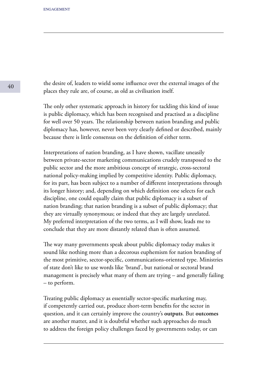the desire of, leaders to wield some influence over the external images of the places they rule are, of course, as old as civilisation itself.

The only other systematic approach in history for tackling this kind of issue is public diplomacy, which has been recognised and practised as a discipline for well over 50 years. The relationship between nation branding and public diplomacy has, however, never been very clearly defined or described, mainly because there is little consensus on the definition of either term.

Interpretations of nation branding, as I have shown, vacillate uneasily between private-sector marketing communications crudely transposed to the public sector and the more ambitious concept of strategic, cross-sectoral national policy-making implied by competitive identity. Public diplomacy, for its part, has been subject to a number of different interpretations through its longer history; and, depending on which definition one selects for each discipline, one could equally claim that public diplomacy is a subset of nation branding; that nation branding is a subset of public diplomacy; that they are virtually synonymous; or indeed that they are largely unrelated. My preferred interpretation of the two terms, as I will show, leads me to conclude that they are more distantly related than is often assumed.

The way many governments speak about public diplomacy today makes it sound like nothing more than a decorous euphemism for nation branding of the most primitive, sector-specific, communications-oriented type. Ministries of state don't like to use words like 'brand', but national or sectoral brand management is precisely what many of them are trying – and generally failing – to perform.

Treating public diplomacy as essentially sector-specific marketing may, if competently carried out, produce short-term benefits for the sector in question, and it can certainly improve the country's **outputs**. But **outcomes**  are another matter, and it is doubtful whether such approaches do much to address the foreign policy challenges faced by governments today, or can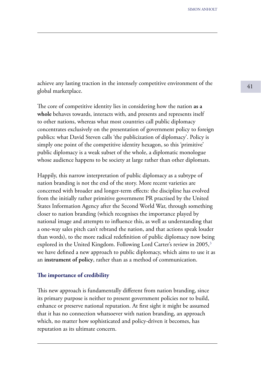achieve any lasting traction in the intensely competitive environment of the  $\frac{41}{41}$ global marketplace.

The core of competitive identity lies in considering how the nation **as a whole** behaves towards, interacts with, and presents and represents itself to other nations, whereas what most countries call public diplomacy concentrates exclusively on the presentation of government policy to foreign publics: what David Steven calls 'the publicization of diplomacy'. Policy is simply one point of the competitive identity hexagon, so this 'primitive' public diplomacy is a weak subset of the whole, a diplomatic monologue whose audience happens to be society at large rather than other diplomats.

Happily, this narrow interpretation of public diplomacy as a subtype of nation branding is not the end of the story. More recent varieties are concerned with broader and longer-term effects: the discipline has evolved from the initially rather primitive government PR practised by the United States Information Agency after the Second World War, through something closer to nation branding (which recognises the importance played by national image and attempts to influence this, as well as understanding that a one-way sales pitch can't rebrand the nation, and that actions speak louder than words), to the more radical redefinition of public diplomacy now being explored in the United Kingdom. Following Lord Carter's review in 2005,<sup>3</sup> we have defined a new approach to public diplomacy, which aims to use it as an **instrument of policy**, rather than as a method of communication.

#### **The importance of credibility**

This new approach is fundamentally different from nation branding, since its primary purpose is neither to present government policies nor to build, enhance or preserve national reputation. At first sight it might be assumed that it has no connection whatsoever with nation branding, an approach which, no matter how sophisticated and policy-driven it becomes, has reputation as its ultimate concern.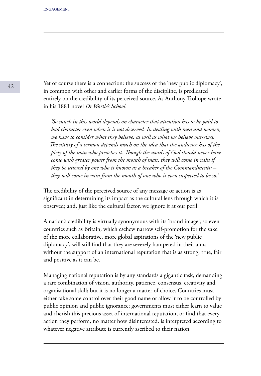Yet of course there is a connection: the success of the 'new public diplomacy', in common with other and earlier forms of the discipline, is predicated entirely on the credibility of its perceived source. As Anthony Trollope wrote in his 1881 novel *Dr Wortle's School*:

 *'So much in this world depends on character that attention has to be paid to bad character even when it is not deserved. In dealing with men and women, we have to consider what they believe, as well as what we believe ourselves. The utility of a sermon depends much on the idea that the audience has of the piety of the man who preaches it. Though the words of God should never have come with greater power from the mouth of man, they will come in vain if they be uttered by one who is known as a breaker of the Commandments; – they will come in vain from the mouth of one who is even suspected to be so.'*

The credibility of the perceived source of any message or action is as significant in determining its impact as the cultural lens through which it is observed; and, just like the cultural factor, we ignore it at our peril.

A nation's credibility is virtually synonymous with its 'brand image'; so even countries such as Britain, which eschew narrow self-promotion for the sake of the more collaborative, more global aspirations of the 'new public diplomacy', will still find that they are severely hampered in their aims without the support of an international reputation that is as strong, true, fair and positive as it can be.

Managing national reputation is by any standards a gigantic task, demanding a rare combination of vision, authority, patience, consensus, creativity and organisational skill; but it is no longer a matter of choice. Countries must either take some control over their good name or allow it to be controlled by public opinion and public ignorance; governments must either learn to value and cherish this precious asset of international reputation, or find that every action they perform, no matter how disinterested, is interpreted according to whatever negative attribute is currently ascribed to their nation.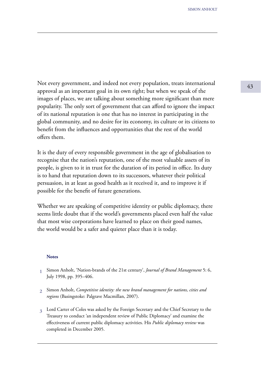Not every government, and indeed not every population, treats international and the set of  $\frac{43}{43}$ approval as an important goal in its own right; but when we speak of the images of places, we are talking about something more significant than mere popularity. The only sort of government that can afford to ignore the impact of its national reputation is one that has no interest in participating in the global community, and no desire for its economy, its culture or its citizens to benefit from the influences and opportunities that the rest of the world offers them.

It is the duty of every responsible government in the age of globalisation to recognise that the nation's reputation, one of the most valuable assets of its people, is given to it in trust for the duration of its period in office. Its duty is to hand that reputation down to its successors, whatever their political persuasion, in at least as good health as it received it, and to improve it if possible for the benefit of future generations.

Whether we are speaking of competitive identity or public diplomacy, there seems little doubt that if the world's governments placed even half the value that most wise corporations have learned to place on their good names, the world would be a safer and quieter place than it is today.

#### **Notes**

- Simon Anholt, 'Nation-brands of the 21st century', *Journal of Brand Management* 5: 6, **1** July 1998, pp. 395–406.
- Simon Anholt, *Competitive identity: the new brand management for nations, cities and*  **2** *regions* (Basingstoke: Palgrave Macmillan, 2007).
- Lord Carter of Coles was asked by the Foreign Secretary and the Chief Secretary to the **3** Treasury to conduct 'an independent review of Public Diplomacy' and examine the effectiveness of current public diplomacy activities. His *Public diplomacy review* was completed in December 2005.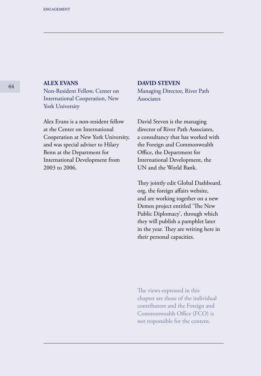## **ALEX EVANS**

Non-Resident Fellow, Center on International Cooperation, New York University

Alex Evans is a non-resident fellow at the Center on International Cooperation at New York University, and was special adviser to Hilary Benn at the Department for International Development from 2003 to 2006.

#### **DAVID STEVEN**

Managing Director, River Path Associates

David Steven is the managing director of River Path Associates, a consultancy that has worked with the Foreign and Commonwealth Office, the Department for International Development, the UN and the World Bank.

They jointly edit Global Dashboard. org, the foreign affairs website, and are working together on a new Demos project entitled 'The New Public Diplomacy', through which they will publish a pamphlet later in the year. They are writing here in their personal capacities.

The views expressed in this chapter are those of the individual contributors and the Foreign and Commonwealth Office (FCO) is not responsible for the content.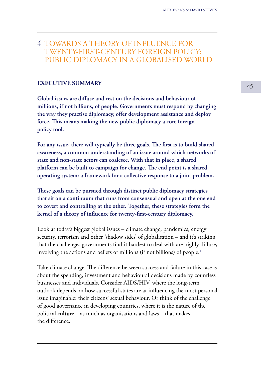## 4 TOWARDS A THEORY OF INFLUENCE FOR TWENTY-FIRST-CENTURY FOREIGN POLICY: PUBLIC DIPLOMACY IN A GLOBALISED WORLD

## **EXECUTIVE SUMMARY** 45

**Global issues are diffuse and rest on the decisions and behaviour of millions, if not billions, of people. Governments must respond by changing the way they practise diplomacy, offer development assistance and deploy force. This means making the new public diplomacy a core foreign policy tool.**

**For any issue, there will typically be three goals. The first is to build shared awareness, a common understanding of an issue around which networks of state and non-state actors can coalesce. With that in place, a shared platform can be built to campaign for change. The end point is a shared operating system: a framework for a collective response to a joint problem.**

**These goals can be pursued through distinct public diplomacy strategies that sit on a continuum that runs from consensual and open at the one end to covert and controlling at the other. Together, these strategies form the kernel of a theory of influence for twenty-first-century diplomacy.**

Look at today's biggest global issues – climate change, pandemics, energy security, terrorism and other 'shadow sides' of globalisation – and it's striking that the challenges governments find it hardest to deal with are highly diffuse, involving the actions and beliefs of millions (if not billions) of people.<sup>1</sup>

Take climate change. The difference between success and failure in this case is about the spending, investment and behavioural decisions made by countless businesses and individuals. Consider AIDS/HIV, where the long-term outlook depends on how successful states are at influencing the most personal issue imaginable: their citizens' sexual behaviour. Or think of the challenge of good governance in developing countries, where it is the nature of the political **culture** – as much as organisations and laws – that makes the difference.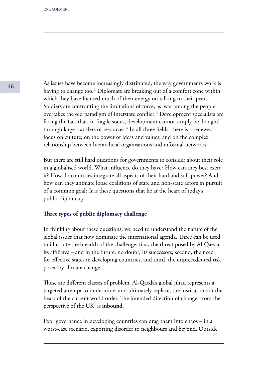As issues have become increasingly distributed, the way governments work is having to change too.<sup>2</sup> Diplomats are breaking out of a comfort zone within which they have focused much of their energy on talking to their peers. Soldiers are confronting the limitations of force, as 'war among the people' overtakes the old paradigm of interstate conflict.<sup>3</sup> Development specialists are facing the fact that, in fragile states, development cannot simply be 'bought' through large transfers of resources.<sup>4</sup> In all three fields, there is a renewed focus on culture; on the power of ideas and values; and on the complex relationship between hierarchical organisations and informal networks.

But there are still hard questions for governments to consider about their role in a globalised world. What influence do they have? How can they best exert it? How do countries integrate all aspects of their hard and soft power? And how can they animate loose coalitions of state and non-state actors in pursuit of a common goal? It is these questions that lie at the heart of today's public diplomacy.

#### **Three types of public diplomacy challenge**

In thinking about these questions, we need to understand the nature of the global issues that now dominate the international agenda. Three can be used to illustrate the breadth of the challenge: first, the threat posed by Al-Qaeda, its affiliates – and in the future, no doubt, its successors; second, the need for effective states in developing countries; and third, the unprecedented risk posed by climate change.

These are different classes of problem. Al-Qaeda's global jihad represents a targeted attempt to undermine, and ultimately replace, the institutions at the heart of the current world order. The intended direction of change, from the perspective of the UK, is **inbound**.

Poor governance in developing countries can drag them into chaos – in a worst-case scenario, exporting disorder to neighbours and beyond. Outside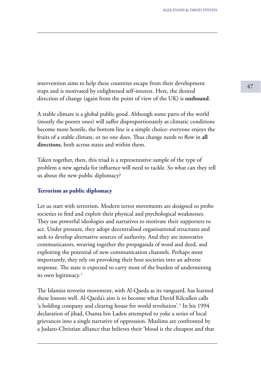<sup>47</sup> intervention aims to help these countries escape from their development traps and is motivated by enlightened self-interest. Here, the desired direction of change (again from the point of view of the UK) is **outbound**.

A stable climate is a global public good. Although some parts of the world (mostly the poorer ones) will suffer disproportionately as climatic conditions become more hostile, the bottom line is a simple choice: everyone enjoys the fruits of a stable climate, or no one does. Thus change needs to flow in **all directions**, both across states and within them.

Taken together, then, this triad is a representative sample of the type of problem a new agenda for influence will need to tackle. So what can they tell us about the new public diplomacy?

### **Terrorism as public diplomacy**

Let us start with terrorism. Modern terror movements are designed to probe societies to find and exploit their physical and psychological weaknesses. They use powerful ideologies and narratives to motivate their supporters to act. Under pressure, they adopt decentralised organisational structures and seek to develop alternative sources of authority. And they are innovative communicators, weaving together the propaganda of word and deed, and exploiting the potential of new communication channels. Perhaps most importantly, they rely on provoking their host societies into an adverse response. The state is expected to carry most of the burden of undermining its own legitimacy.<sup>5</sup>

The Islamist terrorist movement, with Al-Qaeda as its vanguard, has learned these lessons well. Al-Qaeda's aim is to become what David Kilcullen calls 'a holding company and clearing house for world revolution'.<sup>6</sup> In his 1994 declaration of jihad, Osama bin Laden attempted to yoke a series of local grievances into a single narrative of oppression. Muslims are confronted by a Judaeo-Christian alliance that believes their 'blood is the cheapest and that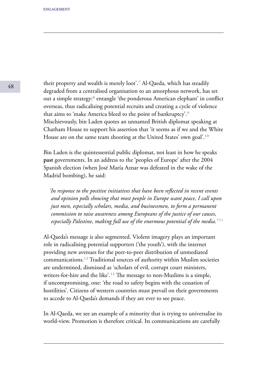their property and wealth is merely loot'.<sup>7</sup> Al-Qaeda, which has steadily degraded from a centralised organisation to an amorphous network, has set out a simple strategy:<sup>8</sup> entangle 'the ponderous American elephant' in conflict overseas, thus radicalising potential recruits and creating a cycle of violence that aims to 'make America bleed to the point of bankruptcy'.<sup>9</sup> Mischievously, bin Laden quotes an unnamed British diplomat speaking at Chatham House to support his assertion that 'it seems as if we and the White House are on the same team shooting at the United States' own goal'.<sup>10</sup>

Bin Laden is the quintessential public diplomat, not least in how he speaks **past** governments. In an address to the 'peoples of Europe' after the 2004 Spanish election (when José María Aznar was defeated in the wake of the Madrid bombing), he said:

 *'In response to the positive initiatives that have been reflected in recent events and opinion polls showing that most people in Europe want peace, I call upon just men, especially scholars, media, and businessmen, to form a permanent commission to raise awareness among Europeans of the justice of our causes, especially Palestine, making full use of the enormous potential of the media.*<sup>'11</sup>

Al-Qaeda's message is also segmented. Violent imagery plays an important role in radicalising potential supporters ('the youth'), with the internet providing new avenues for the peer-to-peer distribution of unmediated communications.<sup>12</sup> Traditional sources of authority within Muslim societies are undermined, dismissed as 'scholars of evil, corrupt court ministers, writers-for-hire and the like'.<sup>13</sup> The message to non-Muslims is a simple, if uncompromising, one: 'the road to safety begins with the cessation of hostilities'. Citizens of western countries must prevail on their governments to accede to Al-Qaeda's demands if they are ever to see peace.

In Al-Qaeda, we see an example of a minority that is trying to universalise its world-view. Promotion is therefore critical. Its communications are carefully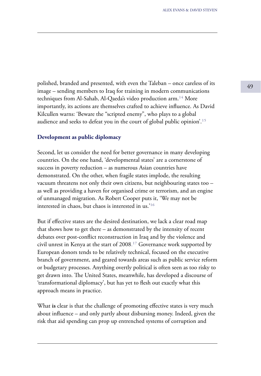polished, branded and presented, with even the Taleban – once careless of its  $\frac{49}{49}$ image – sending members to Iraq for training in modern communications techniques from Al-Sahab, Al-Qaeda's video production arm.<sup>14</sup> More importantly, its actions are themselves crafted to achieve influence. As David Kilcullen warns: 'Beware the "scripted enemy", who plays to a global audience and seeks to defeat you in the court of global public opinion<sup>'.15</sup>

### **Development as public diplomacy**

Second, let us consider the need for better governance in many developing countries. On the one hand, 'developmental states' are a cornerstone of success in poverty reduction – as numerous Asian countries have demonstrated. On the other, when fragile states implode, the resulting vacuum threatens not only their own citizens, but neighbouring states too – as well as providing a haven for organised crime or terrorism, and an engine of unmanaged migration. As Robert Cooper puts it, 'We may not be interested in chaos, but chaos is interested in us.<sup>'16</sup>

But if effective states are the desired destination, we lack a clear road map that shows how to get there – as demonstrated by the intensity of recent debates over post-conflict reconstruction in Iraq and by the violence and civil unrest in Kenya at the start of  $2008<sup>17</sup>$  Governance work supported by European donors tends to be relatively technical, focused on the executive branch of government, and geared towards areas such as public service reform or budgetary processes. Anything overtly political is often seen as too risky to get drawn into. The United States, meanwhile, has developed a discourse of 'transformational diplomacy', but has yet to flesh out exactly what this approach means in practice.

What **is** clear is that the challenge of promoting effective states is very much about influence – and only partly about disbursing money. Indeed, given the risk that aid spending can prop up entrenched systems of corruption and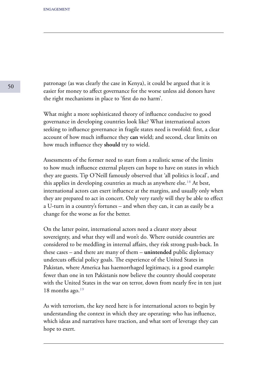patronage (as was clearly the case in Kenya), it could be argued that it is easier for money to affect governance for the worse unless aid donors have the right mechanisms in place to 'first do no harm'.

What might a more sophisticated theory of influence conducive to good governance in developing countries look like? What international actors seeking to influence governance in fragile states need is twofold: first, a clear account of how much influence they **can** wield; and second, clear limits on how much influence they **should** try to wield.

Assessments of the former need to start from a realistic sense of the limits to how much influence external players can hope to have on states in which they are guests. Tip O'Neill famously observed that 'all politics is local', and this applies in developing countries as much as anywhere else.<sup>18</sup> At best, international actors can exert influence at the margins, and usually only when they are prepared to act in concert. Only very rarely will they be able to effect a U-turn in a country's fortunes – and when they can, it can as easily be a change for the worse as for the better.

On the latter point, international actors need a clearer story about sovereignty, and what they will and won't do. Where outside countries are considered to be meddling in internal affairs, they risk strong push-back. In these cases – and there are many of them – **unintended** public diplomacy undercuts official policy goals. The experience of the United States in Pakistan, where America has haemorrhaged legitimacy, is a good example: fewer than one in ten Pakistanis now believe the country should cooperate with the United States in the war on terror, down from nearly five in ten just 18 months ago. $19$ 

As with terrorism, the key need here is for international actors to begin by understanding the context in which they are operating: who has influence, which ideas and narratives have traction, and what sort of leverage they can hope to exert.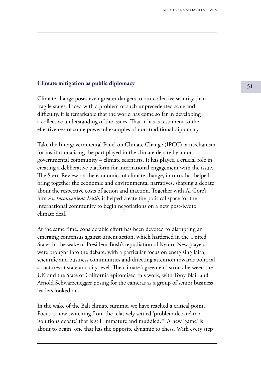## <sup>51</sup> **Climate mitigation as public diplomacy**

Climate change poses even greater dangers to our collective security than fragile states. Faced with a problem of such unprecedented scale and difficulty, it is remarkable that the world has come so far in developing a collective understanding of the issues. That it has is testament to the effectiveness of some powerful examples of non-traditional diplomacy.

Take the Intergovernmental Panel on Climate Change (IPCC), a mechanism for institutionalising the part played in the climate debate by a nongovernmental community – climate scientists. It has played a crucial role in creating a deliberative platform for international engagement with the issue. The Stern Review on the economics of climate change, in turn, has helped bring together the economic and environmental narratives, shaping a debate about the respective costs of action and inaction. Together with Al Gore's film *An Inconvenient Truth,* it helped create the political space for the international community to begin negotiations on a new post-Kyoto climate deal.

At the same time, considerable effort has been devoted to disrupting an emerging consensus against urgent action, which hardened in the United States in the wake of President Bush's repudiation of Kyoto. New players were brought into the debate, with a particular focus on energising faith, scientific and business communities and directing attention towards political structures at state and city level. The climate 'agreement' struck between the UK and the State of California epitomised this work, with Tony Blair and Arnold Schwarzenegger posing for the cameras as a group of senior business leaders looked on.

In the wake of the Bali climate summit, we have reached a critical point. Focus is now switching from the relatively settled 'problem debate' to a 'solutions debate' that is still immature and muddled.<sup>20</sup> A new 'game' is about to begin, one that has the opposite dynamic to chess. With every step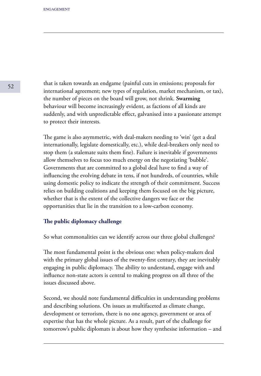that is taken towards an endgame (painful cuts in emissions; proposals for international agreement; new types of regulation, market mechanism, or tax), the number of pieces on the board will grow, not shrink. **Swarming**  behaviour will become increasingly evident, as factions of all kinds are suddenly, and with unpredictable effect, galvanised into a passionate attempt to protect their interests.

The game is also asymmetric, with deal-makers needing to 'win' (get a deal internationally, legislate domestically, etc.), while deal-breakers only need to stop them (a stalemate suits them fine). Failure is inevitable if governments allow themselves to focus too much energy on the negotiating 'bubble'. Governments that are committed to a global deal have to find a way of influencing the evolving debate in tens, if not hundreds, of countries, while using domestic policy to indicate the strength of their commitment. Success relies on building coalitions and keeping them focused on the big picture, whether that is the extent of the collective dangers we face or the opportunities that lie in the transition to a low-carbon economy.

#### **The public diplomacy challenge**

So what commonalities can we identify across our three global challenges?

The most fundamental point is the obvious one: when policy-makers deal with the primary global issues of the twenty-first century, they are inevitably engaging in public diplomacy. The ability to understand, engage with and influence non-state actors is central to making progress on all three of the issues discussed above.

Second, we should note fundamental difficulties in understanding problems and describing solutions. On issues as multifaceted as climate change, development or terrorism, there is no one agency, government or area of expertise that has the whole picture. As a result, part of the challenge for tomorrow's public diplomats is about how they synthesise information – and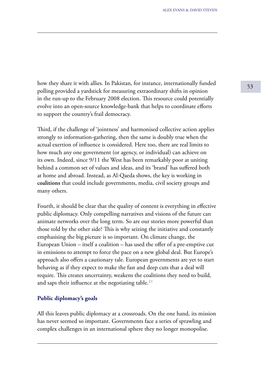how they share it with allies. In Pakistan, for instance, internationally funded polling provided a yardstick for measuring extraordinary shifts in opinion in the run-up to the February 2008 election. This resource could potentially evolve into an open-source knowledge-bank that helps to coordinate efforts to support the country's frail democracy.

Third, if the challenge of 'jointness' and harmonised collective action applies strongly to information-gathering, then the same is doubly true when the actual exertion of influence is considered. Here too, there are real limits to how much any one government (or agency, or individual) can achieve on its own. Indeed, since 9/11 the West has been remarkably poor at uniting behind a common set of values and ideas, and its 'brand' has suffered both at home and abroad. Instead, as Al-Qaeda shows, the key is working in **coalitions** that could include governments, media, civil society groups and many others.

Fourth, it should be clear that the quality of content is everything in effective public diplomacy. Only compelling narratives and visions of the future can animate networks over the long term. So are our stories more powerful than those told by the other side? This is why seizing the initiative and constantly emphasising the big picture is so important. On climate change, the European Union – itself a coalition – has used the offer of a pre-emptive cut in emissions to attempt to force the pace on a new global deal. But Europe's approach also offers a cautionary tale. European governments are yet to start behaving as if they expect to make the fast and deep cuts that a deal will require. This creates uncertainty, weakens the coalitions they need to build, and saps their influence at the negotiating table.<sup>21</sup>

### **Public diplomacy's goals**

All this leaves public diplomacy at a crossroads. On the one hand, its mission has never seemed so important. Governments face a series of sprawling and complex challenges in an international sphere they no longer monopolise.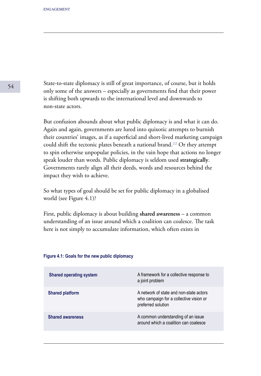State-to-state diplomacy is still of great importance, of course, but it holds only some of the answers – especially as governments find that their power is shifting both upwards to the international level and downwards to non-state actors.

But confusion abounds about what public diplomacy is and what it can do. Again and again, governments are lured into quixotic attempts to burnish their countries' images, as if a superficial and short-lived marketing campaign could shift the tectonic plates beneath a national brand.<sup>22</sup> Or they attempt to spin otherwise unpopular policies, in the vain hope that actions no longer speak louder than words. Public diplomacy is seldom used **strategically**. Governments rarely align all their deeds, words and resources behind the impact they wish to achieve.

So what types of goal should be set for public diplomacy in a globalised world (see Figure 4.1)?

First, public diplomacy is about building **shared awareness** – a common understanding of an issue around which a coalition can coalesce. The task here is not simply to accumulate information, which often exists in

| <b>Shared operating system</b> | A framework for a collective response to<br>a joint problem                                              |
|--------------------------------|----------------------------------------------------------------------------------------------------------|
| <b>Shared platform</b>         | A network of state and non-state actors<br>who campaign for a collective vision or<br>preferred solution |
| <b>Shared awareness</b>        | A common understanding of an issue<br>around which a coalition can coalesce                              |

#### **Figure 4.1: Goals for the new public diplomacy**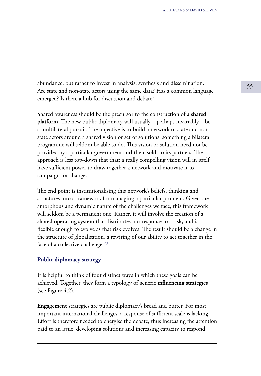abundance, but rather to invest in analysis, synthesis and dissemination. Are state and non-state actors using the same data? Has a common language emerged? Is there a hub for discussion and debate?

Shared awareness should be the precursor to the construction of a **shared platform**. The new public diplomacy will usually – perhaps invariably – be a multilateral pursuit. The objective is to build a network of state and nonstate actors around a shared vision or set of solutions: something a bilateral programme will seldom be able to do. This vision or solution need not be provided by a particular government and then 'sold' to its partners. The approach is less top-down that that: a really compelling vision will in itself have sufficient power to draw together a network and motivate it to campaign for change.

The end point is institutionalising this network's beliefs, thinking and structures into a framework for managing a particular problem. Given the amorphous and dynamic nature of the challenges we face, this framework will seldom be a permanent one. Rather, it will involve the creation of a **shared operating system** that distributes our response to a risk, and is flexible enough to evolve as that risk evolves. The result should be a change in the structure of globalisation, a rewiring of our ability to act together in the face of a collective challenge. $23$ 

### **Public diplomacy strategy**

It is helpful to think of four distinct ways in which these goals can be achieved. Together, they form a typology of generic **influencing strategies**  (see Figure 4.2).

**Engagement** strategies are public diplomacy's bread and butter. For most important international challenges, a response of sufficient scale is lacking. Effort is therefore needed to energise the debate, thus increasing the attention paid to an issue, developing solutions and increasing capacity to respond.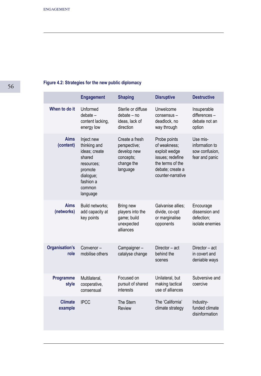## **Figure 4.2: Strategies for the new public diplomacy**

|                           | <b>Engagement</b>                                                                                                              | <b>Shaping</b>                                                                       | <b>Disruptive</b>                                                                                                              | <b>Destructive</b>                                             |
|---------------------------|--------------------------------------------------------------------------------------------------------------------------------|--------------------------------------------------------------------------------------|--------------------------------------------------------------------------------------------------------------------------------|----------------------------------------------------------------|
| When to do it             | Unformed<br>$debate -$<br>content lacking,<br>energy low                                                                       | Sterile or diffuse<br>debate - no<br>ideas. lack of<br>direction                     | Unwelcome<br>consensus -<br>deadlock, no<br>way through                                                                        | Insuperable<br>differences-<br>debate not an<br>option         |
| <b>Aims</b><br>(content)  | Inject new<br>thinking and<br>ideas; create<br>shared<br>resources:<br>promote<br>dialogue;<br>fashion a<br>common<br>language | Create a fresh<br>perspective;<br>develop new<br>concepts;<br>change the<br>language | Probe points<br>of weakness;<br>exploit wedge<br>issues; redefine<br>the terms of the<br>debate: create a<br>counter-narrative | Use mis-<br>information to<br>sow confusion.<br>fear and panic |
| <b>Aims</b><br>(networks) | Build networks;<br>add capacity at<br>key points                                                                               | Bring new<br>players into the<br>game; build<br>unexpected<br>alliances              | Galvanise allies:<br>divide, co-opt<br>or marginalise<br>opponents                                                             | Encourage<br>dissension and<br>defection:<br>isolate enemies   |
| Organisation's<br>role    | Convenor-<br>mobilise others                                                                                                   | Campaigner-<br>catalyse change                                                       | Director - act<br>behind the<br>scenes                                                                                         | Director - act<br>in covert and<br>deniable ways               |
| Programme<br>style        | Multilateral.<br>cooperative.<br>consensual                                                                                    | Focused on<br>pursuit of shared<br>interests                                         | Unilateral, but<br>making tactical<br>use of alliances                                                                         | Subversive and<br>coercive                                     |
| <b>Climate</b><br>example | <b>IPCC</b>                                                                                                                    | The Stern<br>Review                                                                  | The 'California'<br>climate strategy                                                                                           | Industry-<br>funded climate<br>disinformation                  |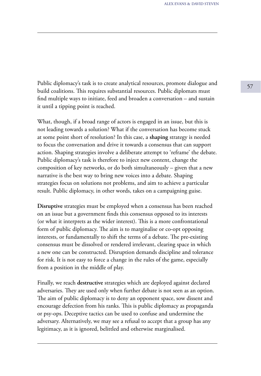Public diplomacy's task is to create analytical resources, promote dialogue and build coalitions. This requires substantial resources. Public diplomats must find multiple ways to initiate, feed and broaden a conversation – and sustain it until a tipping point is reached.

What, though, if a broad range of actors is engaged in an issue, but this is not leading towards a solution? What if the conversation has become stuck at some point short of resolution? In this case, a **shaping** strategy is needed to focus the conversation and drive it towards a consensus that can support action. Shaping strategies involve a deliberate attempt to 'reframe' the debate. Public diplomacy's task is therefore to inject new content, change the composition of key networks, or do both simultaneously – given that a new narrative is the best way to bring new voices into a debate. Shaping strategies focus on solutions not problems, and aim to achieve a particular result. Public diplomacy, in other words, takes on a campaigning guise.

**Disruptive** strategies must be employed when a consensus has been reached on an issue but a government finds this consensus opposed to its interests (or what it interprets as the wider interest). This is a more confrontational form of public diplomacy. The aim is to marginalise or co-opt opposing interests, or fundamentally to shift the terms of a debate. The pre-existing consensus must be dissolved or rendered irrelevant, clearing space in which a new one can be constructed. Disruption demands discipline and tolerance for risk. It is not easy to force a change in the rules of the game, especially from a position in the middle of play.

Finally, we reach **destructive** strategies which are deployed against declared adversaries. They are used only when further debate is not seen as an option. The aim of public diplomacy is to deny an opponent space, sow dissent and encourage defection from his ranks. This is public diplomacy as propaganda or psy-ops. Deceptive tactics can be used to confuse and undermine the adversary. Alternatively, we may see a refusal to accept that a group has any legitimacy, as it is ignored, belittled and otherwise marginalised.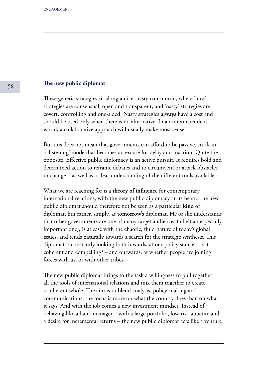#### **The new public diplomat**

These generic strategies sit along a nice–nasty continuum, where 'nice' strategies are consensual, open and transparent, and 'nasty' strategies are covert, controlling and one-sided. Nasty strategies **always** have a cost and should be used only when there is no alternative. In an interdependent world, a collaborative approach will usually make most sense.

But this does not mean that governments can afford to be passive, stuck in a 'listening' mode that becomes an excuse for delay and inaction. Quite the opposite. Effective public diplomacy is an active pursuit. It requires bold and determined action to reframe debates and to circumvent or attack obstacles to change – as well as a clear understanding of the different tools available.

What we are reaching for is a **theory of influence** for contemporary international relations, with the new public diplomacy at its heart. The new public diplomat should therefore not be seen as a particular **kind** of diplomat, but rather, simply, as **tomorrow's** diplomat. He or she understands that other governments are one of many target audiences (albeit an especially important one), is at ease with the chaotic, fluid nature of today's global issues, and tends naturally towards a search for the strategic synthesis. This diplomat is constantly looking both inwards, at our policy stance – is it coherent and compelling? – and outwards, at whether people are joining forces with us, or with other tribes.

The new public diplomat brings to the task a willingness to pull together all the tools of international relations and mix them together to create a coherent whole. The aim is to blend analysis, policy-making and communications; the focus is more on what the country does than on what it says. And with the job comes a new investment mindset. Instead of behaving like a bank manager – with a large portfolio, low-risk appetite and a desire for incremental returns – the new public diplomat acts like a venture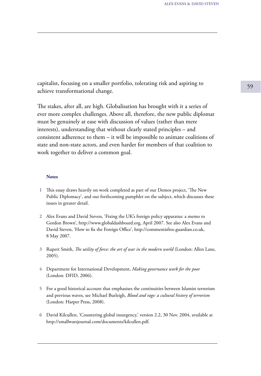capitalist, focusing on a smaller portfolio, tolerating risk and aspiring to achieve transformational change.

The stakes, after all, are high. Globalisation has brought with it a series of ever more complex challenges. Above all, therefore, the new public diplomat must be genuinely at ease with discussion of values (rather than mere interests), understanding that without clearly stated principles – and consistent adherence to them – it will be impossible to animate coalitions of state and non-state actors, and even harder for members of that coalition to work together to deliver a common goal.

#### **Notes**

- This essay draws heavily on work completed as part of our Demos project, 'The New **1** Public Diplomacy', and our forthcoming pamphlet on the subject, which discusses these issues in greater detail.
- Alex Evans and David Steven, 'Fixing the UK's foreign policy apparatus: a memo to **2** Gordon Brown', http://www.globaldashboard.org, April 2007. See also Alex Evans and David Steven, 'How to fix the Foreign Office', http://commentisfree.guardian.co.uk, 8 May 2007.
- Rupert Smith, *The utility of force: the art of war in the modern world* (London: Allen Lane, **3** 2005).
- Department for International Development, *Making governance work for the poor*  **4** (London: DFID, 2006).
- For a good historical account that emphasises the continuities between Islamist terrorism **5** and previous waves, see Michael Burleigh, *Blood and rage: a cultural history of terrorism*  (London: Harper Press, 2008).
- David Kilcullen, 'Countering global insurgency,' version 2.2, 30 Nov. 2004, available at **6** http://smallwarsjournal.com/documents/kilcullen.pdf.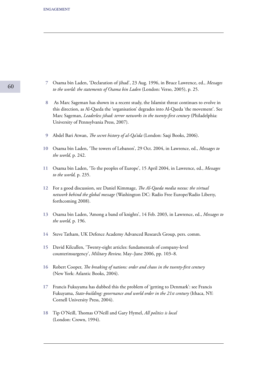- Osama bin Laden, 'Declaration of jihad', 23 Aug. 1996, in Bruce Lawrence, ed., *Messages*  **7** *to the world: the statements of Osama bin Laden* (London: Verso, 2005), p. 25.
- As Marc Sageman has shown in a recent study, the Islamist threat continues to evolve in **8** this direction, as Al-Qaeda the 'organisation' degrades into Al-Qaeda 'the movement'. See Marc Sageman, *Leaderless jihad: terror networks in the twenty-first century* (Philadelphia: University of Pennsylvania Press, 2007).
- Abdel Bari Atwan, *The secret history of al-Qa'ida* (London: Saqi Books, 2006). **9**
- Osama bin Laden, 'The towers of Lebanon', 29 Oct. 2004, in Lawrence, ed., *Messages to*  **10** *the world,* p. 242.
- Osama bin Laden, 'To the peoples of Europe', 15 April 2004, in Lawrence, ed., *Messages*  **11** *to the world,* p. 235.
- For a good discussion, see Daniel Kimmage, *The Al-Qaeda media nexus: the virtual*  **12** *network behind the global message* (Washington DC: Radio Free Europe/Radio Liberty, forthcoming 2008).
- Osama bin Laden, 'Among a band of knights', 14 Feb. 2003, in Lawrence, ed., *Messages to*  **13** *the world,* p. 196.
- Steve Tatham, UK Defence Academy Advanced Research Group, pers. comm. **14**
- David Kilcullen, 'Twenty-eight articles: fundamentals of company-level **15** counterinsurgency', *Military Review,* May–June 2006, pp. 103–8.
- Robert Cooper, *The breaking of nations: order and chaos in the twenty-first century*  **16** (New York: Atlantic Books, 2004).
- Francis Fukuyama has dubbed this the problem of 'getting to Denmark': see Francis **17** Fukuyama, *State-building: governance and world order in the 21st century* (Ithaca, NY: Cornell University Press, 2004).
- Tip O'Neill, Thomas O'Neill and Gary Hymel, *All politics is local*  **18**(London: Crown, 1994).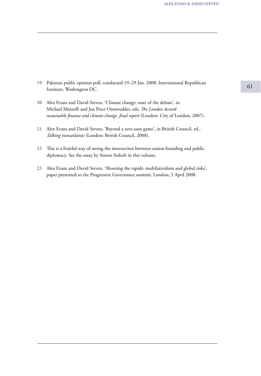- <sup>61</sup> Pakistan public opinion poll, conducted 19–29 Jan. 2008, International Republican **19** Institute, Washington DC.
- Alex Evans and David Steven, 'Climate change: state of the debate', in **20** Michael Mainelli and Jan Peter Onstwedder, eds, *The London Accord: sustainable finance and climate change, final report* (London: City of London, 2007).
- Alex Evans and David Steven, 'Beyond a zero-sum game', in British Council, ed., **21** *Talking transatlantic* (London: British Council, 2008).
- This is a fruitful way of seeing the intersection between nation branding and public **22** diplomacy. See the essay by Simon Anholt in this volume.
- Alex Evans and David Steven, 'Shooting the rapids: multilateralism and global risks', **23** paper presented to the Progressive Governance summit, London, 5 April 2008.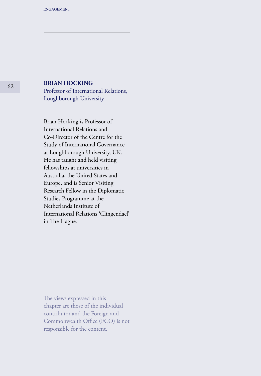## **BRIAN HOCKING**

Professor of International Relations, Loughborough University

Brian Hocking is Professor of International Relations and Co-Director of the Centre for the Study of International Governance at Loughborough University, UK. He has taught and held visiting fellowships at universities in Australia, the United States and Europe, and is Senior Visiting Research Fellow in the Diplomatic Studies Programme at the Netherlands Institute of International Relations 'Clingendael' in The Hague.

The views expressed in this chapter are those of the individual contributor and the Foreign and Commonwealth Office (FCO) is not responsible for the content.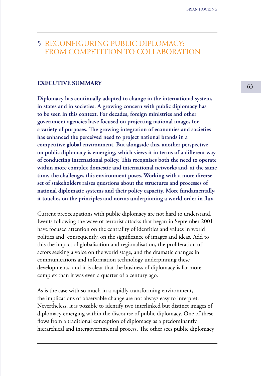## 5 RECONFIGURING PUBLIC DIPLOMACY: FROM COMPETITION TO COLLABORATION

## **EXECUTIVE SUMMARY** 63

**Diplomacy has continually adapted to change in the international system, in states and in societies. A growing concern with public diplomacy has to be seen in this context. For decades, foreign ministries and other government agencies have focused on projecting national images for a variety of purposes. The growing integration of economies and societies has enhanced the perceived need to project national brands in a competitive global environment. But alongside this, another perspective on public diplomacy is emerging, which views it in terms of a different way of conducting international policy. This recognises both the need to operate within more complex domestic and international networks and, at the same time, the challenges this environment poses. Working with a more diverse set of stakeholders raises questions about the structures and processes of national diplomatic systems and their policy capacity. More fundamentally, it touches on the principles and norms underpinning a world order in flux.**

Current preoccupations with public diplomacy are not hard to understand. Events following the wave of terrorist attacks that began in September 2001 have focused attention on the centrality of identities and values in world politics and, consequently, on the significance of images and ideas. Add to this the impact of globalisation and regionalisation, the proliferation of actors seeking a voice on the world stage, and the dramatic changes in communications and information technology underpinning these developments, and it is clear that the business of diplomacy is far more complex than it was even a quarter of a century ago.

As is the case with so much in a rapidly transforming environment, the implications of observable change are not always easy to interpret. Nevertheless, it is possible to identify two interlinked but distinct images of diplomacy emerging within the discourse of public diplomacy. One of these flows from a traditional conception of diplomacy as a predominantly hierarchical and intergovernmental process. The other sees public diplomacy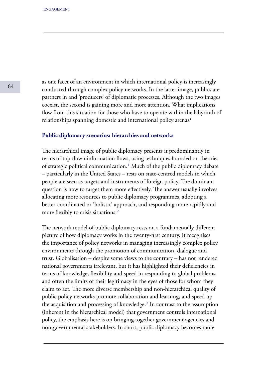as one facet of an environment in which international policy is increasingly conducted through complex policy networks. In the latter image, publics are partners in and 'producers' of diplomatic processes. Although the two images coexist, the second is gaining more and more attention. What implications flow from this situation for those who have to operate within the labyrinth of relationships spanning domestic and international policy arenas?

#### **Public diplomacy scenarios: hierarchies and networks**

The hierarchical image of public diplomacy presents it predominantly in terms of top-down information flows, using techniques founded on theories of strategic political communication.<sup>1</sup> Much of the public diplomacy debate – particularly in the United States – rests on state-centred models in which people are seen as targets and instruments of foreign policy. The dominant question is how to target them more effectively. The answer usually involves allocating more resources to public diplomacy programmes, adopting a better-coordinated or 'holistic' approach, and responding more rapidly and more flexibly to crisis situations.<sup>2</sup>

The network model of public diplomacy rests on a fundamentally different picture of how diplomacy works in the twenty-first century. It recognises the importance of policy networks in managing increasingly complex policy environments through the promotion of communication, dialogue and trust. Globalisation – despite some views to the contrary – has not rendered national governments irrelevant, but it has highlighted their deficiencies in terms of knowledge, flexibility and speed in responding to global problems, and often the limits of their legitimacy in the eyes of those for whom they claim to act. The more diverse membership and non-hierarchical quality of public policy networks promote collaboration and learning, and speed up the acquisition and processing of knowledge.<sup>3</sup> In contrast to the assumption (inherent in the hierarchical model) that government controls international policy, the emphasis here is on bringing together government agencies and non-governmental stakeholders. In short, public diplomacy becomes more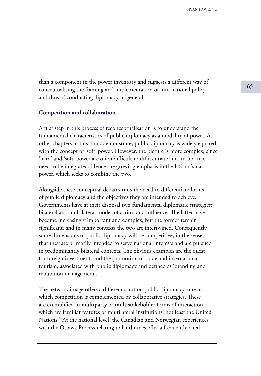than a component in the power inventory and suggests a different way of conceptualising the framing and implementation of international policy – and thus of conducting diplomacy in general.

#### **Competition and collaboration**

A first step in this process of reconceptualisation is to understand the fundamental characteristics of public diplomacy as a modality of power. As other chapters in this book demonstrate, public diplomacy is widely equated with the concept of 'soft' power. However, the picture is more complex, since 'hard' and 'soft' power are often difficult to differentiate and, in practice, need to be integrated. Hence the growing emphasis in the US on 'smart' power, which seeks to combine the two.<sup>4</sup>

Alongside these conceptual debates runs the need to differentiate forms of public diplomacy and the objectives they are intended to achieve. Governments have at their disposal two fundamental diplomatic strategies: bilateral and multilateral modes of action and influence. The latter have become increasingly important and complex, but the former remain significant, and in many contexts the two are intertwined. Consequently, some dimensions of public diplomacy will be competitive, in the sense that they are primarily intended to serve national interests and are pursued in predominantly bilateral contexts. The obvious examples are the quest for foreign investment, and the promotion of trade and international tourism, associated with public diplomacy and defined as 'branding and reputation management'.

The network image offers a different slant on public diplomacy, one in which competition is complemented by collaborative strategies. These are exemplified in **multiparty** or **multistakeholder** forms of interaction, which are familiar features of multilateral institutions, not least the United Nations.<sup>5</sup> At the national level, the Canadian and Norwegian experiences with the Ottawa Process relating to landmines offer a frequently cited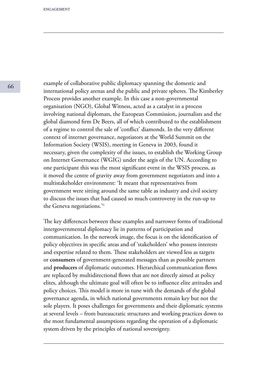example of collaborative public diplomacy spanning the domestic and international policy arenas and the public and private spheres. The Kimberley Process provides another example. In this case a non-governmental organisation (NGO), Global Witness, acted as a catalyst in a process involving national diplomats, the European Commission, journalists and the global diamond firm De Beers, all of which contributed to the establishment of a regime to control the sale of 'conflict' diamonds. In the very different context of internet governance, negotiators at the World Summit on the Information Society (WSIS), meeting in Geneva in 2003, found it necessary, given the complexity of the issues, to establish the Working Group on Internet Governance (WGIG) under the aegis of the UN. According to one participant this was the most significant event in the WSIS process, as it moved the centre of gravity away from government negotiators and into a multistakeholder environment: 'It meant that representatives from government were sitting around the same table as industry and civil society to discuss the issues that had caused so much controversy in the run-up to the Geneva negotiations.<sup>'6</sup>

The key differences between these examples and narrower forms of traditional intergovernmental diplomacy lie in patterns of participation and communication. In the network image, the focus is on the identification of policy objectives in specific areas and of 'stakeholders' who possess interests and expertise related to them. These stakeholders are viewed less as targets or **consumers** of government-generated messages than as possible partners and **producers** of diplomatic outcomes. Hierarchical communication flows are replaced by multidirectional flows that are not directly aimed at policy elites, although the ultimate goal will often be to influence elite attitudes and policy choices. This model is more in tune with the demands of the global governance agenda, in which national governments remain key but not the sole players. It poses challenges for governments and their diplomatic systems at several levels – from bureaucratic structures and working practices down to the most fundamental assumptions regarding the operation of a diplomatic system driven by the principles of national sovereignty.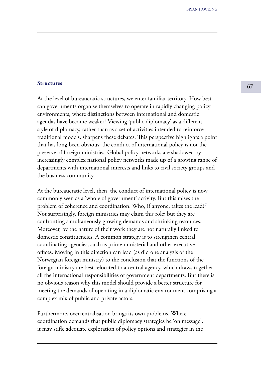# **Structures** 67

At the level of bureaucratic structures, we enter familiar territory. How best can governments organise themselves to operate in rapidly changing policy environments, where distinctions between international and domestic agendas have become weaker? Viewing 'public diplomacy' as a different style of diplomacy, rather than as a set of activities intended to reinforce traditional models, sharpens these debates. This perspective highlights a point that has long been obvious: the conduct of international policy is not the preserve of foreign ministries. Global policy networks are shadowed by increasingly complex national policy networks made up of a growing range of departments with international interests and links to civil society groups and the business community.

At the bureaucratic level, then, the conduct of international policy is now commonly seen as a 'whole of government' activity. But this raises the problem of coherence and coordination. Who, if anyone, takes the lead?<sup>7</sup> Not surprisingly, foreign ministries may claim this role; but they are confronting simultaneously growing demands and shrinking resources. Moreover, by the nature of their work they are not naturally linked to domestic constituencies. A common strategy is to strengthen central coordinating agencies, such as prime ministerial and other executive offices. Moving in this direction can lead (as did one analysis of the Norwegian foreign ministry) to the conclusion that the functions of the foreign ministry are best relocated to a central agency, which draws together all the international responsibilities of government departments. But there is no obvious reason why this model should provide a better structure for meeting the demands of operating in a diplomatic environment comprising a complex mix of public and private actors.

Furthermore, overcentralisation brings its own problems. Where coordination demands that public diplomacy strategies be 'on message', it may stifle adequate exploration of policy options and strategies in the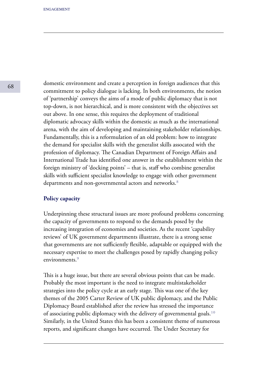domestic environment and create a perception in foreign audiences that this commitment to policy dialogue is lacking. In both environments, the notion of 'partnership' conveys the aims of a mode of public diplomacy that is not top-down, is not hierarchical, and is more consistent with the objectives set out above. In one sense, this requires the deployment of traditional diplomatic advocacy skills within the domestic as much as the international arena, with the aim of developing and maintaining stakeholder relationships. Fundamentally, this is a reformulation of an old problem: how to integrate the demand for specialist skills with the generalist skills assocated with the profession of diplomacy. The Canadian Department of Foreign Affairs and International Trade has identified one answer in the establishment within the foreign ministry of 'docking points' – that is, staff who combine generalist skills with sufficient specialist knowledge to engage with other government departments and non-governmental actors and networks.<sup>8</sup>

### **Policy capacity**

Underpinning these structural issues are more profound problems concerning the capacity of governments to respond to the demands posed by the increasing integration of economies and societies. As the recent 'capability reviews' of UK government departments illustrate, there is a strong sense that governments are not sufficiently flexible, adaptable or equipped with the necessary expertise to meet the challenges posed by rapidly changing policy environments<sup>9</sup>

This is a huge issue, but there are several obvious points that can be made. Probably the most important is the need to integrate multistakeholder strategies into the policy cycle at an early stage. This was one of the key themes of the 2005 Carter Review of UK public diplomacy, and the Public Diplomacy Board established after the review has stressed the importance of associating public diplomacy with the delivery of governmental goals.<sup>10</sup> Similarly, in the United States this has been a consistent theme of numerous reports, and significant changes have occurred. The Under Secretary for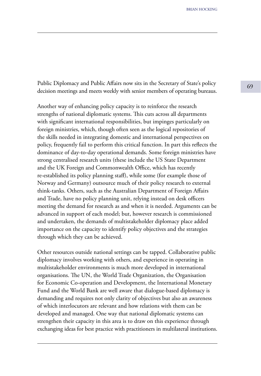Public Diplomacy and Public Affairs now sits in the Secretary of State's policy decision meetings and meets weekly with senior members of operating bureaus.

Another way of enhancing policy capacity is to reinforce the research strengths of national diplomatic systems. This cuts across all departments with significant international responsibilities, but impinges particularly on foreign ministries, which, though often seen as the logical repositories of the skills needed in integrating domestic and international perspectives on policy, frequently fail to perform this critical function. In part this reflects the dominance of day-to-day operational demands. Some foreign ministries have strong centralised research units (these include the US State Department and the UK Foreign and Commonwealth Office, which has recently re-established its policy planning staff), while some (for example those of Norway and Germany) outsource much of their policy research to external think-tanks. Others, such as the Australian Department of Foreign Affairs and Trade, have no policy planning unit, relying instead on desk officers meeting the demand for research as and when it is needed. Arguments can be advanced in support of each model; but, however research is commissioned and undertaken, the demands of multistakeholder diplomacy place added importance on the capacity to identify policy objectives and the strategies through which they can be achieved.

Other resources outside national settings can be tapped. Collaborative public diplomacy involves working with others, and experience in operating in multistakeholder environments is much more developed in international organisations. The UN, the World Trade Organization, the Organisation for Economic Co-operation and Development, the International Monetary Fund and the World Bank are well aware that dialogue-based diplomacy is demanding and requires not only clarity of objectives but also an awareness of which interlocutors are relevant and how relations with them can be developed and managed. One way that national diplomatic systems can strengthen their capacity in this area is to draw on this experience through exchanging ideas for best practice with practitioners in multilateral institutions.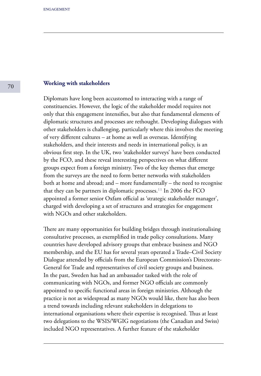#### **Working with stakeholders**

Diplomats have long been accustomed to interacting with a range of constituencies. However, the logic of the stakeholder model requires not only that this engagement intensifies, but also that fundamental elements of diplomatic structures and processes are rethought. Developing dialogues with other stakeholders is challenging, particularly where this involves the meeting of very different cultures – at home as well as overseas. Identifying stakeholders, and their interests and needs in international policy, is an obvious first step. In the UK, two 'stakeholder surveys' have been conducted by the FCO, and these reveal interesting perspectives on what different groups expect from a foreign ministry. Two of the key themes that emerge from the surveys are the need to form better networks with stakeholders both at home and abroad; and – more fundamentally – the need to recognise that they can be partners in diplomatic processes.<sup>11</sup> In 2006 the  $FCO$ appointed a former senior Oxfam official as 'strategic stakeholder manager', charged with developing a set of structures and strategies for engagement with NGOs and other stakeholders.

There are many opportunities for building bridges through institutionalising consultative processes, as exemplified in trade policy consultations. Many countries have developed advisory groups that embrace business and NGO membership, and the EU has for several years operated a Trade–Civil Society Dialogue attended by officials from the European Commission's Directorate-General for Trade and representatives of civil society groups and business. In the past, Sweden has had an ambassador tasked with the role of communicating with NGOs, and former NGO officials are commonly appointed to specific functional areas in foreign ministries. Although the practice is not as widespread as many NGOs would like, there has also been a trend towards including relevant stakeholders in delegations to international organisations where their expertise is recognised. Thus at least two delegations to the WSIS/WGIG negotiations (the Canadian and Swiss) included NGO representatives. A further feature of the stakeholder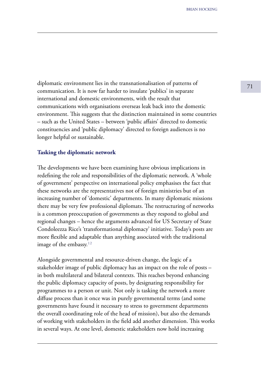diplomatic environment lies in the transnationalisation of patterns of  $\frac{71}{}$ communication. It is now far harder to insulate 'publics' in separate international and domestic environments, with the result that communications with organisations overseas leak back into the domestic environment. This suggests that the distinction maintained in some countries – such as the United States – between 'public affairs' directed to domestic constituencies and 'public diplomacy' directed to foreign audiences is no longer helpful or sustainable.

#### **Tasking the diplomatic network**

The developments we have been examining have obvious implications in redefining the role and responsibilities of the diplomatic network. A 'whole of government' perspective on international policy emphasises the fact that these networks are the representatives not of foreign ministries but of an increasing number of 'domestic' departments. In many diplomatic missions there may be very few professional diplomats. The restructuring of networks is a common preoccupation of governments as they respond to global and regional changes – hence the arguments advanced for US Secretary of State Condoleezza Rice's 'transformational diplomacy' initiative. Today's posts are more flexible and adaptable than anything associated with the traditional image of the embassy. $12$ 

Alongside governmental and resource-driven change, the logic of a stakeholder image of public diplomacy has an impact on the role of posts – in both multilateral and bilateral contexts. This reaches beyond enhancing the public diplomacy capacity of posts, by designating responsibility for programmes to a person or unit. Not only is tasking the network a more diffuse process than it once was in purely governmental terms (and some governments have found it necessary to stress to government departments the overall coordinating role of the head of mission), but also the demands of working with stakeholders in the field add another dimension. This works in several ways. At one level, domestic stakeholders now hold increasing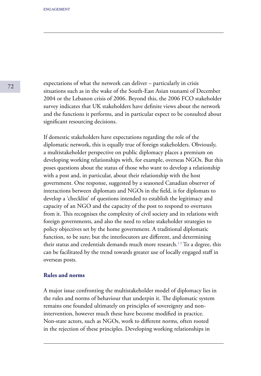expectations of what the network can deliver – particularly in crisis situations such as in the wake of the South-East Asian tsunami of December 2004 or the Lebanon crisis of 2006. Beyond this, the 2006 FCO stakeholder survey indicates that UK stakeholders have definite views about the network and the functions it performs, and in particular expect to be consulted about significant resourcing decisions.

If domestic stakeholders have expectations regarding the role of the diplomatic network, this is equally true of foreign stakeholders. Obviously, a multistakeholder perspective on public diplomacy places a premium on developing working relationships with, for example, overseas NGOs. But this poses questions about the status of those who want to develop a relationship with a post and, in particular, about their relationship with the host government. One response, suggested by a seasoned Canadian observer of interactions between diplomats and NGOs in the field, is for diplomats to develop a 'checklist' of questions intended to establish the legitimacy and capacity of an NGO and the capacity of the post to respond to overtures from it. This recognises the complexity of civil society and its relations with foreign governments, and also the need to relate stakeholder strategies to policy objectives set by the home government. A traditional diplomatic function, to be sure; but the interlocutors are different, and determining their status and credentials demands much more research.<sup>13</sup> To a degree, this can be facilitated by the trend towards greater use of locally engaged staff in overseas posts.

#### **Rules and norms**

A major issue confronting the multistakeholder model of diplomacy lies in the rules and norms of behaviour that underpin it. The diplomatic system remains one founded ultimately on principles of sovereignty and nonintervention, however much these have become modified in practice. Non-state actors, such as NGOs, work to different norms, often rooted in the rejection of these principles. Developing working relationships in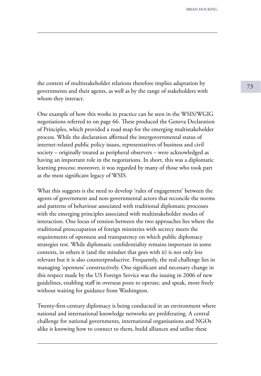the context of multistakeholder relations therefore implies adaptation by  $\frac{73}{}$ governments and their agents, as well as by the range of stakeholders with whom they interact.

One example of how this works in practice can be seen in the WSIS/WGIG negotiations referred to on page 66. These produced the Geneva Declaration of Principles, which provided a road map for the emerging multistakeholder process. While the declaration affirmed the intergovernmental status of internet-related public policy issues, representatives of business and civil society – originally treated as peripheral observers – were acknowledged as having an important role in the negotiations. In short, this was a diplomatic learning process; moreover, it was regarded by many of those who took part as the most significant legacy of WSIS.

What this suggests is the need to develop 'rules of engagement' between the agents of government and non-governmental actors that reconcile the norms and patterns of behaviour associated with traditional diplomatic processes with the emerging principles associated with multistakeholder modes of interaction. One locus of tension between the two approaches lies where the traditional preoccupation of foreign ministries with secrecy meets the requirements of openness and transparency on which public diplomacy strategies rest. While diplomatic confidentiality remains important in some contexts, in others it (and the mindset that goes with it) is not only less relevant but it is also counterproductive. Frequently, the real challenge lies in managing 'openness' constructively. One significant and necessary change in this respect made by the US Foreign Service was the issuing in 2006 of new guidelines, enabling staff in overseas posts to operate, and speak, more freely without waiting for guidance from Washington.

Twenty-first-century diplomacy is being conducted in an environment where national and international knowledge networks are proliferating. A central challenge for national governments, international organisations and NGOs alike is knowing how to connect to them, build alliances and utilise these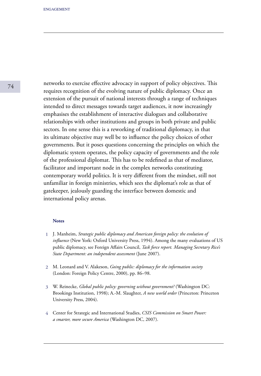networks to exercise effective advocacy in support of policy objectives. This requires recognition of the evolving nature of public diplomacy. Once an extension of the pursuit of national interests through a range of techniques intended to direct messages towards target audiences, it now increasingly emphasises the establishment of interactive dialogues and collaborative relationships with other institutions and groups in both private and public sectors. In one sense this is a reworking of traditional diplomacy, in that its ultimate objective may well be to influence the policy choices of other governments. But it poses questions concerning the principles on which the diplomatic system operates, the policy capacity of governments and the role of the professional diplomat. This has to be redefined as that of mediator, facilitator and important node in the complex networks constituting contemporary world politics. It is very different from the mindset, still not unfamiliar in foreign ministries, which sees the diplomat's role as that of gatekeeper, jealously guarding the interface between domestic and international policy arenas.

#### **Notes**

- J. Manheim, *Strategic public diplomacy and American foreign policy: the evolution of*  **1** *influence* (New York: Oxford University Press, 1994). Among the many evaluations of US public diplomacy, see Foreign Affairs Council, *Task force report. Managing Secretary Rice's State Department: an independent assessment* (June 2007).
- M. Leonard and V. Alakeson, *Going public: diplomacy for the information society*  **2** (London: Foreign Policy Centre, 2000), pp. 86–98.
- W. Reinecke, *Global public policy: governing without government?* (Washington DC: **3** Brookings Institution, 1998); A.-M. Slaughter, *A new world order* (Princeton: Princeton University Press, 2004).
- Center for Strategic and International Studies, *CSIS Commission on Smart Power:*  **4***a smarter, more secure America* (Washington DC, 2007).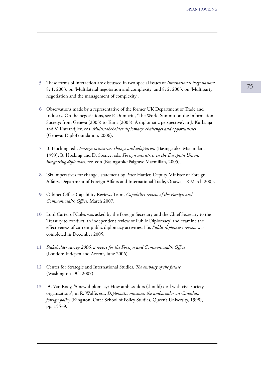- <sup>75</sup> These forms of interaction are discussed in two special issues of *International Negotiation:*  **5** 8: 1, 2003, on 'Multilateral negotiation and complexity' and 8: 2, 2003, on 'Multiparty negotiation and the management of complexity'.
- Observations made by a representative of the former UK Department of Trade and **6** Industry. On the negotiations, see P. Dumitriu, 'The World Summit on the Information Society: from Geneva (2003) to Tunis (2005). A diplomatic perspective', in J. Kurbalija and V. Katrandjiev, eds, *Multistakeholder diplomacy: challenges and opportunities*  (Geneva: DiploFoundation, 2006).
- B. Hocking, ed., *Foreign ministries: change and adaptation* (Basingstoke: Macmillan, **7** 1999); B. Hocking and D. Spence, eds, *Foreign ministries in the European Union: integrating diplomats,* rev. edn (Basingstoke:Palgrave Macmillan, 2005).
- 'Six imperatives for change', statement by Peter Harder, Deputy Minister of Foreign **8** Affairs, Department of Foreign Affairs and International Trade, Ottawa, 18 March 2005.
- Cabinet Office Capability Reviews Team, *Capability review of the Foreign and*  **9** *Commonwealth Office,* March 2007.
- 10 Lord Carter of Coles was asked by the Foreign Secretary and the Chief Secretary to the Treasury to conduct 'an independent review of Public Diplomacy' and examine the effectiveness of current public diplomacy activities. His *Public diplomacy review* was completed in December 2005.
- *Stakeholder survey 2006: a report for the Foreign and Commonwealth Office* **11** (London: Indepen and Accent, June 2006).
- Center for Strategic and International Studies, *The embassy of the future*  **12** (Washington DC, 2007).
- A. Van Rooy, 'A new diplomacy? How ambassadors (should) deal with civil society **13** organisations', in R. Wolfe, ed., *Diplomatic missions: the ambassador on Canadian foreign policy* (Kingston, Ont.: School of Policy Studies, Queen's University, 1998), pp. 155–9.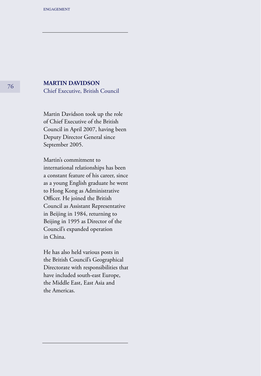### **MARTIN DAVIDSON**

Chief Executive, British Council

Martin Davidson took up the role of Chief Executive of the British Council in April 2007, having been Deputy Director General since September 2005.

Martin's commitment to international relationships has been a constant feature of his career, since as a young English graduate he went to Hong Kong as Administrative Officer. He joined the British Council as Assistant Representative in Beijing in 1984, returning to Beijing in 1995 as Director of the Council's expanded operation in China.

He has also held various posts in the British Council's Geographical Directorate with responsibilities that have included south-east Europe, the Middle East, East Asia and the Americas.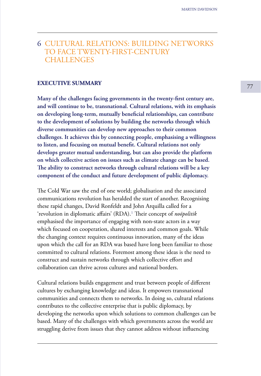# 6 CULTURAL RELATIONS: BUILDING NETWORKS TO FACE TWENTY-FIRST-CENTURY **CHALLENGES**

# **EXECUTIVE SUMMARY** 27

**Many of the challenges facing governments in the twenty-first century are, and will continue to be, transnational. Cultural relations, with its emphasis on developing long-term, mutually beneficial relationships, can contribute to the development of solutions by building the networks through which diverse communities can develop new approaches to their common challenges. It achieves this by connecting people, emphasising a willingness to listen, and focusing on mutual benefit. Cultural relations not only develops greater mutual understanding, but can also provide the platform on which collective action on issues such as climate change can be based. The ability to construct networks through cultural relations will be a key component of the conduct and future development of public diplomacy.**

The Cold War saw the end of one world; globalisation and the associated communications revolution has heralded the start of another. Recognising these rapid changes, David Ronfeldt and John Arquilla called for a 'revolution in diplomatic affairs' (RDA).<sup>1</sup> Their concept of *noöpolitik* emphasised the importance of engaging with non-state actors in a way which focused on cooperation, shared interests and common goals. While the changing context requires continuous innovation, many of the ideas upon which the call for an RDA was based have long been familiar to those committed to cultural relations. Foremost among these ideas is the need to construct and sustain networks through which collective effort and collaboration can thrive across cultures and national borders.

Cultural relations builds engagement and trust between people of different cultures by exchanging knowledge and ideas. It empowers transnational communities and connects them to networks. In doing so, cultural relations contributes to the collective enterprise that is public diplomacy, by developing the networks upon which solutions to common challenges can be based. Many of the challenges with which governments across the world are struggling derive from issues that they cannot address without influencing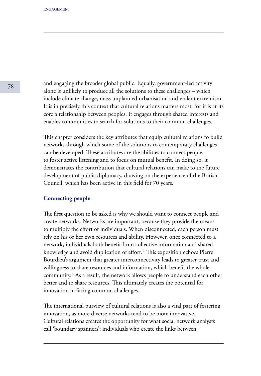and engaging the broader global public. Equally, government-led activity alone is unlikely to produce all the solutions to these challenges – which include climate change, mass unplanned urbanisation and violent extremism. It is in precisely this context that cultural relations matters most; for it is at its core a relationship between peoples. It engages through shared interests and enables communities to search for solutions to their common challenges.

This chapter considers the key attributes that equip cultural relations to build networks through which some of the solutions to contemporary challenges can be developed. These attributes are the abilities to connect people, to foster active listening and to focus on mutual benefit. In doing so, it demonstrates the contribution that cultural relations can make to the future development of public diplomacy, drawing on the experience of the British Council, which has been active in this field for 70 years.

### **Connecting people**

The first question to be asked is why we should want to connect people and create networks. Networks are important, because they provide the means to multiply the effort of individuals. When disconnected, each person must rely on his or her own resources and ability. However, once connected to a network, individuals both benefit from collective information and shared knowledge and avoid duplication of effort.<sup>2</sup> This exposition echoes Pierre Bourdieu's argument that greater interconnectivity leads to greater trust and willingness to share resources and information, which benefit the whole community.<sup>3</sup> As a result, the network allows people to understand each other better and to share resources. This ultimately creates the potential for innovation in facing common challenges.

The international purview of cultural relations is also a vital part of fostering innovation, as more diverse networks tend to be more innovative. Cultural relations creates the opportunity for what social network analysts call 'boundary spanners': individuals who create the links between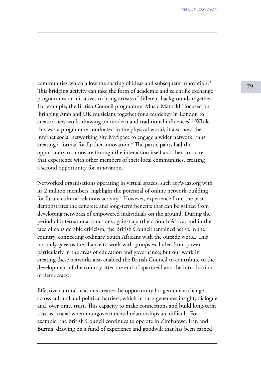communities which allow the sharing of ideas and subsequent innovation. $\frac{4}{79}$ This bridging activity can take the form of academic and scientific exchange programmes or initiatives to bring artists of different backgrounds together. For example, the British Council programme 'Music Matbakh' focused on 'bringing Arab and UK musicians together for a residency in London to create a new work, drawing on modern and traditional influences'.<sup>5</sup> While this was a programme conducted in the physical world, it also used the internet social networking site MySpace to engage a wider network, thus creating a format for further innovation.<sup>6</sup> The participants had the opportunity to innovate through the interaction itself and then to share that experience with other members of their local communities, creating a second opportunity for innovation.

Networked organisations operating in virtual spaces, such as Avaaz.org with its 2 million members, highlight the potential of online network-building for future cultural relations activity.<sup>7</sup> However, experience from the past demonstrates the concrete and long-term benefits that can be gained from developing networks of empowered individuals on the ground. During the period of international sanctions against apartheid South Africa, and in the face of considerable criticism, the British Council remained active in the country, connecting ordinary South Africans with the outside world. This not only gave us the chance to work with groups excluded from power, particularly in the areas of education and governance; but our work in creating these networks also enabled the British Council to contribute to the development of the country after the end of apartheid and the introduction of democracy.

Effective cultural relations creates the opportunity for genuine exchange across cultural and political barriers, which in turn generates insight, dialogue and, over time, trust. This capacity to make connections and build long-term trust is crucial when intergovernmental relationships are difficult. For example, the British Council continues to operate in Zimbabwe, Iran and Burma, drawing on a fund of experience and goodwill that has been earned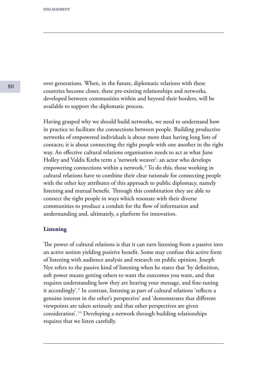over generations. When, in the future, diplomatic relations with these countries become closer, these pre-existing relationships and networks, developed between communities within and beyond their borders, will be available to support the diplomatic process.

Having grasped why we should build networks, we need to understand how in practice to facilitate the connections between people. Building productive networks of empowered individuals is about more than having long lists of contacts; it is about connecting the right people with one another in the right way. An effective cultural relations organisation needs to act as what June Holley and Valdis Krebs term a 'network weaver': an actor who develops empowering connections within a network.<sup>8</sup> To do this, those working in cultural relations have to combine their clear rationale for connecting people with the other key attributes of this approach to public diplomacy, namely listening and mutual benefit. Through this combination they are able to connect the right people in ways which resonate with their diverse communities to produce a conduit for the flow of information and understanding and, ultimately, a platform for innovation.

### **Listening**

The power of cultural relations is that it can turn listening from a passive into an active notion yielding positive benefit. Some may confuse this active form of listening with audience analysis and research on public opinion. Joseph Nye refers to the passive kind of listening when he states that 'by definition, soft power means getting others to want the outcomes you want, and that requires understanding how they are hearing your message, and fine-tuning it accordingly'.<sup>9</sup> In contrast, listening as part of cultural relations 'reflects a genuine interest in the other's perspective' and 'demonstrates that different viewpoints are taken seriously and that other perspectives are given consideration'.<sup>10</sup> Developing a network through building relationships requires that we listen carefully.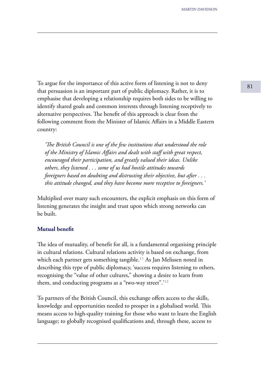To argue for the importance of this active form of listening is not to deny 81 that persuasion is an important part of public diplomacy. Rather, it is to emphasise that developing a relationship requires both sides to be willing to identify shared goals and common interests through listening receptively to alternative perspectives. The benefit of this approach is clear from the following comment from the Minister of Islamic Affairs in a Middle Eastern country:

 *'The British Council is one of the few institutions that understood the role of the Ministry of Islamic Affairs and dealt with staff with great respect, encouraged their participation, and greatly valued their ideas. Unlike others, they listened . . . some of us had hostile attitudes towards foreigners based on doubting and distrusting their objective, but after . . . this attitude changed, and they have become more receptive to foreigners.'* 

Multiplied over many such encounters, the explicit emphasis on this form of listening generates the insight and trust upon which strong networks can be built.

#### **Mutual benefit**

The idea of mutuality, of benefit for all, is a fundamental organising principle in cultural relations. Cultural relations activity is based on exchange, from which each partner gets something tangible.<sup>11</sup> As Jan Melissen noted in describing this type of public diplomacy, 'success requires listening to others, recognising the "value of other cultures," showing a desire to learn from them, and conducting programs as a "two-way street". $12$ 

To partners of the British Council, this exchange offers access to the skills, knowledge and opportunities needed to prosper in a globalised world. This means access to high-quality training for those who want to learn the English language; to globally recognised qualifications and, through these, access to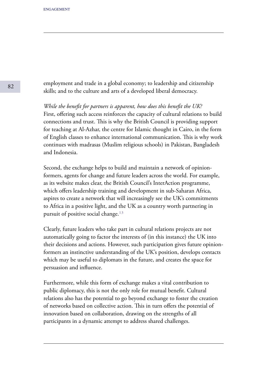employment and trade in a global economy; to leadership and citizenship skills; and to the culture and arts of a developed liberal democracy.

*While the benefit for partners is apparent, how does this benefit the UK?* First, offering such access reinforces the capacity of cultural relations to build connections and trust. This is why the British Council is providing support for teaching at Al-Azhar, the centre for Islamic thought in Cairo, in the form of English classes to enhance international communication. This is why work continues with madrasas (Muslim religious schools) in Pakistan, Bangladesh and Indonesia.

Second, the exchange helps to build and maintain a network of opinionformers, agents for change and future leaders across the world. For example, as its website makes clear, the British Council's InterAction programme, which offers leadership training and development in sub-Saharan Africa, aspires to create a network that will increasingly see the UK's commitments to Africa in a positive light, and the UK as a country worth partnering in pursuit of positive social change. $13$ 

Clearly, future leaders who take part in cultural relations projects are not automatically going to factor the interests of (in this instance) the UK into their decisions and actions. However, such participation gives future opinionformers an instinctive understanding of the UK's position, develops contacts which may be useful to diplomats in the future, and creates the space for persuasion and influence.

Furthermore, while this form of exchange makes a vital contribution to public diplomacy, this is not the only role for mutual benefit. Cultural relations also has the potential to go beyond exchange to foster the creation of networks based on collective action. This in turn offers the potential of innovation based on collaboration, drawing on the strengths of all participants in a dynamic attempt to address shared challenges.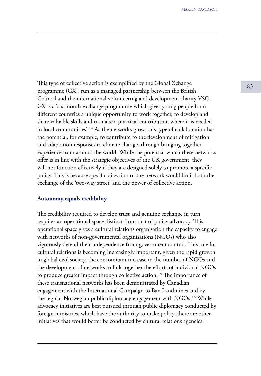This type of collective action is exemplified by the Global Xchange 83 programme (GX), run as a managed partnership between the British Council and the international volunteering and development charity VSO. GX is a 'six-month exchange programme which gives young people from different countries a unique opportunity to work together, to develop and share valuable skills and to make a practical contribution where it is needed in local communities'.<sup>14</sup> As the networks grow, this type of collaboration has the potential, for example, to contribute to the development of mitigation and adaptation responses to climate change, through bringing together experience from around the world. While the potential which these networks offer is in line with the strategic objectives of the UK government, they will not function effectively if they are designed solely to promote a specific policy. This is because specific direction of the network would limit both the exchange of the 'two-way street' and the power of collective action.

### **Autonomy equals credibility**

The credibility required to develop trust and genuine exchange in turn requires an operational space distinct from that of policy advocacy. This operational space gives a cultural relations organisation the capacity to engage with networks of non-governmental organisations (NGOs) who also vigorously defend their independence from government control. This role for cultural relations is becoming increasingly important, given the rapid growth in global civil society, the concomitant increase in the number of NGOs and the development of networks to link together the efforts of individual NGOs to produce greater impact through collective action.<sup>15</sup> The importance of these transnational networks has been demonstrated by Canadian engagement with the International Campaign to Ban Landmines and by the regular Norwegian public diplomacy engagement with NGOs.<sup>16</sup> While advocacy initiatives are best pursued through public diplomacy conducted by foreign ministries, which have the authority to make policy, there are other initiatives that would better be conducted by cultural relations agencies.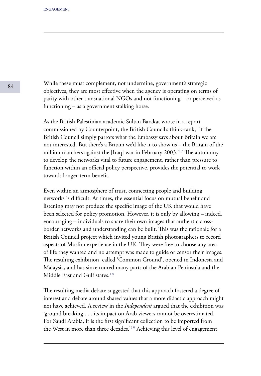While these must complement, not undermine, government's strategic objectives, they are most effective when the agency is operating on terms of parity with other transnational NGOs and not functioning – or perceived as functioning – as a government stalking horse.

As the British Palestinian academic Sultan Barakat wrote in a report commissioned by Counterpoint, the British Council's think-tank, 'If the British Council simply parrots what the Embassy says about Britain we are not interested. But there's a Britain we'd like it to show us – the Britain of the million marchers against the [Iraq] war in February 2003.'<sup>17</sup> The autonomy to develop the networks vital to future engagement, rather than pressure to function within an official policy perspective, provides the potential to work towards longer-term benefit.

Even within an atmosphere of trust, connecting people and building networks is difficult. At times, the essential focus on mutual benefit and listening may not produce the specific image of the UK that would have been selected for policy promotion. However, it is only by allowing – indeed, encouraging – individuals to share their own images that authentic crossborder networks and understanding can be built. This was the rationale for a British Council project which invited young British photographers to record aspects of Muslim experience in the UK. They were free to choose any area of life they wanted and no attempt was made to guide or censor their images. The resulting exhibition, called 'Common Ground', opened in Indonesia and Malaysia, and has since toured many parts of the Arabian Peninsula and the Middle East and Gulf states.<sup>18</sup>

The resulting media debate suggested that this approach fostered a degree of interest and debate around shared values that a more didactic approach might not have achieved. A review in the *Independent* argued that the exhibition was 'ground breaking . . . its impact on Arab viewers cannot be overestimated. For Saudi Arabia, it is the first significant collection to be imported from the West in more than three decades.'<sup>19</sup> Achieving this level of engagement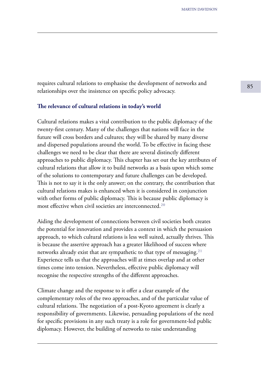<sup>85</sup> requires cultural relations to emphasise the development of networks and relationships over the insistence on specific policy advocacy.

#### **The relevance of cultural relations in today's world**

Cultural relations makes a vital contribution to the public diplomacy of the twenty-first century. Many of the challenges that nations will face in the future will cross borders and cultures; they will be shared by many diverse and dispersed populations around the world. To be effective in facing these challenges we need to be clear that there are several distinctly different approaches to public diplomacy. This chapter has set out the key attributes of cultural relations that allow it to build networks as a basis upon which some of the solutions to contemporary and future challenges can be developed. This is not to say it is the only answer; on the contrary, the contribution that cultural relations makes is enhanced when it is considered in conjunction with other forms of public diplomacy. This is because public diplomacy is most effective when civil societies are interconnected.<sup>20</sup>

Aiding the development of connections between civil societies both creates the potential for innovation and provides a context in which the persuasion approach, to which cultural relations is less well suited, actually thrives. This is because the assertive approach has a greater likelihood of success where networks already exist that are sympathetic to that type of messaging.<sup>21</sup> Experience tells us that the approaches will at times overlap and at other times come into tension. Nevertheless, effective public diplomacy will recognise the respective strengths of the different approaches.

Climate change and the response to it offer a clear example of the complementary roles of the two approaches, and of the particular value of cultural relations. The negotiation of a post-Kyoto agreement is clearly a responsibility of governments. Likewise, persuading populations of the need for specific provisions in any such treaty is a role for government-led public diplomacy. However, the building of networks to raise understanding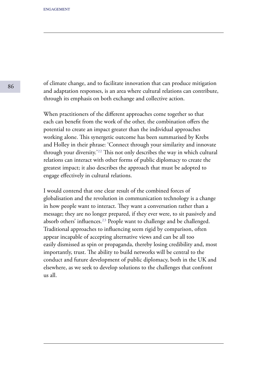of climate change, and to facilitate innovation that can produce mitigation and adaptation responses, is an area where cultural relations can contribute, through its emphasis on both exchange and collective action.

When practitioners of the different approaches come together so that each can benefit from the work of the other, the combination offers the potential to create an impact greater than the individual approaches working alone. This synergetic outcome has been summarised by Krebs and Holley in their phrase: 'Connect through your similarity and innovate through your diversity.'<sup>22</sup> This not only describes the way in which cultural relations can interact with other forms of public diplomacy to create the greatest impact; it also describes the approach that must be adopted to engage effectively in cultural relations.

I would contend that one clear result of the combined forces of globalisation and the revolution in communication technology is a change in how people want to interact. They want a conversation rather than a message; they are no longer prepared, if they ever were, to sit passively and absorb others' influences.<sup>23</sup> People want to challenge and be challenged. Traditional approaches to influencing seem rigid by comparison, often appear incapable of accepting alternative views and can be all too easily dismissed as spin or propaganda, thereby losing credibility and, most importantly, trust. The ability to build networks will be central to the conduct and future development of public diplomacy, both in the UK and elsewhere, as we seek to develop solutions to the challenges that confront us all.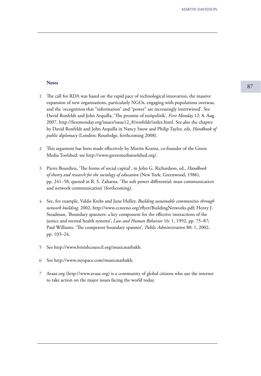#### **Notes**

- The call for RDA was based on the rapid pace of technological innovation, the massive expansion of new organisations, particularly NGOs, engaging with populations overseas, and the 'recognition that "information" and "power" are increasingly intertwined'. See David Ronfeldt and John Arquilla, 'The promise of noöpolitik', *First Monday* 12: 8, Aug. 2007, http://firstmonday.org/issues/issue12\_8/ronfeldt/index.html. See also the chapter by David Ronfeldt and John Arquilla in Nancy Snow and Philip Taylor, eds, *Handbook of public diplomacy* (London: Routledge, forthcoming 2008). **1**
- This argument has been made effectively by Martin Kearns, co-founder of the Green **2** Media Toolshed: see http://www.greenmediatoolshed.org/.
- Pierre Bourdieu, 'The forms of social capital', in John G. Richardson, ed., *Handbook*  **3** *of theory and research for the sociology of education* (New York: Greenwood, 1986), pp. 241–58, quoted in R. S. Zaharna, 'The soft power differential: mass communication and network communication' (forthcoming).
- See, for example, Valdis Krebs and June Holley, *Building sustainable communities through*  **4** *network building,* 2002, http://www.ccnreno.org/rflyer/BuildingNetworks.pdf; Henry J. Steadman, 'Boundary spanners: a key component for the effective interactions of the justice and mental health systems', *Law and Human Behavior* 16: 1, 1992, pp. 75–87; Paul Williams, 'The competent boundary spanner', *Public Administration* 80: 1, 2002, pp. 103–24.
- See http://www.britishcouncil.org/musicmatbakh. **5**
- See http://www.myspace.com/musicmatbakh. **6**
- Avaaz.org (http://www.avaaz.org) is a community of global citizens who use the internet **7** to take action on the major issues facing the world today.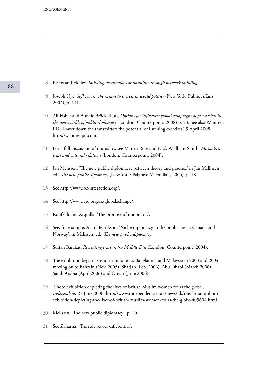- Krebs and Holley, *Building sustainable communities through network building*. **8**
- Joseph Nye, *Soft power: the means to success in world politics* (New York: Public Affairs, 2004), p. 111. **9**
- Ali Fisher and Aurélie Bröckerhoff, *Options for influence: global campaigns of persuasion in the new worlds of public diplomacy* (London: Counterpoint, 2008) p. 23. See also Wandren PD, 'Power down the transmitter: the potential of listening exercises*',* 9 April 2008, http://wandrenpd.com. **10**
- For a full discussion of mutuality, see Martin Rose and Nick Wadham-Smith, *Mutuality, trust and cultural relations* (London: Counterpoint, 2004). **11**
- Jan Melissen, 'The new public diplomacy: between theory and practice' in Jan Mellissen, **12** ed., *The new public diplomacy* (New York: Palgrave Macmillan, 2005), p. 18.
- See http://www.bc-interaction.org/. **13**
- See http://www.vso.org.uk/globalxchange/. **14**
- Ronfeldt and Arquilla, 'The promise of noöpolitik'. **15**
- See, for example, Alan Henrikson, 'Niche diplomacy in the public arena: Canada and Norway', in Melissen, ed., *The new public diplomacy.* **16**
- Sultan Barakat, *Recreating trust in the Middle East* (London: Counterpoint, 2004). **17**
- The exhibition began its tour in Indonesia, Bangladesh and Malaysia in 2003 and 2004, moving on to Bahrain (Nov. 2005), Sharjah (Feb. 2006), Abu Dhabi (March 2006), Saudi Arabia (April 2006) and Oman (June 2006). **18**
- 'Photo exhibition depicting the lives of British Muslim women tours the globe', *Independent,* 27 June 2006, http://www.independent.co.uk/news/uk/this-britain/photoexhibition-depicting-the-lives-of-british-muslim-women-tours-the-globe-405604.html. **19**
- Melissen, 'The new public diplomacy', p. 10. **20**
- See Zaharna, 'The soft power differential'. **21**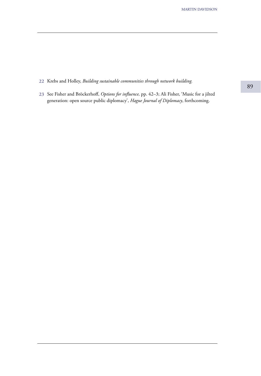Krebs and Holley, *Building sustainable communities through network building.* **22**

23 See Fisher and Bröckerhoff, *Options for influence*, pp. 42–3; Ali Fisher, 'Music for a jilted generation: open source public diplomacy', *Hague Journal of Diplomacy*, forthcoming.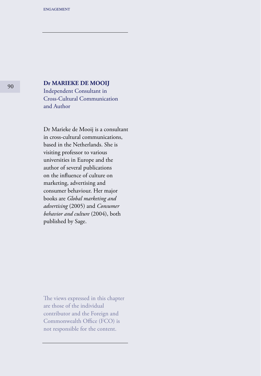# <sup>90</sup> **Dr MARIEKE DE MOOIJ**

Independent Consultant in Cross-Cultural Communication and Author

Dr Marieke de Mooij is a consultant in cross-cultural communications, based in the Netherlands. She is visiting professor to various universities in Europe and the author of several publications on the influence of culture on marketing, advertising and consumer behaviour. Her major books are *Global marketing and advertising* (2005) and *Consumer behavior and culture* (2004), both published by Sage.

The views expressed in this chapter are those of the individual contributor and the Foreign and Commonwealth Office (FCO) is not responsible for the content.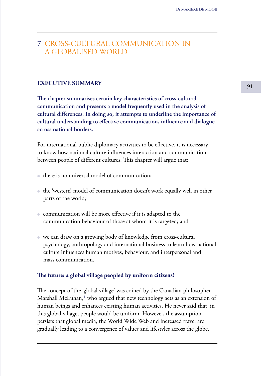# 7 CROSS-CULTURAL COMMUNICATION IN A GLOBALISED WORLD

# **EXECUTIVE SUMMARY** 91

**The chapter summarises certain key characteristics of cross-cultural communication and presents a model frequently used in the analysis of cultural differences. In doing so, it attempts to underline the importance of cultural understanding to effective communication, influence and dialogue across national borders.**

For international public diplomacy activities to be effective, it is necessary to know how national culture influences interaction and communication between people of different cultures. This chapter will argue that:

- there is no universal model of communication;
- the 'western' model of communication doesn't work equally well in other parts of the world;
- communication will be more effective if it is adapted to the communication behaviour of those at whom it is targeted; and
- we can draw on a growing body of knowledge from cross-cultural psychology, anthropology and international business to learn how national culture influences human motives, behaviour, and interpersonal and mass communication.

#### **The future: a global village peopled by uniform citizens?**

The concept of the 'global village' was coined by the Canadian philosopher Marshall McLuhan, $<sup>1</sup>$  who argued that new technology acts as an extension of</sup> human beings and enhances existing human activities. He never said that, in this global village, people would be uniform. However, the assumption persists that global media, the World Wide Web and increased travel are gradually leading to a convergence of values and lifestyles across the globe.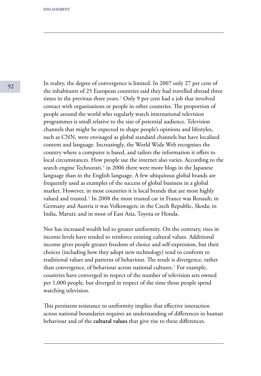In reality, the degree of convergence is limited. In 2007 only 27 per cent of the inhabitants of 25 European countries said they had travelled abroad three times in the previous three years.<sup>2</sup> Only 9 per cent had a job that involved contact with organisations or people in other countries. The proportion of people around the world who regularly watch international television programmes is small relative to the size of potential audience. Television channels that might be expected to shape people's opinions and lifestyles, such as CNN, were envisaged as global standard channels but have localised content and language. Increasingly, the World Wide Web recognises the country where a computer is based, and tailors the information it offers to local circumstances. How people use the internet also varies. According to the search engine Technorati, $3$  in 2006 there were more blogs in the Japanese language than in the English language. A few ubiquitous global brands are frequently used as examples of the success of global business in a global market. However, in most countries it is local brands that are most highly valued and trusted.<sup>4</sup> In 2008 the most trusted car in France was Renault; in Germany and Austria it was Volkswagen; in the Czech Republic, Skoda; in India, Maruti; and in most of East Asia, Toyota or Honda.

Nor has increased wealth led to greater uniformity. On the contrary, rises in income levels have tended to reinforce existing cultural values. Additional income gives people greater freedom of choice and self-expression, but their choices (including how they adopt new technology) tend to conform to traditional values and patterns of behaviour. The result is divergence, rather than convergence, of behaviour across national cultures.<sup>5</sup> For example, countries have converged in respect of the number of television sets owned per 1,000 people, but diverged in respect of the time those people spend watching television.

This persistent resistance to uniformity implies that effective interaction across national boundaries requires an understanding of differences in human behaviour and of the **cultural values** that give rise to these differences.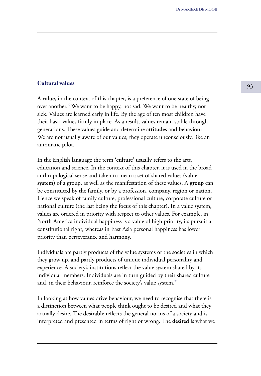# <sup>93</sup> **Cultural values**

A **value**, in the context of this chapter, is a preference of one state of being over another.<sup>6</sup> We want to be happy, not sad. We want to be healthy, not sick. Values are learned early in life. By the age of ten most children have their basic values firmly in place. As a result, values remain stable through generations. These values guide and determine **attitudes** and **behaviour**. We are not usually aware of our values; they operate unconsciously, like an automatic pilot.

In the English language the term '**culture**' usually refers to the arts, education and science. In the context of this chapter, it is used in the broad anthropological sense and taken to mean a set of shared values (**value system**) of a group, as well as the manifestation of these values. A **group** can be constituted by the family, or by a profession, company, region or nation. Hence we speak of family culture, professional culture, corporate culture or national culture (the last being the focus of this chapter). In a value system, values are ordered in priority with respect to other values. For example, in North America individual happiness is a value of high priority, its pursuit a constitutional right, whereas in East Asia personal happiness has lower priority than perseverance and harmony.

Individuals are partly products of the value systems of the societies in which they grow up, and partly products of unique individual personality and experience. A society's institutions reflect the value system shared by its individual members. Individuals are in turn guided by their shared culture and, in their behaviour, reinforce the society's value system.<sup>7</sup>

In looking at how values drive behaviour, we need to recognise that there is a distinction between what people think ought to be desired and what they actually desire. The **desirable** reflects the general norms of a society and is interpreted and presented in terms of right or wrong. The **desired** is what we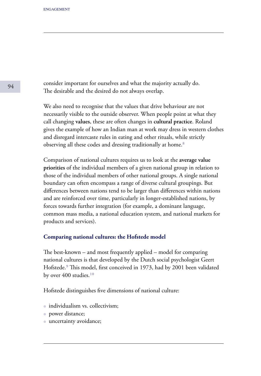consider important for ourselves and what the majority actually do. The desirable and the desired do not always overlap.

We also need to recognise that the values that drive behaviour are not necessarily visible to the outside observer. When people point at what they call changing **values**, these are often changes in **cultural practice**. Roland gives the example of how an Indian man at work may dress in western clothes and disregard intercaste rules in eating and other rituals, while strictly observing all these codes and dressing traditionally at home.<sup>8</sup>

Comparison of national cultures requires us to look at the **average value priorities** of the individual members of a given national group in relation to those of the individual members of other national groups. A single national boundary can often encompass a range of diverse cultural groupings. But differences between nations tend to be larger than differences within nations and are reinforced over time, particularly in longer-established nations, by forces towards further integration (for example, a dominant language, common mass media, a national education system, and national markets for products and services).

### **Comparing national cultures: the Hofstede model**

The best-known – and most frequently applied – model for comparing national cultures is that developed by the Dutch social psychologist Geert Hofstede.<sup>9</sup> This model, first conceived in 1973, had by 2001 been validated by over  $400$  studies.<sup>10</sup>

Hofstede distinguishes five dimensions of national culture:

- individualism vs. collectivism;
- power distance;
- uncertainty avoidance;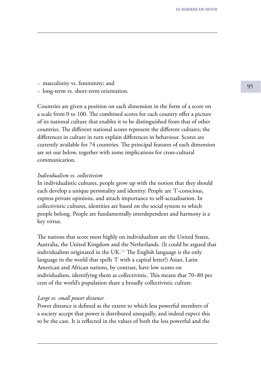• masculinity vs. femininity; and  $\overline{95}$ 

● long-term vs. short-term orientation.

Countries are given a position on each dimension in the form of a score on a scale from 0 to 100. The combined scores for each country offer a picture of its national culture that enables it to be distinguished from that of other countries. The different national scores represent the different cultures; the differences in culture in turn explain differences in behaviour. Scores are currently available for 74 countries. The principal features of each dimension are set out below, together with some implications for cross-cultural communication.

## *Individualism vs. collectivism*

In individualistic cultures, people grow up with the notion that they should each develop a unique personality and identity. People are 'I'-conscious, express private opinions, and attach importance to self-actualisation. In collectivistic cultures, identities are based on the social system to which people belong. People are fundamentally interdependent and harmony is a key virtue.

The nations that score most highly on individualism are the United States, Australia, the United Kingdom and the Netherlands. (It could be argued that individualism originated in the  $UK<sup>11</sup>$  The English language is the only language in the world that spells 'I' with a capital letter!) Asian, Latin American and African nations, by contrast, have low scores on individualism, identifying them as collectivistic. This means that 70–80 per cent of the world's population share a broadly collectivistic culture.

## *Large vs. small power distance*

Power distance is defined as the extent to which less powerful members of a society accept that power is distributed unequally, and indeed expect this to be the case. It is reflected in the values of both the less powerful and the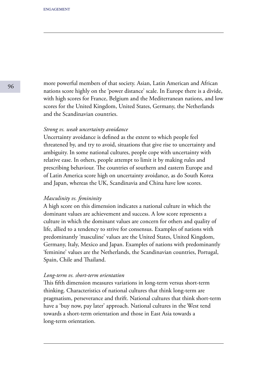more powerful members of that society. Asian, Latin American and African nations score highly on the 'power distance' scale. In Europe there is a divide, with high scores for France, Belgium and the Mediterranean nations, and low scores for the United Kingdom, United States, Germany, the Netherlands and the Scandinavian countries.

#### *Strong vs. weak uncertainty avoidance*

Uncertainty avoidance is defined as the extent to which people feel threatened by, and try to avoid, situations that give rise to uncertainty and ambiguity. In some national cultures, people cope with uncertainty with relative ease. In others, people attempt to limit it by making rules and prescribing behaviour. The countries of southern and eastern Europe and of Latin America score high on uncertainty avoidance, as do South Korea and Japan, whereas the UK, Scandinavia and China have low scores.

#### *Masculinity vs. femininity*

A high score on this dimension indicates a national culture in which the dominant values are achievement and success. A low score represents a culture in which the dominant values are concern for others and quality of life, allied to a tendency to strive for consensus. Examples of nations with predominantly 'masculine' values are the United States, United Kingdom, Germany, Italy, Mexico and Japan. Examples of nations with predominantly 'feminine' values are the Netherlands, the Scandinavian countries, Portugal, Spain, Chile and Thailand.

#### *Long-term vs. short-term orientation*

This fifth dimension measures variations in long-term versus short-term thinking. Characteristics of national cultures that think long-term are pragmatism, perseverance and thrift. National cultures that think short-term have a 'buy now, pay later' approach. National cultures in the West tend towards a short-term orientation and those in East Asia towards a long-term orientation.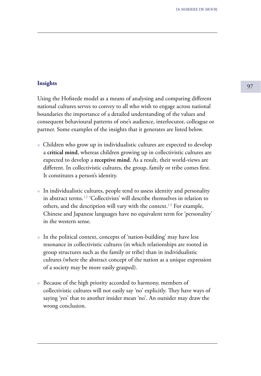# **Insights** 5 and 97 and 97 and 97 and 97 and 97 and 97 and 97 and 97 and 97 and 97 and 97 and 97 and 97 and 97

Using the Hofstede model as a means of analysing and comparing different national cultures serves to convey to all who wish to engage across national boundaries the importance of a detailed understanding of the values and consequent behavioural patterns of one's audience, interlocutor, colleague or partner. Some examples of the insights that it generates are listed below.

- Children who grow up in individualistic cultures are expected to develop a **critical mind**, whereas children growing up in collectivistic cultures are expected to develop a **receptive mind**. As a result, their world-views are different. In collectivistic cultures, the group, family or tribe comes first. It constitutes a person's identity.
- In individualistic cultures, people tend to assess identity and personality in abstract terms.<sup>12</sup> 'Collectivists' will describe themselves in relation to others, and the description will vary with the context.<sup>13</sup> For example, Chinese and Japanese languages have no equivalent term for 'personality' in the western sense.
- In the political context, concepts of 'nation-building' may have less resonance in collectivistic cultures (in which relationships are rooted in group structures such as the family or tribe) than in individualistic cultures (where the abstract concept of the nation as a unique expression of a society may be more easily grasped).
- Because of the high priority accorded to harmony, members of collectivistic cultures will not easily say 'no' explicitly. They have ways of saying 'yes' that to another insider mean 'no'. An outsider may draw the wrong conclusion.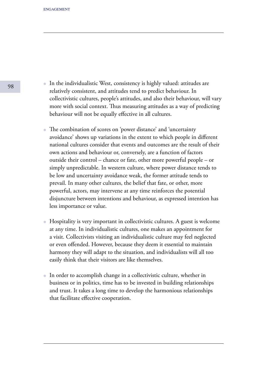- In the individualistic West, consistency is highly valued: attitudes are relatively consistent, and attitudes tend to predict behaviour. In collectivistic cultures, people's attitudes, and also their behaviour, will vary more with social context. Thus measuring attitudes as a way of predicting behaviour will not be equally effective in all cultures.
- The combination of scores on 'power distance' and 'uncertainty avoidance' shows up variations in the extent to which people in different national cultures consider that events and outcomes are the result of their own actions and behaviour or, conversely, are a function of factors outside their control – chance or fate, other more powerful people – or simply unpredictable. In western culture, where power distance tends to be low and uncertainty avoidance weak, the former attitude tends to prevail. In many other cultures, the belief that fate, or other, more powerful, actors, may intervene at any time reinforces the potential disjuncture between intentions and behaviour, as expressed intention has less importance or value.
- Hospitality is very important in collectivistic cultures. A guest is welcome at any time. In individualistic cultures, one makes an appointment for a visit. Collectivists visiting an individualistic culture may feel neglected or even offended. However, because they deem it essential to maintain harmony they will adapt to the situation, and individualists will all too easily think that their visitors are like themselves.
- In order to accomplish change in a collectivistic culture, whether in business or in politics, time has to be invested in building relationships and trust. It takes a long time to develop the harmonious relationships that facilitate effective cooperation.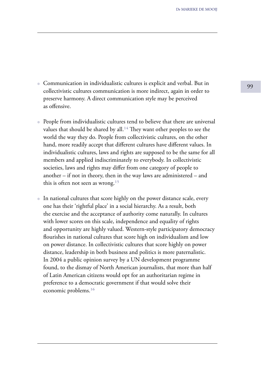- <sup>99</sup> Communication in individualistic cultures is explicit and verbal. But in collectivistic cultures communication is more indirect, again in order to preserve harmony. A direct communication style may be perceived as offensive.
- People from individualistic cultures tend to believe that there are universal values that should be shared by all.<sup>14</sup> They want other peoples to see the world the way they do. People from collectivistic cultures, on the other hand, more readily accept that different cultures have different values. In individualistic cultures, laws and rights are supposed to be the same for all members and applied indiscriminately to everybody. In collectivistic societies, laws and rights may differ from one category of people to another – if not in theory, then in the way laws are administered – and this is often not seen as wrong.<sup>15</sup>
- In national cultures that score highly on the power distance scale, every one has their 'rightful place' in a social hierarchy. As a result, both the exercise and the acceptance of authority come naturally. In cultures with lower scores on this scale, independence and equality of rights and opportunity are highly valued. Western-style participatory democracy flourishes in national cultures that score high on individualism and low on power distance. In collectivistic cultures that score highly on power distance, leadership in both business and politics is more paternalistic. In 2004 a public opinion survey by a UN development programme found, to the dismay of North American journalists, that more than half of Latin American citizens would opt for an authoritarian regime in preference to a democratic government if that would solve their economic problems.<sup>16</sup>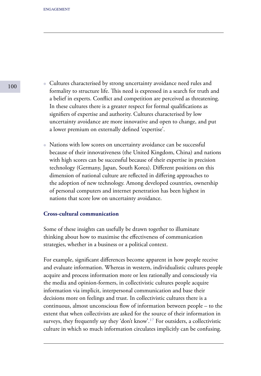- Cultures characterised by strong uncertainty avoidance need rules and formality to structure life. This need is expressed in a search for truth and a belief in experts. Conflict and competition are perceived as threatening. In these cultures there is a greater respect for formal qualifications as signifiers of expertise and authority. Cultures characterised by low uncertainty avoidance are more innovative and open to change, and put a lower premium on externally defined 'expertise'.
- Nations with low scores on uncertainty avoidance can be successful because of their innovativeness (the United Kingdom, China) and nations with high scores can be successful because of their expertise in precision technology (Germany, Japan, South Korea). Different positions on this dimension of national culture are reflected in differing approaches to the adoption of new technology. Among developed countries, ownership of personal computers and internet penetration has been highest in nations that score low on uncertainty avoidance.

## **Cross-cultural communication**

Some of these insights can usefully be drawn together to illuminate thinking about how to maximise the effectiveness of communication strategies, whether in a business or a political context.

For example, significant differences become apparent in how people receive and evaluate information. Whereas in western, individualistic cultures people acquire and process information more or less rationally and consciously via the media and opinion-formers, in collectivistic cultures people acquire information via implicit, interpersonal communication and base their decisions more on feelings and trust. In collectivistic cultures there is a continuous, almost unconscious flow of information between people – to the extent that when collectivists are asked for the source of their information in surveys, they frequently say they 'don't know'.<sup>17</sup> For outsiders, a collectivistic culture in which so much information circulates implicitly can be confusing.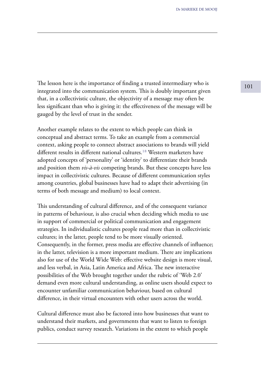The lesson here is the importance of finding a trusted intermediary who is  $101$ integrated into the communication system. This is doubly important given that, in a collectivistic culture, the objectivity of a message may often be less significant than who is giving it: the effectiveness of the message will be gauged by the level of trust in the sender.

Another example relates to the extent to which people can think in conceptual and abstract terms. To take an example from a commercial context, asking people to connect abstract associations to brands will yield different results in different national cultures.<sup>18</sup> Western marketers have adopted concepts of 'personality' or 'identity' to differentiate their brands and position them *vis-à-vis* competing brands. But these concepts have less impact in collectivistic cultures. Because of different communication styles among countries, global businesses have had to adapt their advertising (in terms of both message and medium) to local context.

This understanding of cultural difference, and of the consequent variance in patterns of behaviour, is also crucial when deciding which media to use in support of commercial or political communication and engagement strategies. In individualistic cultures people read more than in collectivistic cultures; in the latter, people tend to be more visually oriented. Consequently, in the former, press media are effective channels of influence; in the latter, television is a more important medium. There are implications also for use of the World Wide Web: effective website design is more visual, and less verbal, in Asia, Latin America and Africa. The new interactive possibilities of the Web brought together under the rubric of 'Web 2.0' demand even more cultural understanding, as online users should expect to encounter unfamiliar communication behaviour, based on cultural difference, in their virtual encounters with other users across the world.

Cultural difference must also be factored into how businesses that want to understand their markets, and governments that want to listen to foreign publics, conduct survey research. Variations in the extent to which people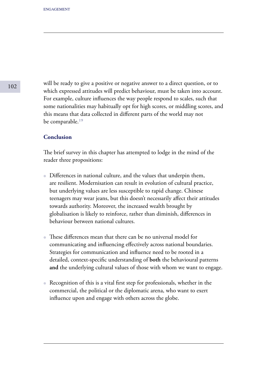will be ready to give a positive or negative answer to a direct question, or to which expressed attitudes will predict behaviour, must be taken into account. For example, culture influences the way people respond to scales, such that some nationalities may habitually opt for high scores, or middling scores, and this means that data collected in different parts of the world may not be comparable.<sup>19</sup>

## **Conclusion**

The brief survey in this chapter has attempted to lodge in the mind of the reader three propositions:

- Differences in national culture, and the values that underpin them, are resilient. Modernisation can result in evolution of cultural practice, but underlying values are less susceptible to rapid change. Chinese teenagers may wear jeans, but this doesn't necessarily affect their attitudes towards authority. Moreover, the increased wealth brought by globalisation is likely to reinforce, rather than diminish, differences in behaviour between national cultures.
- These differences mean that there can be no universal model for communicating and influencing effectively across national boundaries. Strategies for communication and influence need to be rooted in a detailed, context-specific understanding of **both** the behavioural patterns **and** the underlying cultural values of those with whom we want to engage.
- Recognition of this is a vital first step for professionals, whether in the commercial, the political or the diplomatic arena, who want to exert influence upon and engage with others across the globe.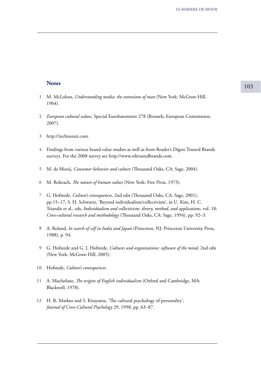# **Notes** 103

- M. McLuhan, *Understanding media: the extensions of man* (New York: McGraw-Hill, **1** 1964).
- *European cultural values,* Special Eurobarometer 278 (Brussels: European Commission, **2** 2007).
- http://technorati.com. **3**
- Findings from various brand value studies as well as from Reader's Digest Trusted Brands surveys. For the 2008 survey see http://www.rdtrustedbrands.com. **4**
- M. de Mooij, *Consumer behavior and culture* (Thousand Oaks, CA: Sage, 2004). **5**
- M. Rokeach, *The nature of human values* (New York: Free Press, 1973). **6**
- G. Hofstede, *Culture's consequences,* 2nd edn (Thousand Oaks, CA: Sage, 2001), **7** pp.15–17; S. H. Schwartz, 'Beyond individualism/collectivism', in U. Kim, H. C. Triandis et al., eds, *Individualism and collectivism: theory, method, and applications,* vol. 18: *Cross-cultural research and methodology* (Thousand Oaks, CA: Sage, 1994), pp. 92–3.
- A. Roland, *In search of self in India and Japan* (Princeton, NJ: Princeton University Press, **8** 1988), p. 94.
- G. Hofstede and G. J. Hofstede, *Cultures and organizations: software of the mind,* 2nd edn **9** (New York: McGraw-Hill, 2005).
- Hofstede, *Culture's consequences.* **10**
- A. Macfarlane, *The origins of English individualism* (Oxford and Cambridge, MA: Blackwell, 1978). **11**
- H. R. Markus and S. Kitayama, 'The cultural psychology of personality', **12** *Journal of Cross-Cultural Psychology* 29, 1998, pp. 63–87.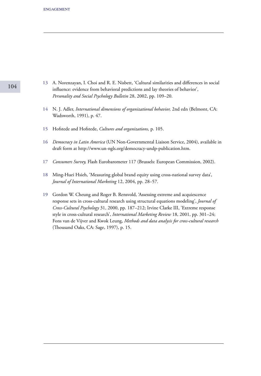- A. Norenzayan, I. Choi and R. E. Nisbett, 'Cultural similarities and differences in social **13** influence: evidence from behavioral predictions and lay theories of behavior', *Personality and Social Psychology Bulletin* 28, 2002, pp. 109–20.
- N. J. Adler, *International dimensions of organizational behavior,* 2nd edn (Belmont, CA: **14** Wadsworth, 1991), p. 47.
- Hofstede and Hofstede, *Cultures and organizations,* p. 105. **15**
- *Democracy in Latin America* (UN Non-Governmental Liaison Service, 2004), available in **16** draft form at http://www.un-ngls.org/democracy-undp-publication.htm.
- *Consumers Survey,* Flash Eurobarometer 117 (Brussels: European Commission, 2002). **17**
- Ming-Huei Hsieh, 'Measuring global brand equity using cross-national survey data', *Journal of International Marketing* 12, 2004, pp. 28–57. **18**
- Gordon W. Cheung and Roger B. Rensvold, 'Assessing extreme and acquiescence **19**response sets in cross-cultural research using structural equations modeling', *Journal of Cross-Cultural Psychology* 31, 2000, pp. 187–212; Irvine Clarke III, 'Extreme response style in cross-cultural research', *International Marketing Review* 18, 2001, pp. 301–24; Fons van de Vijver and Kwok Leung, *Methods and data analysis for cross-cultural research*  (Thousand Oaks, CA: Sage, 1997), p. 15.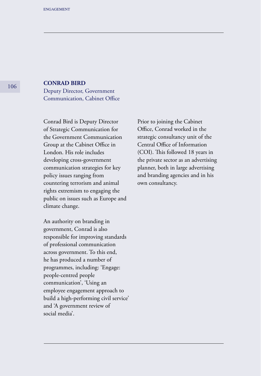## **CONRAD BIRD**

Deputy Director, Government Communication, Cabinet Office

Conrad Bird is Deputy Director of Strategic Communication for the Government Communication Group at the Cabinet Office in London. His role includes developing cross-government communication strategies for key policy issues ranging from countering terrorism and animal rights extremism to engaging the public on issues such as Europe and climate change.

An authority on branding in government, Conrad is also responsible for improving standards of professional communication across government. To this end, he has produced a number of programmes, including: 'Engage: people-centred people communication', 'Using an employee engagement approach to build a high-performing civil service' and 'A government review of social media'.

Prior to joining the Cabinet Office, Conrad worked in the strategic consultancy unit of the Central Office of Information (COI). This followed 18 years in the private sector as an advertising planner, both in large advertising and branding agencies and in his own consultancy.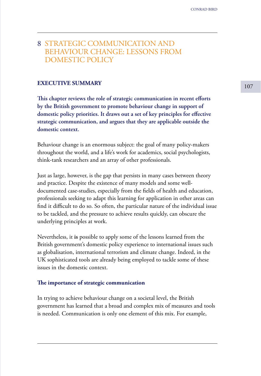## 8 STRATEGIC COMMUNICATION AND BEHAVIOUR CHANGE: LESSONS FROM DOMESTIC POLICY

# **EXECUTIVE SUMMARY** 107

**This chapter reviews the role of strategic communication in recent efforts by the British government to promote behaviour change in support of domestic policy priorities. It draws out a set of key principles for effective strategic communication, and argues that they are applicable outside the domestic context.**

Behaviour change is an enormous subject: the goal of many policy-makers throughout the world, and a life's work for academics, social psychologists, think-tank researchers and an array of other professionals.

Just as large, however, is the gap that persists in many cases between theory and practice. Despite the existence of many models and some welldocumented case-studies, especially from the fields of health and education, professionals seeking to adapt this learning for application in other areas can find it difficult to do so. So often, the particular nature of the individual issue to be tackled, and the pressure to achieve results quickly, can obscure the underlying principles at work.

Nevertheless, it **is** possible to apply some of the lessons learned from the British government's domestic policy experience to international issues such as globalisation, international terrorism and climate change. Indeed, in the UK sophisticated tools are already being employed to tackle some of these issues in the domestic context.

#### **The importance of strategic communication**

In trying to achieve behaviour change on a societal level, the British government has learned that a broad and complex mix of measures and tools is needed. Communication is only one element of this mix. For example,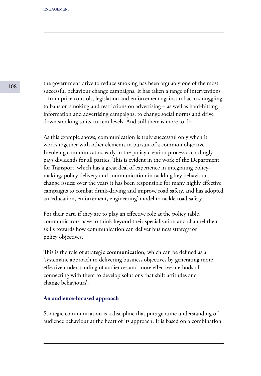the government drive to reduce smoking has been arguably one of the most successful behaviour change campaigns. It has taken a range of interventions – from price controls, legislation and enforcement against tobacco smuggling to bans on smoking and restrictions on advertising – as well as hard-hitting information and advertising campaigns, to change social norms and drive down smoking to its current levels. And still there is more to do.

As this example shows, communication is truly successful only when it works together with other elements in pursuit of a common objective. Involving communicators early in the policy creation process accordingly pays dividends for all parties. This is evident in the work of the Department for Transport, which has a great deal of experience in integrating policymaking, policy delivery and communication in tackling key behaviour change issues: over the years it has been responsible for many highly effective campaigns to combat drink-driving and improve road safety, and has adopted an 'education, enforcement, engineering' model to tackle road safety.

For their part, if they are to play an effective role at the policy table, communicators have to think **beyond** their specialisation and channel their skills towards how communication can deliver business strategy or policy objectives.

This is the role of **strategic communication**, which can be defined as a 'systematic approach to delivering business objectives by generating more effective understanding of audiences and more effective methods of connecting with them to develop solutions that shift attitudes and change behaviours'.

## **An audience-focused approach**

Strategic communication is a discipline that puts genuine understanding of audience behaviour at the heart of its approach. It is based on a combination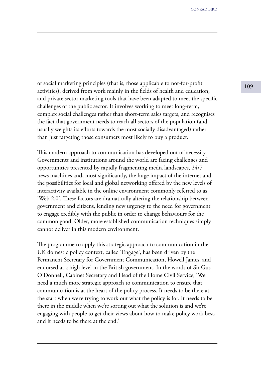<sup>109</sup> of social marketing principles (that is, those applicable to not-for-profit activities), derived from work mainly in the fields of health and education, and private sector marketing tools that have been adapted to meet the specific challenges of the public sector. It involves working to meet long-term, complex social challenges rather than short-term sales targets, and recognises the fact that government needs to reach **all** sectors of the population (and usually weights its efforts towards the most socially disadvantaged) rather than just targeting those consumers most likely to buy a product.

This modern approach to communication has developed out of necessity. Governments and institutions around the world are facing challenges and opportunities presented by rapidly fragmenting media landscapes, 24/7 news machines and, most significantly, the huge impact of the internet and the possibilities for local and global networking offered by the new levels of interactivity available in the online environment commonly referred to as 'Web 2.0'. These factors are dramatically altering the relationship between government and citizens, lending new urgency to the need for government to engage credibly with the public in order to change behaviours for the common good. Older, more established communication techniques simply cannot deliver in this modern environment.

The programme to apply this strategic approach to communication in the UK domestic policy context, called 'Engage', has been driven by the Permanent Secretary for Government Communication, Howell James, and endorsed at a high level in the British government. In the words of Sir Gus O'Donnell, Cabinet Secretary and Head of the Home Civil Service, 'We need a much more strategic approach to communication to ensure that communication is at the heart of the policy process. It needs to be there at the start when we're trying to work out what the policy is for. It needs to be there in the middle when we're sorting out what the solution is and we're engaging with people to get their views about how to make policy work best, and it needs to be there at the end.'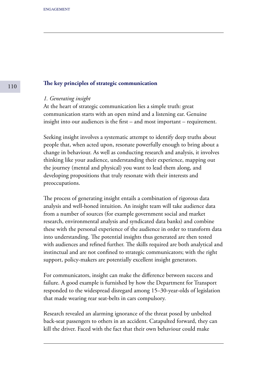#### **The key principles of strategic communication**

#### *1. Generating insight*

At the heart of strategic communication lies a simple truth: great communication starts with an open mind and a listening ear. Genuine insight into our audiences is the first – and most important – requirement.

Seeking insight involves a systematic attempt to identify deep truths about people that, when acted upon, resonate powerfully enough to bring about a change in behaviour. As well as conducting research and analysis, it involves thinking like your audience, understanding their experience, mapping out the journey (mental and physical) you want to lead them along, and developing propositions that truly resonate with their interests and preoccupations.

The process of generating insight entails a combination of rigorous data analysis and well-honed intuition. An insight team will take audience data from a number of sources (for example government social and market research, environmental analysis and syndicated data banks) and combine these with the personal experience of the audience in order to transform data into understanding. The potential insights thus generated are then tested with audiences and refined further. The skills required are both analytical and instinctual and are not confined to strategic communicators; with the right support, policy-makers are potentially excellent insight generators.

For communicators, insight can make the difference between success and failure. A good example is furnished by how the Department for Transport responded to the widespread disregard among 15–30-year-olds of legislation that made wearing rear seat-belts in cars compulsory.

Research revealed an alarming ignorance of the threat posed by unbelted back-seat passengers to others in an accident. Catapulted forward, they can kill the driver. Faced with the fact that their own behaviour could make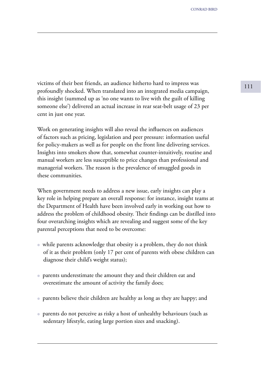victims of their best friends, an audience hitherto hard to impress was 111 profoundly shocked. When translated into an integrated media campaign, this insight (summed up as 'no one wants to live with the guilt of killing someone else') delivered an actual increase in rear seat-belt usage of 23 per cent in just one year.

Work on generating insights will also reveal the influences on audiences of factors such as pricing, legislation and peer pressure: information useful for policy-makers as well as for people on the front line delivering services. Insights into smokers show that, somewhat counter-intuitively, routine and manual workers are less susceptible to price changes than professional and managerial workers. The reason is the prevalence of smuggled goods in these communities.

When government needs to address a new issue, early insights can play a key role in helping prepare an overall response: for instance, insight teams at the Department of Health have been involved early in working out how to address the problem of childhood obesity. Their findings can be distilled into four overarching insights which are revealing and suggest some of the key parental perceptions that need to be overcome:

- while parents acknowledge that obesity is a problem, they do not think of it as their problem (only 17 per cent of parents with obese children can diagnose their child's weight status);
- parents underestimate the amount they and their children eat and overestimate the amount of activity the family does;
- parents believe their children are healthy as long as they are happy; and
- parents do not perceive as risky a host of unhealthy behaviours (such as sedentary lifestyle, eating large portion sizes and snacking).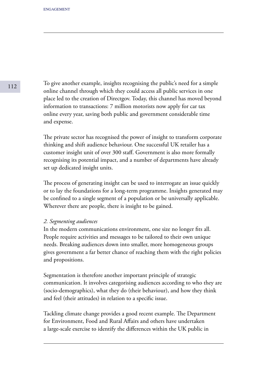To give another example, insights recognising the public's need for a simple online channel through which they could access all public services in one place led to the creation of Directgov. Today, this channel has moved beyond information to transactions: 7 million motorists now apply for car tax online every year, saving both public and government considerable time and expense.

The private sector has recognised the power of insight to transform corporate thinking and shift audience behaviour. One successful UK retailer has a customer insight unit of over 300 staff. Government is also more formally recognising its potential impact, and a number of departments have already set up dedicated insight units.

The process of generating insight can be used to interrogate an issue quickly or to lay the foundations for a long-term programme. Insights generated may be confined to a single segment of a population or be universally applicable. Wherever there are people, there is insight to be gained.

## *2. Segmenting audiences*

In the modern communications environment, one size no longer fits all. People require activities and messages to be tailored to their own unique needs. Breaking audiences down into smaller, more homogeneous groups gives government a far better chance of reaching them with the right policies and propositions.

Segmentation is therefore another important principle of strategic communication. It involves categorising audiences according to who they are (socio-demographics), what they do (their behaviour), and how they think and feel (their attitudes) in relation to a specific issue.

Tackling climate change provides a good recent example. The Department for Environment, Food and Rural Affairs and others have undertaken a large-scale exercise to identify the differences within the UK public in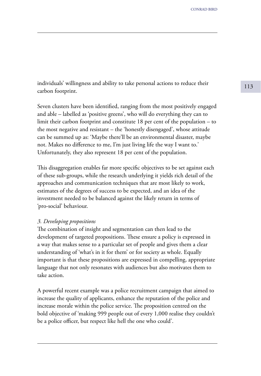<sup>113</sup> individuals' willingness and ability to take personal actions to reduce their carbon footprint.

Seven clusters have been identified, ranging from the most positively engaged and able – labelled as 'positive greens', who will do everything they can to limit their carbon footprint and constitute 18 per cent of the population – to the most negative and resistant – the 'honestly disengaged', whose attitude can be summed up as: 'Maybe there'll be an environmental disaster, maybe not. Makes no difference to me, I'm just living life the way I want to.' Unfortunately, they also represent 18 per cent of the population.

This disaggregation enables far more specific objectives to be set against each of these sub-groups, while the research underlying it yields rich detail of the approaches and communication techniques that are most likely to work, estimates of the degrees of success to be expected, and an idea of the investment needed to be balanced against the likely return in terms of 'pro-social' behaviour.

#### *3. Developing propositions*

The combination of insight and segmentation can then lead to the development of targeted propositions. These ensure a policy is expressed in a way that makes sense to a particular set of people and gives them a clear understanding of 'what's in it for them' or for society as whole. Equally important is that these propositions are expressed in compelling, appropriate language that not only resonates with audiences but also motivates them to take action.

A powerful recent example was a police recruitment campaign that aimed to increase the quality of applicants, enhance the reputation of the police and increase morale within the police service. The proposition centred on the bold objective of 'making 999 people out of every 1,000 realise they couldn't be a police officer, but respect like hell the one who could'.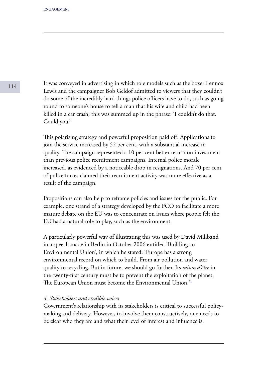It was conveyed in advertising in which role models such as the boxer Lennox Lewis and the campaigner Bob Geldof admitted to viewers that they couldn't do some of the incredibly hard things police officers have to do, such as going round to someone's house to tell a man that his wife and child had been killed in a car crash; this was summed up in the phrase: 'I couldn't do that. Could you?'

This polarising strategy and powerful proposition paid off. Applications to join the service increased by 52 per cent, with a substantial increase in quality. The campaign represented a 10 per cent better return on investment than previous police recruitment campaigns. Internal police morale increased, as evidenced by a noticeable drop in resignations. And 70 per cent of police forces claimed their recruitment activity was more effective as a result of the campaign.

Propositions can also help to reframe policies and issues for the public. For example, one strand of a strategy developed by the FCO to facilitate a more mature debate on the EU was to concentrate on issues where people felt the EU had a natural role to play, such as the environment.

A particularly powerful way of illustrating this was used by David Miliband in a speech made in Berlin in October 2006 entitled 'Building an Environmental Union', in which he stated: 'Europe has a strong environmental record on which to build. From air pollution and water quality to recycling. But in future, we should go further. Its *raison d'être* in the twenty-first century must be to prevent the exploitation of the planet. The European Union must become the Environmental Union.<sup>'1</sup>

#### *4. Stakeholders and credible voices*

Government's relationship with its stakeholders is critical to successful policymaking and delivery. However, to involve them constructively, one needs to be clear who they are and what their level of interest and influence is.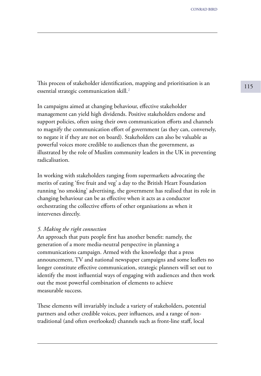<sup>115</sup> This process of stakeholder identification, mapping and prioritisation is an essential strategic communication skill.²

In campaigns aimed at changing behaviour, effective stakeholder management can yield high dividends. Positive stakeholders endorse and support policies, often using their own communication efforts and channels to magnify the communication effort of government (as they can, conversely, to negate it if they are not on board). Stakeholders can also be valuable as powerful voices more credible to audiences than the government, as illustrated by the role of Muslim community leaders in the UK in preventing radicalisation.

In working with stakeholders ranging from supermarkets advocating the merits of eating 'five fruit and veg' a day to the British Heart Foundation running 'no smoking' advertising, the government has realised that its role in changing behaviour can be as effective when it acts as a conductor orchestrating the collective efforts of other organisations as when it intervenes directly.

#### *5. Making the right connection*

An approach that puts people first has another benefit: namely, the generation of a more media-neutral perspective in planning a communications campaign. Armed with the knowledge that a press announcement, TV and national newspaper campaigns and some leaflets no longer constitute effective communication, strategic planners will set out to identify the most influential ways of engaging with audiences and then work out the most powerful combination of elements to achieve measurable success.

These elements will invariably include a variety of stakeholders, potential partners and other credible voices, peer influences, and a range of nontraditional (and often overlooked) channels such as front-line staff, local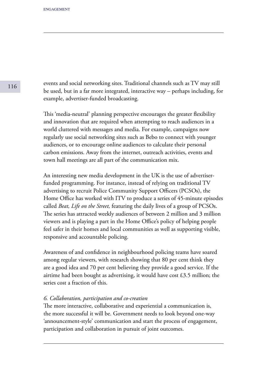events and social networking sites. Traditional channels such as TV may still be used, but in a far more integrated, interactive way – perhaps including, for example, advertiser-funded broadcasting.

This 'media-neutral' planning perspective encourages the greater flexibility and innovation that are required when attempting to reach audiences in a world cluttered with messages and media. For example, campaigns now regularly use social networking sites such as Bebo to connect with younger audiences, or to encourage online audiences to calculate their personal carbon emissions. Away from the internet, outreach activities, events and town hall meetings are all part of the communication mix.

An interesting new media development in the UK is the use of advertiserfunded programming. For instance, instead of relying on traditional TV advertising to recruit Police Community Support Officers (PCSOs), the Home Office has worked with ITV to produce a series of 45-minute episodes called *Beat, Life on the Street,* featuring the daily lives of a group of PCSOs. The series has attracted weekly audiences of between 2 million and 3 million viewers and is playing a part in the Home Office's policy of helping people feel safer in their homes and local communities as well as supporting visible, responsive and accountable policing.

Awareness of and confidence in neighbourhood policing teams have soared among regular viewers, with research showing that 80 per cent think they are a good idea and 70 per cent believing they provide a good service. If the airtime had been bought as advertising, it would have cost £3.5 million; the series cost a fraction of this.

#### *6. Collaboration, participation and co-creation*

The more interactive, collaborative and experiential a communication is, the more successful it will be. Government needs to look beyond one-way 'announcement-style' communication and start the process of engagement, participation and collaboration in pursuit of joint outcomes.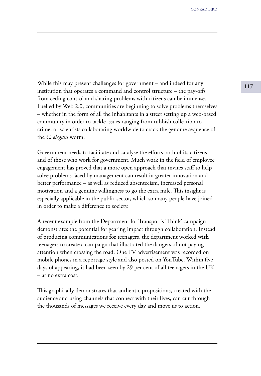While this may present challenges for government – and indeed for any  $\frac{117}{117}$ institution that operates a command and control structure – the pay-offs from ceding control and sharing problems with citizens can be immense. Fuelled by Web 2.0, communities are beginning to solve problems themselves – whether in the form of all the inhabitants in a street setting up a web-based community in order to tackle issues ranging from rubbish collection to crime, or scientists collaborating worldwide to crack the genome sequence of the *C. elegans* worm.

Government needs to facilitate and catalyse the efforts both of its citizens and of those who work for government. Much work in the field of employee engagement has proved that a more open approach that invites staff to help solve problems faced by management can result in greater innovation and better performance – as well as reduced absenteeism, increased personal motivation and a genuine willingness to go the extra mile. This insight is especially applicable in the public sector, which so many people have joined in order to make a difference to society.

A recent example from the Department for Transport's 'Think' campaign demonstrates the potential for gearing impact through collaboration. Instead of producing communications **for** teenagers, the department worked **with** teenagers to create a campaign that illustrated the dangers of not paying attention when crossing the road. One TV advertisement was recorded on mobile phones in a reportage style and also posted on YouTube. Within five days of appearing, it had been seen by 29 per cent of all teenagers in the UK – at no extra cost.

This graphically demonstrates that authentic propositions, created with the audience and using channels that connect with their lives, can cut through the thousands of messages we receive every day and move us to action.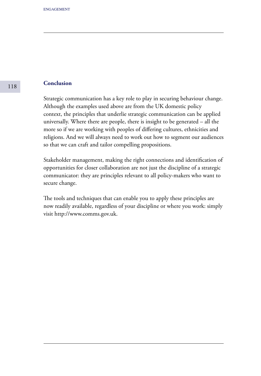# **Conclusion**

Strategic communication has a key role to play in securing behaviour change. Although the examples used above are from the UK domestic policy context, the principles that underlie strategic communication can be applied universally. Where there are people, there is insight to be generated – all the more so if we are working with peoples of differing cultures, ethnicities and religions. And we will always need to work out how to segment our audiences so that we can craft and tailor compelling propositions.

Stakeholder management, making the right connections and identification of opportunities for closer collaboration are not just the discipline of a strategic communicator: they are principles relevant to all policy-makers who want to secure change.

The tools and techniques that can enable you to apply these principles are now readily available, regardless of your discipline or where you work: simply visit http://www.comms.gov.uk.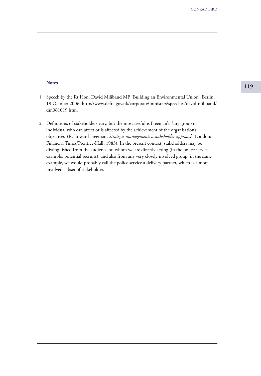#### **Notes**

- Speech by the Rt Hon. David Miliband MP, 'Building an Environmental Union', Berlin, **1** 19 October 2006, http://www.defra.gov.uk/corporate/ministers/speeches/david-miliband/ dm061019.htm.
- Definitions of stakeholders vary, but the most useful is Freeman's: 'any group or **2** individual who can affect or is affected by the achievement of the organisation's objectives' (R. Edward Freeman, *Strategic management: a stakeholder approach,* London: Financial Times/Prentice-Hall, 1983). In the present context, stakeholders may be distinguished from the audience on whom we are directly acting (in the police service example, potential recruits), and also from any very closely involved group: in the same example, we would probably call the police service a delivery partner, which is a more involved subset of stakeholder.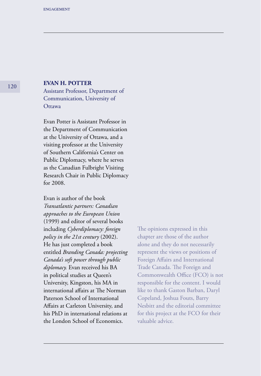# **EVAN H. POTTER**

Assistant Professor, Department of Communication, University of **Ottawa** 

Evan Potter is Assistant Professor in the Department of Communication at the University of Ottawa, and a visiting professor at the University of Southern California's Center on Public Diplomacy, where he serves as the Canadian Fulbright Visiting Research Chair in Public Diplomacy for 2008.

Evan is author of the book *Transatlantic partners: Canadian approaches to the European Union*  (1999) and editor of several books including *Cyberdiplomacy: foreign policy in the 21st century* (2002). He has just completed a book entitled *Branding Canada: projecting Canada's soft power through public diplomacy.* Evan received his BA in political studies at Queen's University, Kingston, his MA in international affairs at The Norman Paterson School of International Affairs at Carleton University, and his PhD in international relations at the London School of Economics.

The opinions expressed in this chapter are those of the author alone and they do not necessarily represent the views or positions of Foreign Affairs and International Trade Canada. The Foreign and Commonwealth Office (FCO) is not responsible for the content. I would like to thank Gaston Barban, Daryl Copeland, Joshua Fouts, Barry Nesbitt and the editorial committee for this project at the FCO for their valuable advice.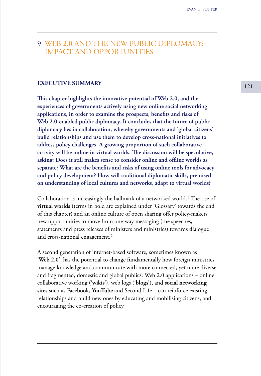# 9 WEB 2.0 AND THE NEW PUBLIC DIPLOMACY: IMPACT AND OPPORTUNITIES

# **EXECUTIVE SUMMARY** 121

**This chapter highlights the innovative potential of Web 2.0, and the experiences of governments actively using new online social networking applications, in order to examine the prospects, benefits and risks of Web 2.0-enabled public diplomacy. It concludes that the future of public diplomacy lies in collaboration, whereby governments and 'global citizens' build relationships and use them to develop cross-national initiatives to address policy challenges. A growing proportion of such collaborative activity will be online in virtual worlds. The discussion will be speculative, asking: Does it still makes sense to consider online and offline worlds as separate? What are the benefits and risks of using online tools for advocacy and policy development? How will traditional diplomatic skills, premised on understanding of local cultures and networks, adapt to virtual worlds?** 

Collaboration is increasingly the hallmark of a networked world.<sup>1</sup> The rise of **virtual worlds** (terms in bold are explained under 'Glossary' towards the end of this chapter) and an online culture of open sharing offer policy-makers new opportunities to move from one-way messaging (the speeches, statements and press releases of ministers and ministries) towards dialogue and cross-national engagement.<sup>2</sup>

A second generation of internet-based software, sometimes known as '**Web 2.0**', has the potential to change fundamentally how foreign ministries manage knowledge and communicate with more connected, yet more diverse and fragmented, domestic and global publics. Web 2.0 applications – online collaborative working ('**wikis**'), web logs ('**blogs**'), and **social networking sites** such as Facebook, **YouTube** and Second Life – can reinforce existing relationships and build new ones by educating and mobilising citizens, and encouraging the co-creation of policy.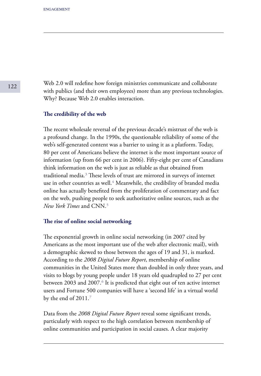Web 2.0 will redefine how foreign ministries communicate and collaborate with publics (and their own employees) more than any previous technologies. Why? Because Web 2.0 enables interaction.

#### **The credibility of the web**

The recent wholesale reversal of the previous decade's mistrust of the web is a profound change. In the 1990s, the questionable reliability of some of the web's self-generated content was a barrier to using it as a platform. Today, 80 per cent of Americans believe the internet is the most important source of information (up from 66 per cent in 2006). Fifty-eight per cent of Canadians think information on the web is just as reliable as that obtained from traditional media.<sup>3</sup> These levels of trust are mirrored in surveys of internet use in other countries as well.<sup>4</sup> Meanwhile, the credibility of branded media online has actually benefited from the proliferation of commentary and fact on the web, pushing people to seek authoritative online sources, such as the *New York Times* and CNN.⁵

## **The rise of online social networking**

The exponential growth in online social networking (in 2007 cited by Americans as the most important use of the web after electronic mail), with a demographic skewed to those between the ages of 19 and 31, is marked. According to the *2008 Digital Future Report*, membership of online communities in the United States more than doubled in only three years, and visits to blogs by young people under 18 years old quadrupled to 27 per cent between 2003 and 2007.<sup>6</sup> It is predicted that eight out of ten active internet users and Fortune 500 companies will have a 'second life' in a virtual world by the end of  $2011$ .<sup>7</sup>

Data from the *2008 Digital Future Report* reveal some significant trends, particularly with respect to the high correlation between membership of online communities and participation in social causes. A clear majority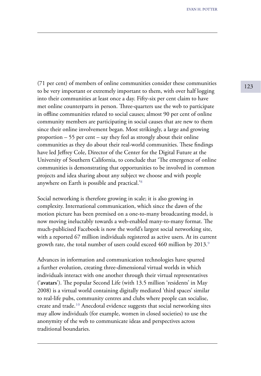<sup>123</sup> (71 per cent) of members of online communities consider these communities to be very important or extremely important to them, with over half logging into their communities at least once a day. Fifty-six per cent claim to have met online counterparts in person. Three-quarters use the web to participate in offline communities related to social causes; almost 90 per cent of online community members are participating in social causes that are new to them since their online involvement began. Most strikingly, a large and growing proportion – 55 per cent – say they feel as strongly about their online communities as they do about their real-world communities. These findings have led Jeffrey Cole, Director of the Center for the Digital Future at the University of Southern California, to conclude that 'The emergence of online communities is demonstrating that opportunities to be involved in common projects and idea sharing about any subject we choose and with people anywhere on Earth is possible and practical.<sup>'8</sup>

Social networking is therefore growing in scale; it is also growing in complexity. International communication, which since the dawn of the motion picture has been premised on a one-to-many broadcasting model, is now moving ineluctably towards a web-enabled many-to-many format. The much-publicised Facebook is now the world's largest social networking site, with a reported 67 million individuals registered as active users. At its current growth rate, the total number of users could exceed 460 million by 2013.<sup>9</sup>

Advances in information and communication technologies have spurred a further evolution, creating three-dimensional virtual worlds in which individuals interact with one another through their virtual representatives ('**avatars**'). The popular Second Life (with 13.5 million 'residents' in May 2008) is a virtual world containing digitally mediated 'third spaces' similar to real-life pubs, community centres and clubs where people can socialise, create and trade.<sup>10</sup> Anecdotal evidence suggests that social networking sites may allow individuals (for example, women in closed societies) to use the anonymity of the web to communicate ideas and perspectives across traditional boundaries.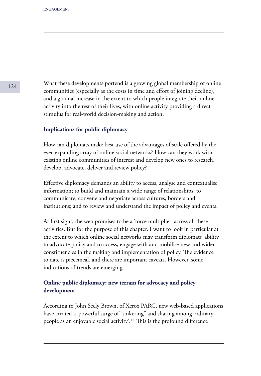What these developments portend is a growing global membership of online communities (especially as the costs in time and effort of joining decline), and a gradual increase in the extent to which people integrate their online activity into the rest of their lives, with online activity providing a direct stimulus for real-world decision-making and action.

## **Implications for public diplomacy**

How can diplomats make best use of the advantages of scale offered by the ever-expanding array of online social networks? How can they work with existing online communities of interest and develop new ones to research, develop, advocate, deliver and review policy?

Effective diplomacy demands an ability to access, analyse and contextualise information; to build and maintain a wide range of relationships; to communicate, convene and negotiate across cultures, borders and institutions; and to review and understand the impact of policy and events.

At first sight, the web promises to be a 'force multiplier' across all these activities. But for the purpose of this chapter, I want to look in particular at the extent to which online social networks may transform diplomats' ability to advocate policy and to access, engage with and mobilise new and wider constituencies in the making and implementation of policy. The evidence to date is piecemeal, and there are important caveats. However, some indications of trends are emerging.

# **Online public diplomacy: new terrain for advocacy and policy development**

According to John Seely Brown, of Xerox PARC, new web-based applications have created a 'powerful surge of "tinkering" and sharing among ordinary people as an enjoyable social activity'.<sup>11</sup> This is the profound difference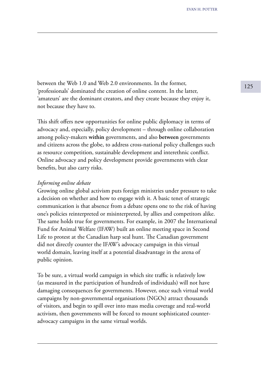between the Web 1.0 and Web 2.0 environments. In the former, 'professionals' dominated the creation of online content. In the latter, 'amateurs' are the dominant creators, and they create because they enjoy it, not because they have to.

This shift offers new opportunities for online public diplomacy in terms of advocacy and, especially, policy development – through online collaboration among policy-makers **within** governments, and also **between** governments and citizens across the globe, to address cross-national policy challenges such as resource competition, sustainable development and interethnic conflict. Online advocacy and policy development provide governments with clear benefits, but also carry risks.

#### *Informing online debate*

Growing online global activism puts foreign ministries under pressure to take a decision on whether and how to engage with it. A basic tenet of strategic communication is that absence from a debate opens one to the risk of having one's policies reinterpreted or misinterpreted, by allies and competitors alike. The same holds true for governments. For example, in 2007 the International Fund for Animal Welfare (IFAW) built an online meeting space in Second Life to protest at the Canadian harp seal hunt. The Canadian government did not directly counter the IFAW's advocacy campaign in this virtual world domain, leaving itself at a potential disadvantage in the arena of public opinion.

To be sure, a virtual world campaign in which site traffic is relatively low (as measured in the participation of hundreds of individuals) will not have damaging consequences for governments. However, once such virtual world campaigns by non-governmental organisations (NGOs) attract thousands of visitors, and begin to spill over into mass media coverage and real-world activism, then governments will be forced to mount sophisticated counteradvocacy campaigns in the same virtual worlds.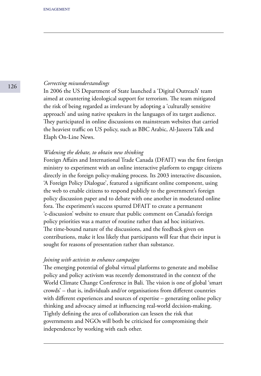#### *Correcting misunderstandings*

In 2006 the US Department of State launched a 'Digital Outreach' team aimed at countering ideological support for terrorism. The team mitigated the risk of being regarded as irrelevant by adopting a 'culturally sensitive approach' and using native speakers in the languages of its target audience. They participated in online discussions on mainstream websites that carried the heaviest traffic on US policy, such as BBC Arabic, Al-Jazeera Talk and Elaph On-Line News.

#### *Widening the debate, to obtain new thinking*

Foreign Affairs and International Trade Canada (DFAIT) was the first foreign ministry to experiment with an online interactive platform to engage citizens directly in the foreign policy-making process. Its 2003 interactive discussion, 'A Foreign Policy Dialogue', featured a significant online component, using the web to enable citizens to respond publicly to the government's foreign policy discussion paper and to debate with one another in moderated online fora. The experiment's success spurred DFAIT to create a permanent 'e-discussion' website to ensure that public comment on Canada's foreign policy priorities was a matter of routine rather than ad hoc initiatives. The time-bound nature of the discussions, and the feedback given on contributions, make it less likely that participants will fear that their input is sought for reasons of presentation rather than substance.

## *Joining with activists to enhance campaigns*

The emerging potential of global virtual platforms to generate and mobilise policy and policy activism was recently demonstrated in the context of the World Climate Change Conference in Bali. The vision is one of global 'smart crowds' – that is, individuals and/or organisations from different countries with different experiences and sources of expertise – generating online policy thinking and advocacy aimed at influencing real-world decision-making. Tightly defining the area of collaboration can lessen the risk that governments and NGOs will both be criticised for compromising their independence by working with each other.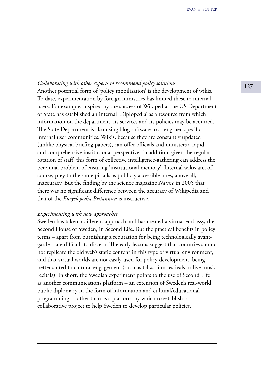# <sup>127</sup> *Collaborating with other experts to recommend policy solutions*

Another potential form of 'policy mobilisation' is the development of wikis. To date, experimentation by foreign ministries has limited these to internal users. For example, inspired by the success of Wikipedia, the US Department of State has established an internal 'Diplopedia' as a resource from which information on the department, its services and its policies may be acquired. The State Department is also using blog software to strengthen specific internal user communities. Wikis, because they are constantly updated (unlike physical briefing papers), can offer officials and ministers a rapid and comprehensive institutional perspective. In addition, given the regular rotation of staff, this form of collective intelligence-gathering can address the perennial problem of ensuring 'institutional memory'. Internal wikis are, of course, prey to the same pitfalls as publicly accessible ones, above all, inaccuracy. But the finding by the science magazine *Nature* in 2005 that there was no significant difference between the accuracy of Wikipedia and that of the *Encyclopedia Britannica* is instructive.

#### *Experimenting with new approaches*

Sweden has taken a different approach and has created a virtual embassy, the Second House of Sweden, in Second Life. But the practical benefits in policy terms – apart from burnishing a reputation for being technologically avantgarde – are difficult to discern. The early lessons suggest that countries should not replicate the old web's static content in this type of virtual environment, and that virtual worlds are not easily used for policy development, being better suited to cultural engagement (such as talks, film festivals or live music recitals). In short, the Swedish experiment points to the use of Second Life as another communications platform – an extension of Sweden's real-world public diplomacy in the form of information and cultural/educational programming – rather than as a platform by which to establish a collaborative project to help Sweden to develop particular policies.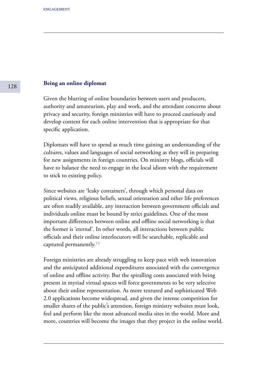#### **Being an online diplomat**

Given the blurring of online boundaries between users and producers, authority and amateurism, play and work, and the attendant concerns about privacy and security, foreign ministries will have to proceed cautiously and develop content for each online intervention that is appropriate for that specific application.

Diplomats will have to spend as much time gaining an understanding of the cultures, values and languages of social networking as they will in preparing for new assignments in foreign countries. On ministry blogs, officials will have to balance the need to engage in the local idiom with the requirement to stick to existing policy.

Since websites are 'leaky containers', through which personal data on political views, religious beliefs, sexual orientation and other life preferences are often readily available, any interaction between government officials and individuals online must be bound by strict guidelines. One of the most important differences between online and offline social networking is that the former is 'eternal'. In other words, all interactions between public officials and their online interlocutors will be searchable, replicable and captured permanently. $12$ 

Foreign ministries are already struggling to keep pace with web innovation and the anticipated additional expenditures associated with the convergence of online and offline activity. But the spiralling costs associated with being present in myriad virtual spaces will force governments to be very selective about their online representation. As more textured and sophisticated Web 2.0 applications become widespread, and given the intense competition for smaller shares of the public's attention, foreign ministry websites must look, feel and perform like the most advanced media sites in the world. More and more, countries will become the images that they project in the online world.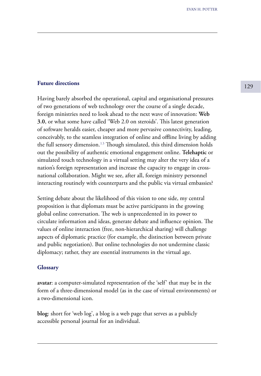# **Future directions** 129

Having barely absorbed the operational, capital and organisational pressures of two generations of web technology over the course of a single decade, foreign ministries need to look ahead to the next wave of innovation: **Web 3.0**, or what some have called 'Web 2.0 on steroids'. This latest generation of software heralds easier, cheaper and more pervasive connectivity, leading, conceivably, to the seamless integration of online and offline living by adding the full sensory dimension.<sup>13</sup> Though simulated, this third dimension holds out the possibility of authentic emotional engagement online. **Telehaptic** or simulated touch technology in a virtual setting may alter the very idea of a nation's foreign representation and increase the capacity to engage in crossnational collaboration. Might we see, after all, foreign ministry personnel interacting routinely with counterparts and the public via virtual embassies?

Setting debate about the likelihood of this vision to one side, my central proposition is that diplomats must be active participants in the growing global online conversation. The web is unprecedented in its power to circulate information and ideas, generate debate and influence opinion. The values of online interaction (free, non-hierarchical sharing) will challenge aspects of diplomatic practice (for example, the distinction between private and public negotiation). But online technologies do not undermine classic diplomacy; rather, they are essential instruments in the virtual age.

#### **Glossary**

**avatar**: a computer-simulated representation of the 'self' that may be in the form of a three-dimensional model (as in the case of virtual environments) or a two-dimensional icon.

**blog**: short for 'web log', a blog is a web page that serves as a publicly accessible personal journal for an individual.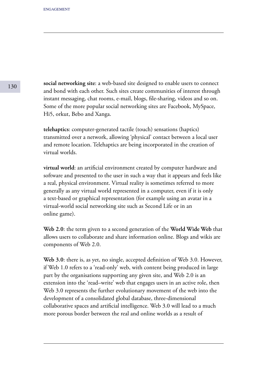**social networking site**: a web-based site designed to enable users to connect and bond with each other. Such sites create communities of interest through instant messaging, chat rooms, e-mail, blogs, file-sharing, videos and so on. Some of the more popular social networking sites are Facebook, MySpace, Hi5, orkut, Bebo and Xanga.

**telehaptics**: computer-generated tactile (touch) sensations (haptics) transmitted over a network, allowing 'physical' contact between a local user and remote location. Telehaptics are being incorporated in the creation of virtual worlds.

**virtual world**: an artificial environment created by computer hardware and software and presented to the user in such a way that it appears and feels like a real, physical environment. Virtual reality is sometimes referred to more generally as any virtual world represented in a computer, even if it is only a text-based or graphical representation (for example using an avatar in a virtual-world social networking site such as Second Life or in an online game).

**Web 2.0**: the term given to a second generation of the **World Wide Web** that allows users to collaborate and share information online. Blogs and wikis are components of Web 2.0.

**Web 3.0**: there is, as yet, no single, accepted definition of Web 3.0. However, if Web 1.0 refers to a 'read-only' web, with content being produced in large part by the organisations supporting any given site, and Web 2.0 is an extension into the 'read–write' web that engages users in an active role, then Web 3.0 represents the further evolutionary movement of the web into the development of a consolidated global database, three-dimensional collaborative spaces and artificial intelligence. Web 3.0 will lead to a much more porous border between the real and online worlds as a result of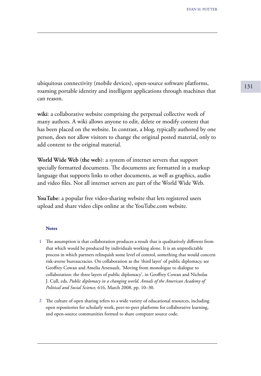ubiquitous connectivity (mobile devices), open-source software platforms, roaming portable identity and intelligent applications through machines that can reason.

**wiki**: a collaborative website comprising the perpetual collective work of many authors. A wiki allows anyone to edit, delete or modify content that has been placed on the website. In contrast, a blog, typically authored by one person, does not allow visitors to change the original posted material, only to add content to the original material.

**World Wide Web** (**the web**): a system of internet servers that support specially formatted documents. The documents are formatted in a markup language that supports links to other documents, as well as graphics, audio and video files. Not all internet servers are part of the World Wide Web.

**YouTube**: a popular free video-sharing website that lets registered users upload and share video clips online at the YouTube.com website.

#### **Notes**

- The assumption is that collaboration produces a result that is qualitatively different from **1** that which would be produced by individuals working alone. It is an unpredictable process in which partners relinquish some level of control, something that would concern risk-averse bureaucracies. On collaboration as the 'third layer' of public diplomacy, see Geoffrey Cowan and Amelia Arsenault, 'Moving from monologue to dialogue to collaboration: the three layers of public diplomacy', in Geoffrey Cowan and Nicholas J. Cull, eds, *Public diplomacy in a changing world, Annals of the American Academy of Political and Social Science,* 616, March 2008, pp. 10–30.
- The culture of open sharing refers to a wide variety of educational resources, including **2** open repositories for scholarly work, peer-to-peer platforms for collaborative learning, and open-source communities formed to share computer source code.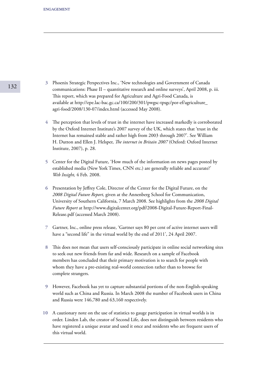- Phoenix Strategic Perspectives Inc., 'New technologies and Government of Canada **3** communications: Phase II – quantitative research and online surveys', April 2008, p. iii. This report, which was prepared for Agriculture and Agri-Food Canada, is available at http://epe.lac-bac.gc.ca/100/200/301/pwgsc-tpsgc/por-ef/agriculture\_ agri-food/2008/130-07/index.html (accessed May 2008).
- The perception that levels of trust in the internet have increased markedly is corroborated **4** by the Oxford Internet Institute's 2007 survey of the UK, which states that 'trust in the Internet has remained stable and rather high from 2003 through 2007'. See William H. Dutton and Ellen J. Helsper, *The internet in Britain 2007* (Oxford: Oxford Internet Institute, 2007), p. 28.
- Center for the Digital Future, 'How much of the information on news pages posted by **5** established media (New York Times, CNN etc.) are generally reliable and accurate?' *Web Insight,* 4 Feb. 2008.
- Presentation by Jeffrey Cole, Director of the Center for the Digital Future, on the **6** *2008 Digital Future Report,* given at the Annenberg School for Communication, University of Southern California, 7 March 2008. See highlights from the *2008 Digital Future Report* at http://www.digitalcenter.org/pdf/2008-Digital-Future-Report-Final-Release.pdf (accessed March 2008).
- Gartner, Inc., online press release, 'Gartner says 80 per cent of active internet users will **7** have a "second life" in the virtual world by the end of 2011', 24 April 2007.
- This does not mean that users self-consciously participate in online social networking sites **8** to seek out new friends from far and wide. Research on a sample of Facebook members has concluded that their primary motivation is to search for people with whom they have a pre-existing real-world connection rather than to browse for complete strangers.
- However, Facebook has yet to capture substantial portions of the non-English-speaking **9** world such as China and Russia. In March 2008 the number of Facebook users in China and Russia were 146,780 and 63,160 respectively.
- A cautionary note on the use of statistics to gauge participation in virtual worlds is in **10**order. Linden Lab, the creator of Second Life, does not distinguish between residents who have registered a unique avatar and used it once and residents who are frequent users of this virtual world.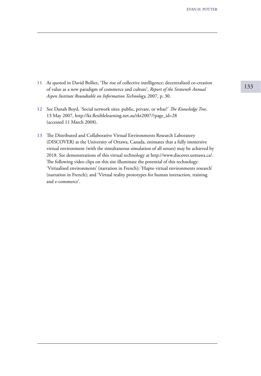- 11 As quoted in David Bollier, 'The rise of collective intelligence: decentralised co-creation<br>
of value as a new paradigm of commerce and culture'. Report of the Sixteenth Annual of value as a new paradigm of commerce and culture', *Report of the Sixteenth Annual Aspen Institute Roundtable on Information Technology,* 2007, p. 30.
- See Danah Boyd, 'Social network sites: public, private, or what?' *The Knowledge Tree,* **12** 13 May 2007, http://kt.flexiblelearning.net.au/tkt2007/?page\_id=28 (accessed 11 March 2008).
- The Distributed and Collaborative Virtual Environments Research Laboratory **13** (DISCOVER) at the University of Ottawa, Canada, estimates that a fully immersive virtual environment (with the simultaneous simulation of all senses) may be achieved by 2018. See demonstrations of this virtual technology at http://www.discover.uottawa.ca/. The following video clips on this site illuminate the potential of this technology: 'Virtualised environments' (narration in French); 'Hapto virtual environments research' (narration in French); and 'Virtual reality prototypes for human interaction, training and e-commerce'.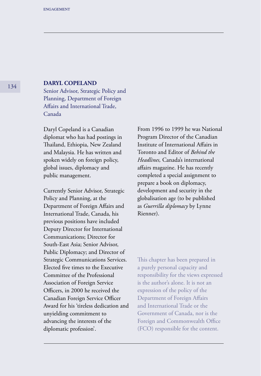## **DARYL COPELAND**

Senior Advisor, Strategic Policy and Planning, Department of Foreign Affairs and International Trade, Canada

Daryl Copeland is a Canadian diplomat who has had postings in Thailand, Ethiopia, New Zealand and Malaysia. He has written and spoken widely on foreign policy, global issues, diplomacy and public management.

Currently Senior Advisor, Strategic Policy and Planning, at the Department of Foreign Affairs and International Trade, Canada, his previous positions have included Deputy Director for International Communications; Director for South-East Asia; Senior Advisor, Public Diplomacy; and Director of Strategic Communications Services. Elected five times to the Executive Committee of the Professional Association of Foreign Service Officers, in 2000 he received the Canadian Foreign Service Officer Award for his 'tireless dedication and unyielding commitment to advancing the interests of the diplomatic profession'.

From 1996 to 1999 he was National Program Director of the Canadian Institute of International Affairs in Toronto and Editor of *Behind the Headlines,* Canada's international affairs magazine. He has recently completed a special assignment to prepare a book on diplomacy, development and security in the globalisation age (to be published as *Guerrilla diplomacy* by Lynne Rienner).

This chapter has been prepared in a purely personal capacity and responsibility for the views expressed is the author's alone. It is not an expression of the policy of the Department of Foreign Affairs and International Trade or the Government of Canada, nor is the Foreign and Commonwealth Office (FCO) responsible for the content.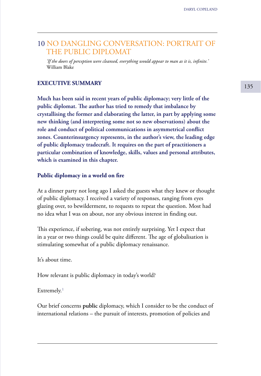# 10 NO DANGLING CONVERSATION: PORTRAIT OF THE PUBLIC DIPLOMAT

*'If the doors of perception were cleansed, everything would appear to man as it is, infinite.'* William Blake

# **EXECUTIVE SUMMARY**

**Much has been said in recent years of public diplomacy; very little of the public diplomat. The author has tried to remedy that imbalance by crystallising the former and elaborating the latter, in part by applying some new thinking (and interpreting some not so new observations) about the role and conduct of political communications in asymmetrical conflict zones. Counterinsurgency represents, in the author's view, the leading edge of public diplomacy tradecraft. It requires on the part of practitioners a particular combination of knowledge, skills, values and personal attributes, which is examined in this chapter.**

#### **Public diplomacy in a world on fire**

At a dinner party not long ago I asked the guests what they knew or thought of public diplomacy. I received a variety of responses, ranging from eyes glazing over, to bewilderment, to requests to repeat the question. Most had no idea what I was on about, nor any obvious interest in finding out.

This experience, if sobering, was not entirely surprising. Yet I expect that in a year or two things could be quite different. The age of globalisation is stimulating somewhat of a public diplomacy renaissance.

It's about time.

How relevant is public diplomacy in today's world?

 $Extremelv.<sup>1</sup>$ 

Our brief concerns **public** diplomacy, which I consider to be the conduct of international relations – the pursuit of interests, promotion of policies and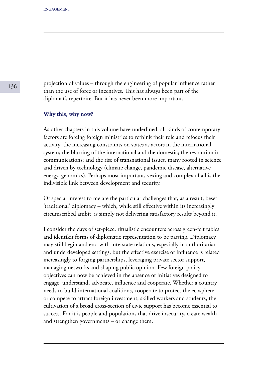projection of values – through the engineering of popular influence rather than the use of force or incentives. This has always been part of the diplomat's repertoire. But it has never been more important.

#### **Why this, why now?**

As other chapters in this volume have underlined, all kinds of contemporary factors are forcing foreign ministries to rethink their role and refocus their activity: the increasing constraints on states as actors in the international system; the blurring of the international and the domestic; the revolution in communications; and the rise of transnational issues, many rooted in science and driven by technology (climate change, pandemic disease, alternative energy, genomics). Perhaps most important, vexing and complex of all is the indivisible link between development and security.

Of special interest to me are the particular challenges that, as a result, beset 'traditional' diplomacy – which, while still effective within its increasingly circumscribed ambit, is simply not delivering satisfactory results beyond it.

I consider the days of set-piece, ritualistic encounters across green-felt tables and identikit forms of diplomatic representation to be passing. Diplomacy may still begin and end with interstate relations, especially in authoritarian and underdeveloped settings, but the effective exercise of influence is related increasingly to forging partnerships, leveraging private sector support, managing networks and shaping public opinion. Few foreign policy objectives can now be achieved in the absence of initiatives designed to engage, understand, advocate, influence and cooperate. Whether a country needs to build international coalitions, cooperate to protect the ecosphere or compete to attract foreign investment, skilled workers and students, the cultivation of a broad cross-section of civic support has become essential to success. For it is people and populations that drive insecurity, create wealth and strengthen governments – or change them.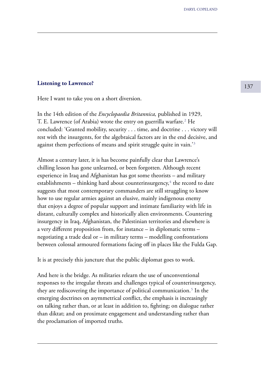# **Listening to Lawrence?** 137

Here I want to take you on a short diversion.

In the 14th edition of the *Encyclopaedia Britannica,* published in 1929, T. E. Lawrence (of Arabia) wrote the entry on guerrilla warfare.² He concluded: 'Granted mobility, security . . . time, and doctrine . . . victory will rest with the insurgents, for the algebraical factors are in the end decisive, and against them perfections of means and spirit struggle quite in vain.<sup>'3</sup>

Almost a century later, it is has become painfully clear that Lawrence's chilling lesson has gone unlearned, or been forgotten. Although recent experience in Iraq and Afghanistan has got some theorists – and military establishments – thinking hard about counterinsurgency, $4$  the record to date suggests that most contemporary commanders are still struggling to know how to use regular armies against an elusive, mainly indigenous enemy that enjoys a degree of popular support and intimate familiarity with life in distant, culturally complex and historically alien environments. Countering insurgency in Iraq, Afghanistan, the Palestinian territories and elsewhere is a very different proposition from, for instance – in diplomatic terms – negotiating a trade deal or – in military terms – modelling confrontations between colossal armoured formations facing off in places like the Fulda Gap.

It is at precisely this juncture that the public diplomat goes to work.

And here is the bridge. As militaries relearn the use of unconventional responses to the irregular threats and challenges typical of counterinsurgency, they are rediscovering the importance of political communication.⁵ In the emerging doctrines on asymmetrical conflict, the emphasis is increasingly on talking rather than, or at least in addition to, fighting; on dialogue rather than diktat; and on proximate engagement and understanding rather than the proclamation of imported truths.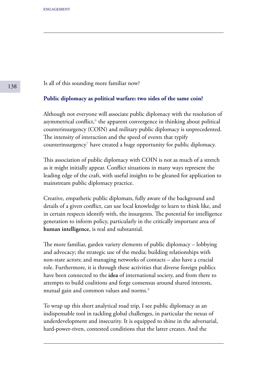Is all of this sounding more familiar now?

#### **Public diplomacy as political warfare: two sides of the same coin?**

Although not everyone will associate public diplomacy with the resolution of asymmetrical conflict,<sup>6</sup> the apparent convergence in thinking about political counterinsurgency (COIN) and military public diplomacy is unprecedented. The intensity of interaction and the speed of events that typify counterinsurgency $\bar{z}$  have created a huge opportunity for public diplomacy.

This association of public diplomacy with COIN is not as much of a stretch as it might initially appear. Conflict situations in many ways represent the leading edge of the craft, with useful insights to be gleaned for application to mainstream public diplomacy practice.

Creative, empathetic public diplomats, fully aware of the background and details of a given conflict, can use local knowledge to learn to think like, and in certain respects identify with, the insurgents. The potential for intelligence generation to inform policy, particularly in the critically important area of **human intelligence**, is real and substantial.

The more familiar, garden variety elements of public diplomacy – lobbying and advocacy; the strategic use of the media; building relationships with non-state actors; and managing networks of contacts – also have a crucial role. Furthermore, it is through these activities that diverse foreign publics have been connected to the **idea** of international society, and from there to attempts to build coalitions and forge consensus around shared interests, mutual gain and common values and norms.<sup>8</sup>

To wrap up this short analytical road trip, I see public diplomacy as an indispensable tool in tackling global challenges, in particular the nexus of underdevelopment and insecurity. It is equipped to shine in the adversarial, hard-power-riven, contested conditions that the latter creates. And the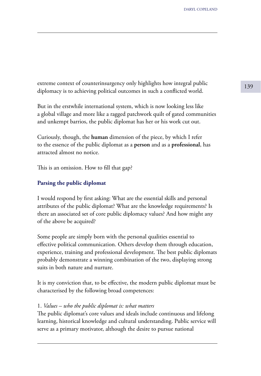extreme context of counterinsurgency only highlights how integral public 139 diplomacy is to achieving political outcomes in such a conflicted world.

But in the erstwhile international system, which is now looking less like a global village and more like a ragged patchwork quilt of gated communities and unkempt barrios, the public diplomat has her or his work cut out.

Curiously, though, the **human** dimension of the piece, by which I refer to the essence of the public diplomat as a **person** and as a **professional**, has attracted almost no notice.

This is an omission. How to fill that gap?

# **Parsing the public diplomat**

I would respond by first asking: What are the essential skills and personal attributes of the public diplomat? What are the knowledge requirements? Is there an associated set of core public diplomacy values? And how might any of the above be acquired?

Some people are simply born with the personal qualities essential to effective political communication. Others develop them through education, experience, training and professional development. The best public diplomats probably demonstrate a winning combination of the two, displaying strong suits in both nature and nurture.

It is my conviction that, to be effective, the modern public diplomat must be characterised by the following broad competences:

#### 1. *Values – who the public diplomat is: what matters*

The public diplomat's core values and ideals include continuous and lifelong learning, historical knowledge and cultural understanding. Public service will serve as a primary motivator, although the desire to pursue national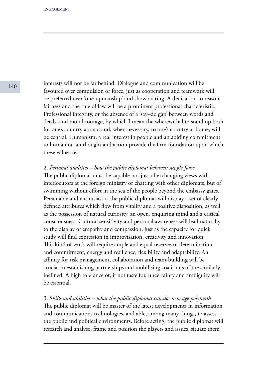interests will not be far behind. Dialogue and communication will be favoured over compulsion or force, just as cooperation and teamwork will be preferred over 'one-upmanship' and showboating. A dedication to reason, fairness and the rule of law will be a prominent professional characteristic. Professional integrity, or the absence of a 'say–do gap' between words and deeds, and moral courage, by which I mean the wherewithal to stand up both for one's country abroad and, when necessary, to one's country at home, will be central. Humanism, a real interest in people and an abiding commitment to humanitarian thought and action provide the firm foundation upon which these values rest.

## 2. *Personal qualities – how the public diplomat behaves: supple force*

The public diplomat must be capable not just of exchanging views with interlocutors at the foreign ministry or chatting with other diplomats, but of swimming without effort in the sea of the people beyond the embassy gates. Personable and enthusiastic, the public diplomat will display a set of clearly defined attributes which flow from vitality and a positive disposition, as well as the possession of natural curiosity, an open, enquiring mind and a critical consciousness. Cultural sensitivity and personal awareness will lead naturally to the display of empathy and compassion, just as the capacity for quick study will find expression in improvisation, creativity and innovation. This kind of work will require ample and equal reserves of determination and commitment, energy and resilience, flexibility and adaptability. An affinity for risk management, collaboration and team-building will be crucial in establishing partnerships and mobilising coalitions of the similarly inclined. A high tolerance of, if not taste for, uncertainty and ambiguity will be essential.

3. S*kills and abilities – what the public diplomat can do: new age polymath* The public diplomat will be master of the latest developments in information and communications technologies, and able, among many things, to assess the public and political environments. Before acting, the public diplomat will research and analyse, frame and position the players and issues, situate them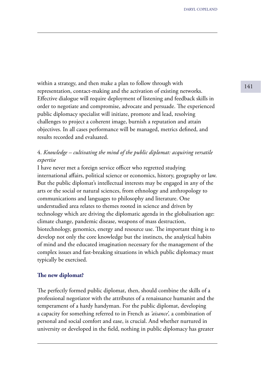within a strategy, and then make a plan to follow through with  $\frac{141}{}$ representation, contact-making and the activation of existing networks. Effective dialogue will require deployment of listening and feedback skills in order to negotiate and compromise, advocate and persuade. The experienced public diplomacy specialist will initiate, promote and lead, resolving challenges to project a coherent image, burnish a reputation and attain objectives. In all cases performance will be managed, metrics defined, and results recorded and evaluated.

# 4. *Knowledge – cultivating the mind of the public diplomat: acquiring versatile expertise*

I have never met a foreign service officer who regretted studying international affairs, political science or economics, history, geography or law. But the public diplomat's intellectual interests may be engaged in any of the arts or the social or natural sciences, from ethnology and anthropology to communications and languages to philosophy and literature. One understudied area relates to themes rooted in science and driven by technology which are driving the diplomatic agenda in the globalisation age: climate change, pandemic disease, weapons of mass destruction, biotechnology, genomics, energy and resource use. The important thing is to develop not only the core knowledge but the instincts, the analytical habits of mind and the educated imagination necessary for the management of the complex issues and fast-breaking situations in which public diplomacy must typically be exercised.

#### **The new diplomat?**

The perfectly formed public diplomat, then, should combine the skills of a professional negotiator with the attributes of a renaissance humanist and the temperament of a hardy handyman. For the public diplomat, developing a capacity for something referred to in French as *'aisance',* a combination of personal and social comfort and ease, is crucial. And whether nurtured in university or developed in the field, nothing in public diplomacy has greater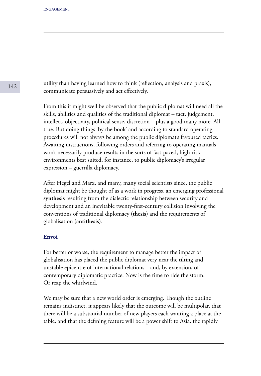utility than having learned how to think (reflection, analysis and praxis), communicate persuasively and act effectively.

From this it might well be observed that the public diplomat will need all the skills, abilities and qualities of the traditional diplomat – tact, judgement, intellect, objectivity, political sense, discretion – plus a good many more. All true. But doing things 'by the book' and according to standard operating procedures will not always be among the public diplomat's favoured tactics. Awaiting instructions, following orders and referring to operating manuals won't necessarily produce results in the sorts of fast-paced, high-risk environments best suited, for instance, to public diplomacy's irregular expression – guerrilla diplomacy.

After Hegel and Marx, and many, many social scientists since, the public diplomat might be thought of as a work in progress, an emerging professional **synthesis** resulting from the dialectic relationship between security and development and an inevitable twenty-first-century collision involving the conventions of traditional diplomacy (**thesis**) and the requirements of globalisation (**antithesis**).

## **Envoi**

For better or worse, the requirement to manage better the impact of globalisation has placed the public diplomat very near the tilting and unstable epicentre of international relations – and, by extension, of contemporary diplomatic practice. Now is the time to ride the storm. Or reap the whirlwind.

We may be sure that a new world order is emerging. Though the outline remains indistinct, it appears likely that the outcome will be multipolar, that there will be a substantial number of new players each wanting a place at the table, and that the defining feature will be a power shift to Asia, the rapidly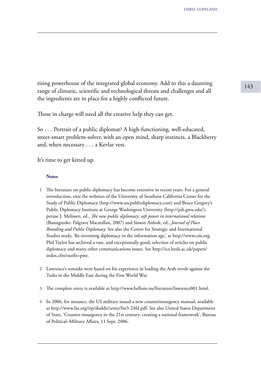<sup>143</sup> rising powerhouse of the integrated global economy. Add to this a daunting range of climatic, scientific and technological threats and challenges and all the ingredients are in place for a highly conflicted future.

Those in charge will need all the creative help they can get.

So . . . Portrait of a public diplomat? A high-functioning, well-educated, street-smart problem-solver, with an open mind, sharp instincts, a Blackberry and, when necessary . . . a Kevlar vest.

It's time to get kitted up.

#### **Notes**

- The literature on public diplomacy has become extensive in recent years. For a general introduction, visit the websites of the University of Southern California Center for the Study of Public Diplomacy (http://www.uscpublicdiplomacy.com) and Bruce Gregory's Public Diplomacy Institute at George Washington University (http://pdi.gwu.edu/); peruse J. Melissen, ed., *The new public diplomacy: soft power in international relations*  (Basingstoke: Palgrave Macmillan, 2007) and Simon Anholt, ed., *Journal of Place Branding and Public Diplomacy.* See also the Centre for Strategic and International Studies study, 'Re-inventing diplomacy in the information age,' at http://www.csis.org. Phil Taylor has archived a vast, and exceptionally good, selection of articles on public diplomacy and many other communications issues. See http://ics.leeds.ac.uk/papers/ index.cfm?outfit=pmt. **1**
- Lawrence's remarks were based on his experience in leading the Arab revolt against the **2** Turks in the Middle East during the First World War.
- The complete entry is available at http://www.bellum.nu/literature/lawrence001.html. **3**
- In 2006, for instance, the US military issued a new counterinsurgency manual, available **4** at http://www.fas.org/irp/doddir/army/fm3-24fd.pdf. See also United States Department of State, 'Counter-insurgency in the 21st century: creating a national framework', Bureau of Political–Military Affairs, 11 Sept. 2006.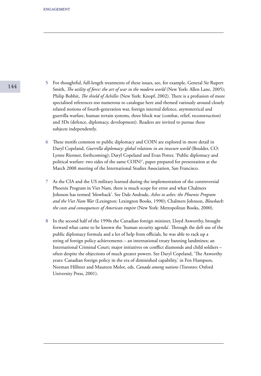- For thoughtful, full-length treatments of these issues, see, for example, General Sir Rupert **5** Smith, *The utility of force: the art of war in the modern world* (New York: Allen Lane, 2005); Philip Bobbit, *The shield of Achilles* (New York: Knopf, 2002). There is a profusion of more specialised references too numerous to catalogue here and themed variously around closely related notions of fourth-generation war, foreign internal defence, asymmetrical and guerrilla warfare, human terrain systems, three block war (combat, relief, reconstruction) and 3Ds (defence, diplomacy, development). Readers are invited to pursue these subjects independently.
- These motifs common to public diplomacy and COIN are explored in more detail in **6** Daryl Copeland, *Guerrilla diplomacy: global relations in an insecure world* (Boulder, CO: Lynne Rienner, forthcoming); Daryl Copeland and Evan Potter, 'Public diplomacy and political warfare: two sides of the same COIN?', paper prepared for presentation at the March 2008 meeting of the International Studies Association, San Francisco.
- As the CIA and the US military learned during the implementation of the controversial **7** Phoenix Program in Viet Nam, there is much scope for error and what Chalmers Johnson has termed 'blowback'. See Dale Andrade, *Ashes to ashes: the Phoenix Program and the Viet Nam War* (Lexington: Lexington Books, 1990); Chalmers Johnson, *Blowback*: *the costs and consequences of American empire* (New York: Metropolitan Books, 2000).
- In the second half of the 1990s the Canadian foreign minister, Lloyd Axworthy, brought **8**forward what came to be known the 'human security agenda'. Through the deft use of the public diplomacy formula and a lot of help from officials, he was able to rack up a string of foreign policy achievements – an international treaty banning landmines; an International Criminal Court; major initiatives on conflict diamonds and child soldiers – often despite the objections of much greater powers. See Daryl Copeland, 'The Axworthy years: Canadian foreign policy in the era of diminished capability,' in Fen Hampson, Norman Hillmer and Maureen Molot, eds, *Canada among nations* (Toronto: Oxford University Press, 2001).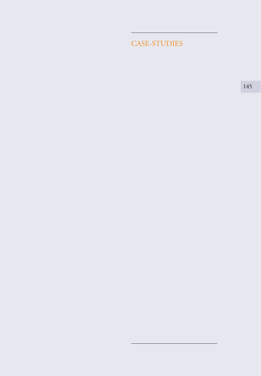CASE-STUDIES

145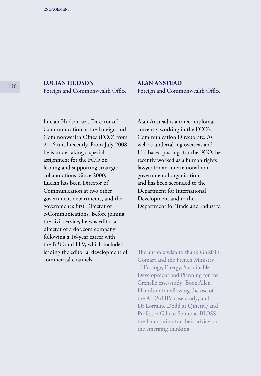<sup>146</sup> **LUCIAN HUDSON** Foreign and Commonwealth Office **ALAN ANSTEAD** Foreign and Commonwealth Office

Lucian Hudson was Director of Communication at the Foreign and Commonwealth Office (FCO) from 2006 until recently. From July 2008, he is undertaking a special assignment for the FCO on leading and supporting strategic collaborations. Since 2000, Lucian has been Director of Communication at two other government departments, and the government's first Director of e-Communications. Before joining the civil service, he was editorial director of a dot.com company following a 16-year career with the BBC and ITV, which included leading the editorial development of commercial channels.

Alan Anstead is a career diplomat currently working in the FCO's Communication Directorate. As well as undertaking overseas and UK-based postings for the FCO, he recently worked as a human rights lawyer for an international nongovernmental organisation, and has been seconded to the Department for International Development and to the Department for Trade and Industry.

The authors wish to thank Ghislain Gomart and the French Ministry of Ecology, Energy, Sustainable Development and Planning for the Grenelle case-study; Booz Allen Hamilton for allowing the use of the AIDS/HIV case-study; and Dr Lorraine Dodd at QinetiQ and Professor Gillian Stamp at BIOSS the Foundation for their advice on the emerging thinking.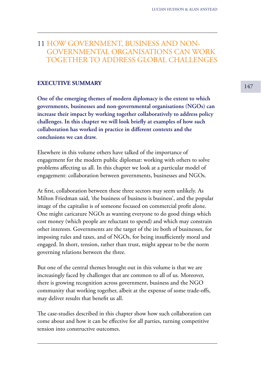# 11 HOW GOVERNMENT, BUSINESS AND NON- GOVERNMENTAL ORGANISATIONS CAN WORK TOGETHER TO ADDRESS GLOBAL CHALLENGES

# **EXECUTIVE SUMMARY**

**One of the emerging themes of modern diplomacy is the extent to which governments, businesses and non-governmental organisations (NGOs) can increase their impact by working together collaboratively to address policy challenges. In this chapter we will look briefly at examples of how such collaboration has worked in practice in different contexts and the conclusions we can draw.**

Elsewhere in this volume others have talked of the importance of engagement for the modern public diplomat: working with others to solve problems affecting us all. In this chapter we look at a particular model of engagement: collaboration between governments, businesses and NGOs.

At first, collaboration between these three sectors may seem unlikely. As Milton Friedman said, 'the business of business is business', and the popular image of the capitalist is of someone focused on commercial profit alone. One might caricature NGOs as wanting everyone to do good things which cost money (which people are reluctant to spend) and which may constrain other interests. Governments are the target of the ire both of businesses, for imposing rules and taxes, and of NGOs, for being insufficiently moral and engaged. In short, tension, rather than trust, might appear to be the norm governing relations between the three.

But one of the central themes brought out in this volume is that we are increasingly faced by challenges that are common to all of us. Moreover, there is growing recognition across government, business and the NGO community that working together, albeit at the expense of some trade-offs, may deliver results that benefit us all.

The case-studies described in this chapter show how such collaboration can come about and how it can be effective for all parties, turning competitive tension into constructive outcomes.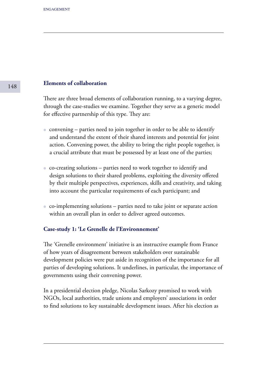# **Elements of collaboration**

There are three broad elements of collaboration running, to a varying degree, through the case-studies we examine. Together they serve as a generic model for effective partnership of this type. They are:

- $\bullet$  convening parties need to join together in order to be able to identify and understand the extent of their shared interests and potential for joint action. Convening power, the ability to bring the right people together, is a crucial attribute that must be possessed by at least one of the parties;
- co-creating solutions parties need to work together to identify and design solutions to their shared problems, exploiting the diversity offered by their multiple perspectives, experiences, skills and creativity, and taking into account the particular requirements of each participant; and
- co-implementing solutions parties need to take joint or separate action within an overall plan in order to deliver agreed outcomes.

# **Case-study 1: 'Le Grenelle de l'Environnement'**

The 'Grenelle environment' initiative is an instructive example from France of how years of disagreement between stakeholders over sustainable development policies were put aside in recognition of the importance for all parties of developing solutions. It underlines, in particular, the importance of governments using their convening power.

In a presidential election pledge, Nicolas Sarkozy promised to work with NGOs, local authorities, trade unions and employers' associations in order to find solutions to key sustainable development issues. After his election as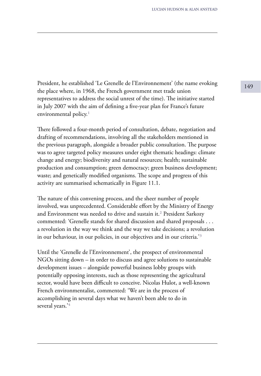President, he established 'Le Grenelle de l'Environnement' (the name evoking 149 the place where, in 1968, the French government met trade union representatives to address the social unrest of the time). The initiative started in July 2007 with the aim of defining a five-year plan for France's future environmental policy. $1$ 

There followed a four-month period of consultation, debate, negotiation and drafting of recommendations, involving all the stakeholders mentioned in the previous paragraph, alongside a broader public consultation. The purpose was to agree targeted policy measures under eight thematic headings: climate change and energy; biodiversity and natural resources; health; sustainable production and consumption; green democracy; green business development; waste; and genetically modified organisms. The scope and progress of this activity are summarised schematically in Figure 11.1.

The nature of this convening process, and the sheer number of people involved, was unprecedented. Considerable effort by the Ministry of Energy and Environment was needed to drive and sustain it.<sup>2</sup> President Sarkozy commented: 'Grenelle stands for shared discussion and shared proposals . . . a revolution in the way we think and the way we take decisions; a revolution in our behaviour, in our policies, in our objectives and in our criteria.<sup>'3</sup>

Until the 'Grenelle de l'Environnement', the prospect of environmental NGOs sitting down – in order to discuss and agree solutions to sustainable development issues – alongside powerful business lobby groups with potentially opposing interests, such as those representing the agricultural sector, would have been difficult to conceive. Nicolas Hulot, a well-known French environmentalist, commented: 'We are in the process of accomplishing in several days what we haven't been able to do in several years.'4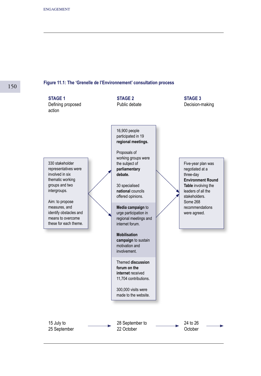# 150

#### **Figure 11.1: The 'Grenelle de I'Environnement' consultation process**

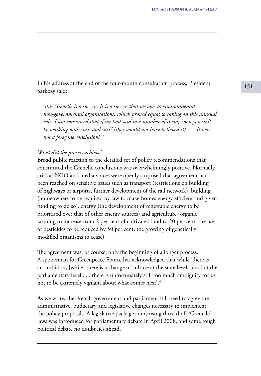<sup>151</sup> In his address at the end of the four-month consultation process, President Sarkozy said:

 '*this Grenelle is a success. It is a success that we owe to environmental non-governmental organisations, which proved equal to taking on this unusual role. I am convinced that if we had said to a number of them, 'soon you will be working with such and such' [they would not have believed it] . . . It was not a foregone conclusion!'* ⁵

### *What did the process achieve?*

Broad public reaction to the detailed set of policy recommendations that constituted the Grenelle conclusions was overwhelmingly positive. Normally critical NGO and media voices were openly surprised that agreement had been reached on sensitive issues such as transport (restrictions on building of highways or airports, further development of the rail network), building (homeowners to be required by law to make homes energy efficient and given funding to do so), energy (the development of renewable energy to be prioritised over that of other energy sources) and agriculture (organic farming to increase from 2 per cent of cultivated land to 20 per cent; the use of pesticides to be reduced by 50 per cent; the growing of genetically modified organisms to cease).

The agreement was, of course, only the beginning of a longer process. A spokesman for Greenpeace France has acknowledged that while 'there is an ambition, [while] there is a change of culture at the state level, [and] at the parliamentary level . . . there is unfortunately still too much ambiguity for us not to be extremely vigilant about what comes next'.<sup>6</sup>

As we write, the French government and parliament still need to agree the administrative, budgetary and legislative changes necessary to implement the policy proposals. A legislative package comprising three draft 'Grenelle' laws was introduced for parliamentary debate in April 2008, and some tough political debate no doubt lies ahead.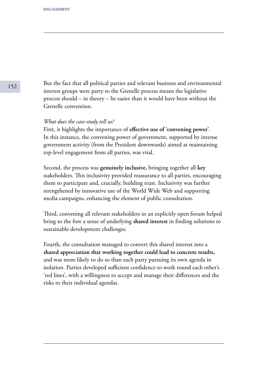But the fact that all political parties and relevant business and environmental interest groups were party to the Grenelle process means the legislative process should – in theory – be easier than it would have been without the Grenelle convention.

### *What does the case-study tell us?*

First, it highlights the importance of **effective use of 'convening power'**. In this instance, the convening power of government, supported by intense government activity (from the President downwards) aimed at maintaining top-level engagement from all parties, was vital.

Second, the process was **genuinely inclusive,** bringing together all **key** stakeholders. This inclusivity provided reassurance to all parties, encouraging them to participate and, crucially, building trust. Inclusivity was further strengthened by innovative use of the World Wide Web and supporting media campaigns, enhancing the element of public consultation.

Third, convening all relevant stakeholders in an explicitly open forum helped bring to the fore a sense of underlying **shared interest** in finding solutions to sustainable development challenges.

Fourth, the consultation managed to convert this shared interest into a **shared appreciation that working together could lead to concrete results,** and was more likely to do so than each party pursuing its own agenda in isolation. Parties developed sufficient confidence to work round each other's 'red lines', with a willingness to accept and manage their differences and the risks to their individual agendas.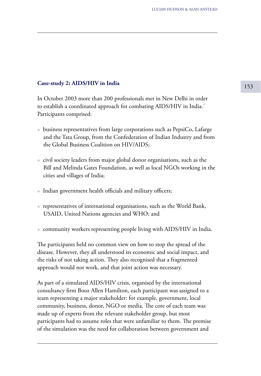# <sup>153</sup> **Case-study 2: AIDS/HIV in India**

In October 2003 more than 200 professionals met in New Delhi in order to establish a coordinated approach for combating AIDS/HIV in India.<sup>7</sup> Participants comprised:

- business representatives from large corporations such as PepsiCo, Lafarge and the Tata Group, from the Confederation of Indian Industry and from the Global Business Coalition on HIV/AIDS;
- civil society leaders from major global donor organisations, such as the Bill and Melinda Gates Foundation, as well as local NGOs working in the cities and villages of India;
- Indian government health officials and military officers;
- representatives of international organisations, such as the World Bank, USAID, United Nations agencies and WHO; and
- community workers representing people living with AIDS/HIV in India.

The participants held no common view on how to stop the spread of the disease. However, they all understood its economic and social impact, and the risks of not taking action. They also recognised that a fragmented approach would not work, and that joint action was necessary.

As part of a simulated AIDS/HIV crisis, organised by the international consultancy firm Booz Allen Hamilton, each participant was assigned to a team representing a major stakeholder: for example, government, local community, business, donor, NGO or media. The core of each team was made up of experts from the relevant stakeholder group, but most participants had to assume roles that were unfamiliar to them. The premise of the simulation was the need for collaboration between government and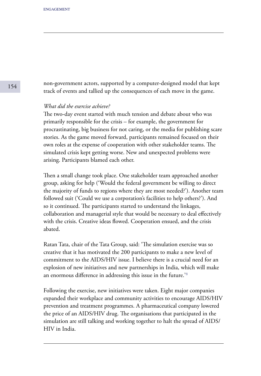non-government actors, supported by a computer-designed model that kept track of events and tallied up the consequences of each move in the game.

## *What did the exercise achieve?*

The two-day event started with much tension and debate about who was primarily responsible for the crisis – for example, the government for procrastinating, big business for not caring, or the media for publishing scare stories. As the game moved forward, participants remained focused on their own roles at the expense of cooperation with other stakeholder teams. The simulated crisis kept getting worse. New and unexpected problems were arising. Participants blamed each other.

Then a small change took place. One stakeholder team approached another group, asking for help ('Would the federal government be willing to direct the majority of funds to regions where they are most needed?'). Another team followed suit ('Could we use a corporation's facilities to help others?'). And so it continued. The participants started to understand the linkages, collaboration and managerial style that would be necessary to deal effectively with the crisis. Creative ideas flowed. Cooperation ensued, and the crisis abated.

Ratan Tata, chair of the Tata Group, said: 'The simulation exercise was so creative that it has motivated the 200 participants to make a new level of commitment to the AIDS/HIV issue. I believe there is a crucial need for an explosion of new initiatives and new partnerships in India, which will make an enormous difference in addressing this issue in the future.<sup>'8</sup>

Following the exercise, new initiatives were taken. Eight major companies expanded their workplace and community activities to encourage AIDS/HIV prevention and treatment programmes. A pharmaceutical company lowered the price of an AIDS/HIV drug. The organisations that participated in the simulation are still talking and working together to halt the spread of AIDS/ HIV in India.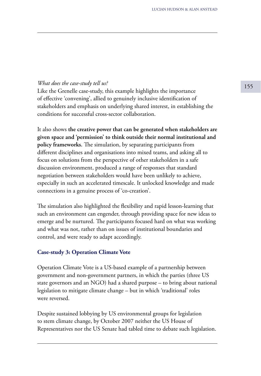# <sup>155</sup> *What does the case-study tell us?*

Like the Grenelle case-study, this example highlights the importance of effective 'convening', allied to genuinely inclusive identification of stakeholders and emphasis on underlying shared interest, in establishing the conditions for successful cross-sector collaboration.

It also shows **the creative power that can be generated when stakeholders are given space and 'permission' to think outside their normal institutional and policy frameworks.** The simulation, by separating participants from different disciplines and organisations into mixed teams, and asking all to focus on solutions from the perspective of other stakeholders in a safe discussion environment, produced a range of responses that standard negotiation between stakeholders would have been unlikely to achieve, especially in such an accelerated timescale. It unlocked knowledge and made connections in a genuine process of 'co-creation'.

The simulation also highlighted the flexibility and rapid lesson-learning that such an environment can engender, through providing space for new ideas to emerge and be nurtured. The participants focused hard on what was working and what was not, rather than on issues of institutional boundaries and control, and were ready to adapt accordingly.

### **Case-study 3: Operation Climate Vote**

Operation Climate Vote is a US-based example of a partnership between government and non-government partners, in which the parties (three US state governors and an NGO) had a shared purpose – to bring about national legislation to mitigate climate change – but in which 'traditional' roles were reversed.

Despite sustained lobbying by US environmental groups for legislation to stem climate change, by October 2007 neither the US House of Representatives nor the US Senate had tabled time to debate such legislation.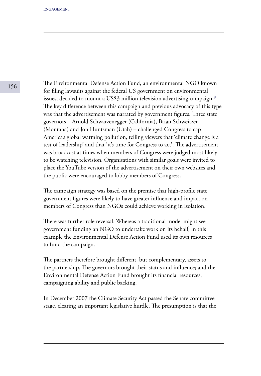The Environmental Defense Action Fund, an environmental NGO known for filing lawsuits against the federal US government on environmental issues, decided to mount a US\$3 million television advertising campaign.<sup>9</sup> The key difference between this campaign and previous advocacy of this type was that the advertisement was narrated by government figures. Three state governors – Arnold Schwarzenegger (California), Brian Schweitzer (Montana) and Jon Huntsman (Utah) – challenged Congress to cap America's global warming pollution, telling viewers that 'climate change is a test of leadership' and that 'it's time for Congress to act'. The advertisement was broadcast at times when members of Congress were judged most likely to be watching television. Organisations with similar goals were invited to place the YouTube version of the advertisement on their own websites and the public were encouraged to lobby members of Congress.

The campaign strategy was based on the premise that high-profile state government figures were likely to have greater influence and impact on members of Congress than NGOs could achieve working in isolation.

There was further role reversal. Whereas a traditional model might see government funding an NGO to undertake work on its behalf, in this example the Environmental Defense Action Fund used its own resources to fund the campaign.

The partners therefore brought different, but complementary, assets to the partnership. The governors brought their status and influence; and the Environmental Defense Action Fund brought its financial resources, campaigning ability and public backing.

In December 2007 the Climate Security Act passed the Senate committee stage, clearing an important legislative hurdle. The presumption is that the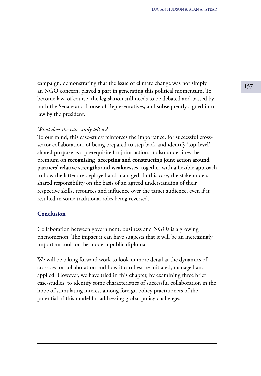<sup>157</sup> campaign, demonstrating that the issue of climate change was not simply an NGO concern, played a part in generating this political momentum. To become law, of course, the legislation still needs to be debated and passed by both the Senate and House of Representatives, and subsequently signed into law by the president.

### *What does the case-study tell us?*

To our mind, this case-study reinforces the importance, for successful crosssector collaboration, of being prepared to step back and identify **'top-level' shared purpose** as a prerequisite for joint action. It also underlines the premium on **recognising, accepting and constructing joint action around partners' relative strengths and weaknesses**, together with a flexible approach to how the latter are deployed and managed. In this case, the stakeholders shared responsibility on the basis of an agreed understanding of their respective skills, resources and influence over the target audience, even if it resulted in some traditional roles being reversed.

# **Conclusion**

Collaboration between government, business and NGOs is a growing phenomenon. The impact it can have suggests that it will be an increasingly important tool for the modern public diplomat.

We will be taking forward work to look in more detail at the dynamics of cross-sector collaboration and how it can best be initiated, managed and applied. However, we have tried in this chapter, by examining three brief case-studies, to identify some characteristics of successful collaboration in the hope of stimulating interest among foreign policy practitioners of the potential of this model for addressing global policy challenges.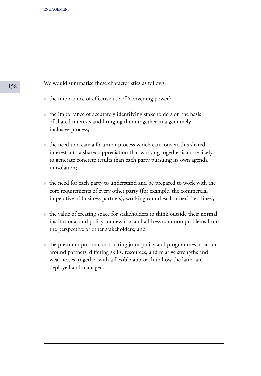We would summarise these characteristics as follows:

- the importance of effective use of 'convening power';
- the importance of accurately identifying stakeholders on the basis of shared interests and bringing them together in a genuinely inclusive process;
- the need to create a forum or process which can convert this shared interest into a shared appreciation that working together is more likely to generate concrete results than each party pursuing its own agenda in isolation;
- the need for each party to understand and be prepared to work with the core requirements of every other party (for example, the commercial imperative of business partners), working round each other's 'red lines';
- the value of creating space for stakeholders to think outside their normal institutional and policy frameworks and address common problems from the perspective of other stakeholders; and
- the premium put on constructing joint policy and programmes of action around partners' differing skills, resources, and relative strengths and weaknesses, together with a flexible approach to how the latter are deployed and managed.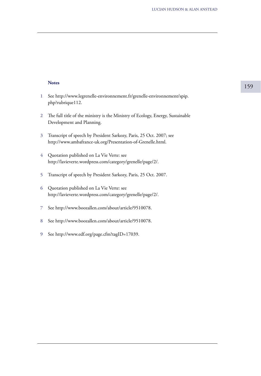### **Notes**

- See http://www.legrenelle-environnement.fr/grenelle-environnement/spip. php?rubrique112. **1**
- The full title of the ministry is the Ministry of Ecology, Energy, Sustainable **2** Development and Planning.
- Transcript of speech by President Sarkozy, Paris, 25 Oct. 2007; see **3** http://www.ambafrance-uk.org/Presentation-of-Grenelle.html.
- Quotation published on La Vie Verte: see **4** http://lavieverte.wordpress.com/category/grenelle/page/2/.
- Transcript of speech by President Sarkozy, Paris, 25 Oct. 2007. **5**
- Quotation published on La Vie Verte: see **6** http://lavieverte.wordpress.com/category/grenelle/page/2/.
- See http://www.boozallen.com/about/article/9510078. **7**
- See http://www.boozallen.com/about/article/9510078. **8**
- See http://www.edf.org/page.cfm?tagID=17039. **9**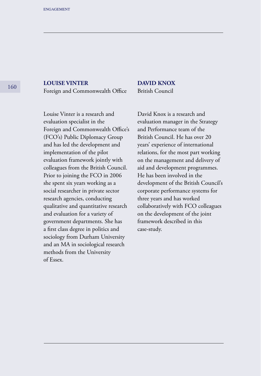# **LOUISE VINTER**

Foreign and Commonwealth Office

Louise Vinter is a research and evaluation specialist in the Foreign and Commonwealth Office's (FCO's) Public Diplomacy Group and has led the development and implementation of the pilot evaluation framework jointly with colleagues from the British Council. Prior to joining the FCO in 2006 she spent six years working as a social researcher in private sector research agencies, conducting qualitative and quantitative research and evaluation for a variety of government departments. She has a first class degree in politics and sociology from Durham University and an MA in sociological research methods from the University of Essex.

# **DAVID KNOX**

British Council

David Knox is a research and evaluation manager in the Strategy and Performance team of the British Council. He has over 20 years' experience of international relations, for the most part working on the management and delivery of aid and development programmes. He has been involved in the development of the British Council's corporate performance systems for three years and has worked collaboratively with FCO colleagues on the development of the joint framework described in this case-study.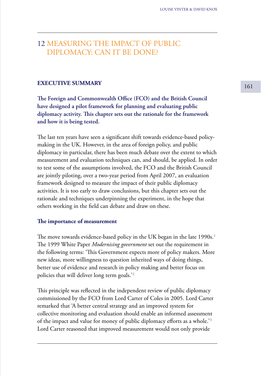# 12 MEASURING THE IMPACT OF PUBLIC DIPLOMACY: CAN IT BE DONE?

# **EXECUTIVE SUMMARY** 161

**The Foreign and Commonwealth Office (FCO) and the British Council have designed a pilot framework for planning and evaluating public diplomacy activity. This chapter sets out the rationale for the framework and how it is being tested.**

The last ten years have seen a significant shift towards evidence-based policymaking in the UK. However, in the area of foreign policy, and public diplomacy in particular, there has been much debate over the extent to which measurement and evaluation techniques can, and should, be applied. In order to test some of the assumptions involved, the FCO and the British Council are jointly piloting, over a two-year period from April 2007, an evaluation framework designed to measure the impact of their public diplomacy activities. It is too early to draw conclusions, but this chapter sets out the rationale and techniques underpinning the experiment, in the hope that others working in the field can debate and draw on these.

### **The importance of measurement**

The move towards evidence-based policy in the UK began in the late 1990s.<sup>1</sup> The 1999 White Paper *Modernising government* set out the requirement in the following terms: 'This Government expects more of policy makers. More new ideas, more willingness to question inherited ways of doing things, better use of evidence and research in policy making and better focus on policies that will deliver long term goals.'²

This principle was reflected in the independent review of public diplomacy commissioned by the FCO from Lord Carter of Coles in 2005. Lord Carter remarked that 'A better central strategy and an improved system for collective monitoring and evaluation should enable an informed assessment of the impact and value for money of public diplomacy efforts as a whole.<sup>'3</sup> Lord Carter reasoned that improved measurement would not only provide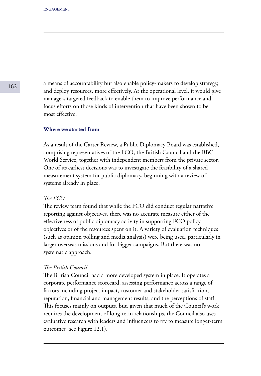a means of accountability but also enable policy-makers to develop strategy, and deploy resources, more effectively. At the operational level, it would give managers targeted feedback to enable them to improve performance and focus efforts on those kinds of intervention that have been shown to be most effective.

# **Where we started from**

As a result of the Carter Review, a Public Diplomacy Board was established, comprising representatives of the FCO, the British Council and the BBC World Service, together with independent members from the private sector. One of its earliest decisions was to investigate the feasibility of a shared measurement system for public diplomacy, beginning with a review of systems already in place.

### *The FCO*

The review team found that while the FCO did conduct regular narrative reporting against objectives, there was no accurate measure either of the effectiveness of public diplomacy activity in supporting FCO policy objectives or of the resources spent on it. A variety of evaluation techniques (such as opinion polling and media analysis) were being used, particularly in larger overseas missions and for bigger campaigns. But there was no systematic approach.

### *The British Council*

The British Council had a more developed system in place. It operates a corporate performance scorecard, assessing performance across a range of factors including project impact, customer and stakeholder satisfaction, reputation, financial and management results, and the perceptions of staff. This focuses mainly on outputs, but, given that much of the Council's work requires the development of long-term relationships, the Council also uses evaluative research with leaders and influencers to try to measure longer-term outcomes (see Figure 12.1).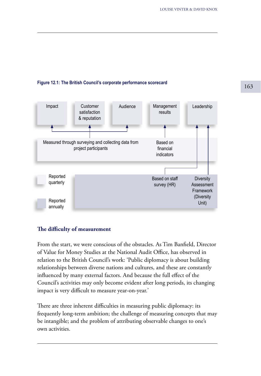# <sup>163</sup> **Figure 12.1: The British Council's corporate performance scorecard**



# **The difficulty of measurement**

From the start, we were conscious of the obstacles. As Tim Banfield, Director of Value for Money Studies at the National Audit Office, has observed in relation to the British Council's work: 'Public diplomacy is about building relationships between diverse nations and cultures, and these are constantly influenced by many external factors. And because the full effect of the Council's activities may only become evident after long periods, its changing impact is very difficult to measure year-on-year.'

There are three inherent difficulties in measuring public diplomacy: its frequently long-term ambition; the challenge of measuring concepts that may be intangible; and the problem of attributing observable changes to one's own activities.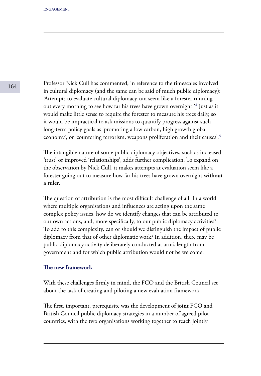Professor Nick Cull has commented, in reference to the timescales involved in cultural diplomacy (and the same can be said of much public diplomacy): 'Attempts to evaluate cultural diplomacy can seem like a forester running out every morning to see how far his trees have grown overnight.<sup>34</sup> Just as it would make little sense to require the forester to measure his trees daily, so it would be impractical to ask missions to quantify progress against such long-term policy goals as 'promoting a low carbon, high growth global economy', or 'countering terrorism, weapons proliferation and their causes'.<sup>5</sup>

The intangible nature of some public diplomacy objectives, such as increased 'trust' or improved 'relationships', adds further complication. To expand on the observation by Nick Cull, it makes attempts at evaluation seem like a forester going out to measure how far his trees have grown overnight **without a ruler**.

The question of attribution is the most difficult challenge of all. In a world where multiple organisations and influences are acting upon the same complex policy issues, how do we identify changes that can be attributed to our own actions, and, more specifically, to our public diplomacy activities? To add to this complexity, can or should we distinguish the impact of public diplomacy from that of other diplomatic work? In addition, there may be public diplomacy activity deliberately conducted at arm's length from government and for which public attribution would not be welcome.

### **The new framework**

With these challenges firmly in mind, the FCO and the British Council set about the task of creating and piloting a new evaluation framework.

The first, important, prerequisite was the development of **joint** FCO and British Council public diplomacy strategies in a number of agreed pilot countries, with the two organisations working together to reach jointly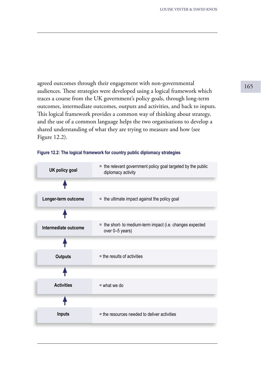agreed outcomes through their engagement with non-governmental and  $165$ audiences. These strategies were developed using a logical framework which traces a course from the UK government's policy goals, through long-term outcomes, intermediate outcomes, outputs and activities, and back to inputs. This logical framework provides a common way of thinking about strategy, and the use of a common language helps the two organisations to develop a shared understanding of what they are trying to measure and how (see Figure 12.2).



| UK policy goal       | = the relevant government policy goal targeted by the public<br>diplomacy activity |
|----------------------|------------------------------------------------------------------------------------|
|                      |                                                                                    |
| Longer-term outcome  | = the ultimate impact against the policy goal                                      |
|                      |                                                                                    |
| Intermediate outcome | = the short- to medium-term impact (i.e. changes expected<br>over 0-5 years)       |
|                      |                                                                                    |
| <b>Outputs</b>       | $=$ the results of activities                                                      |
|                      |                                                                                    |
| <b>Activities</b>    | $=$ what we do                                                                     |
|                      |                                                                                    |
| Inputs               | = the resources needed to deliver activities                                       |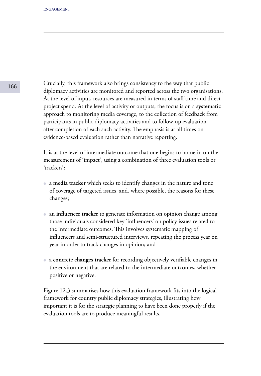Crucially, this framework also brings consistency to the way that public diplomacy activities are monitored and reported across the two organisations. At the level of input, resources are measured in terms of staff time and direct project spend. At the level of activity or outputs, the focus is on a **systematic**  approach to monitoring media coverage, to the collection of feedback from participants in public diplomacy activities and to follow-up evaluation after completion of each such activity. The emphasis is at all times on evidence-based evaluation rather than narrative reporting.

It is at the level of intermediate outcome that one begins to home in on the measurement of 'impact', using a combination of three evaluation tools or 'trackers':

- a **media tracker** which seeks to identify changes in the nature and tone of coverage of targeted issues, and, where possible, the reasons for these changes;
- an **influencer tracker** to generate information on opinion change among those individuals considered key 'influencers' on policy issues related to the intermediate outcomes. This involves systematic mapping of influencers and semi-structured interviews, repeating the process year on year in order to track changes in opinion; and
- a **concrete changes tracker** for recording objectively verifiable changes in the environment that are related to the intermediate outcomes, whether positive or negative.

Figure 12.3 summarises how this evaluation framework fits into the logical framework for country public diplomacy strategies, illustrating how important it is for the strategic planning to have been done properly if the evaluation tools are to produce meaningful results.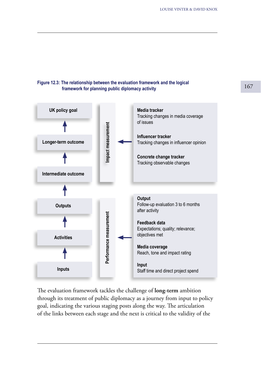## **Figure 12.3: The relationship between the evaluation framework and the logical framework for planning public diplomacy activity**



The evaluation framework tackles the challenge of **long-term** ambition through its treatment of public diplomacy as a journey from input to policy goal, indicating the various staging posts along the way. The articulation of the links between each stage and the next is critical to the validity of the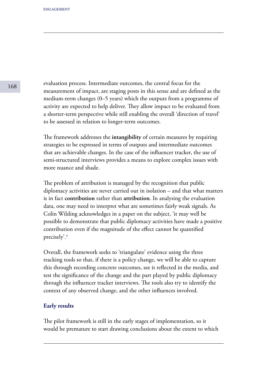evaluation process. Intermediate outcomes, the central focus for the measurement of impact, are staging posts in this sense and are defined as the medium-term changes (0–5 years) which the outputs from a programme of activity are expected to help deliver. They allow impact to be evaluated from a shorter-term perspective while still enabling the overall 'direction of travel' to be assessed in relation to longer-term outcomes.

The framework addresses the **intangibility** of certain measures by requiring strategies to be expressed in terms of outputs and intermediate outcomes that are achievable changes. In the case of the influencer tracker, the use of semi-structured interviews provides a means to explore complex issues with more nuance and shade.

The problem of attribution is managed by the recognition that public diplomacy activities are never carried out in isolation – and that what matters is in fact **contribution** rather than **attribution**. In analysing the evaluation data, one may need to interpret what are sometimes fairly weak signals. As Colin Wilding acknowledges in a paper on the subject, 'it may well be possible to demonstrate that public diplomacy activities have made a positive contribution even if the magnitude of the effect cannot be quantified precisely'.<sup>6</sup>

Overall, the framework seeks to 'triangulate' evidence using the three tracking tools so that, if there is a policy change, we will be able to capture this through recording concrete outcomes, see it reflected in the media, and test the significance of the change and the part played by public diplomacy through the influencer tracker interviews. The tools also try to identify the context of any observed change, and the other influences involved.

## **Early results**

The pilot framework is still in the early stages of implementation, so it would be premature to start drawing conclusions about the extent to which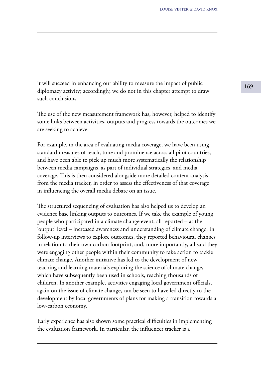it will succeed in enhancing our ability to measure the impact of public  $\frac{169}{169}$ diplomacy activity; accordingly, we do not in this chapter attempt to draw such conclusions.

The use of the new measurement framework has, however, helped to identify some links between activities, outputs and progress towards the outcomes we are seeking to achieve.

For example, in the area of evaluating media coverage, we have been using standard measures of reach, tone and prominence across all pilot countries, and have been able to pick up much more systematically the relationship between media campaigns, as part of individual strategies, and media coverage. This is then considered alongside more detailed content analysis from the media tracker, in order to assess the effectiveness of that coverage in influencing the overall media debate on an issue.

The structured sequencing of evaluation has also helped us to develop an evidence base linking outputs to outcomes. If we take the example of young people who participated in a climate change event, all reported – at the 'output' level – increased awareness and understanding of climate change. In follow-up interviews to explore outcomes, they reported behavioural changes in relation to their own carbon footprint, and, more importantly, all said they were engaging other people within their community to take action to tackle climate change. Another initiative has led to the development of new teaching and learning materials exploring the science of climate change, which have subsequently been used in schools, reaching thousands of children. In another example, activities engaging local government officials, again on the issue of climate change, can be seen to have led directly to the development by local governments of plans for making a transition towards a low-carbon economy.

Early experience has also shown some practical difficulties in implementing the evaluation framework. In particular, the influencer tracker is a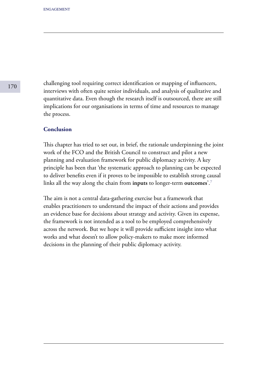challenging tool requiring correct identification or mapping of influencers, interviews with often quite senior individuals, and analysis of qualitative and quantitative data. Even though the research itself is outsourced, there are still implications for our organisations in terms of time and resources to manage the process.

# **Conclusion**

This chapter has tried to set out, in brief, the rationale underpinning the joint work of the FCO and the British Council to construct and pilot a new planning and evaluation framework for public diplomacy activity. A key principle has been that 'the systematic approach to planning can be expected to deliver benefits even if it proves to be impossible to establish strong causal links all the way along the chain from **inputs** to longer-term **outcomes**<sup>'.7</sup>

The aim is not a central data-gathering exercise but a framework that enables practitioners to understand the impact of their actions and provides an evidence base for decisions about strategy and activity. Given its expense, the framework is not intended as a tool to be employed comprehensively across the network. But we hope it will provide sufficient insight into what works and what doesn't to allow policy-makers to make more informed decisions in the planning of their public diplomacy activity.